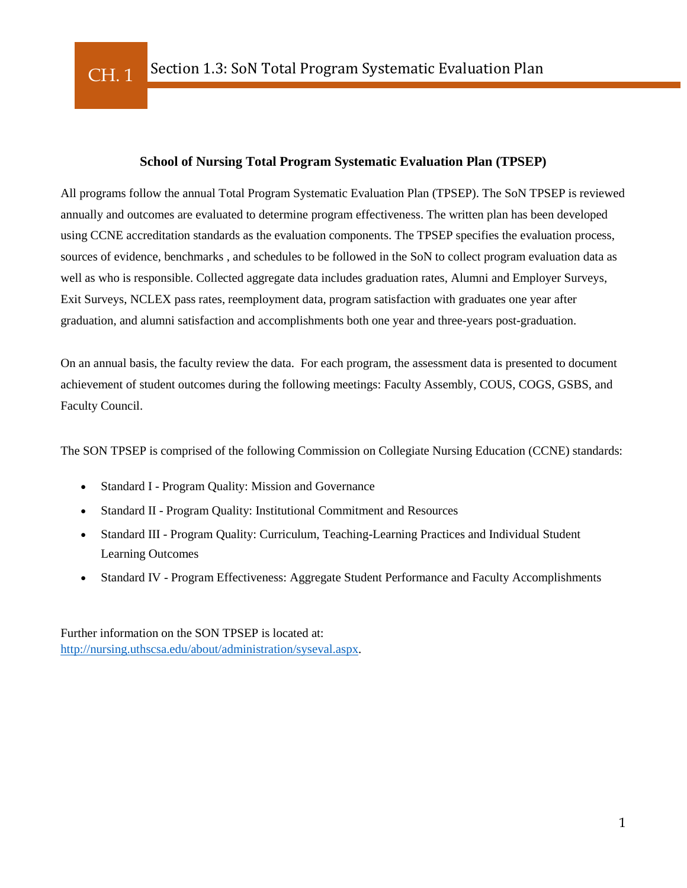### **School of Nursing Total Program Systematic Evaluation Plan (TPSEP)**

All programs follow the annual Total Program Systematic Evaluation Plan (TPSEP). The SoN TPSEP is reviewed annually and outcomes are evaluated to determine program effectiveness. The written plan has been developed using CCNE accreditation standards as the evaluation components. The TPSEP specifies the evaluation process, sources of evidence, benchmarks , and schedules to be followed in the SoN to collect program evaluation data as well as who is responsible. Collected aggregate data includes graduation rates, Alumni and Employer Surveys, Exit Surveys, NCLEX pass rates, reemployment data, program satisfaction with graduates one year after graduation, and alumni satisfaction and accomplishments both one year and three-years post-graduation.

On an annual basis, the faculty review the data. For each program, the assessment data is presented to document achievement of student outcomes during the following meetings: Faculty Assembly, COUS, COGS, GSBS, and Faculty Council.

The SON TPSEP is comprised of the following Commission on Collegiate Nursing Education (CCNE) standards:

- Standard I Program Quality: Mission and Governance
- Standard II Program Quality: Institutional Commitment and Resources
- Standard III Program Quality: Curriculum, Teaching-Learning Practices and Individual Student Learning Outcomes
- Standard IV Program Effectiveness: Aggregate Student Performance and Faculty Accomplishments

Further information on the SON TPSEP is located at: [http://nursing.uthscsa.edu/about/administration/syseval.aspx.](http://nursing.uthscsa.edu/about/administration/syseval.aspx)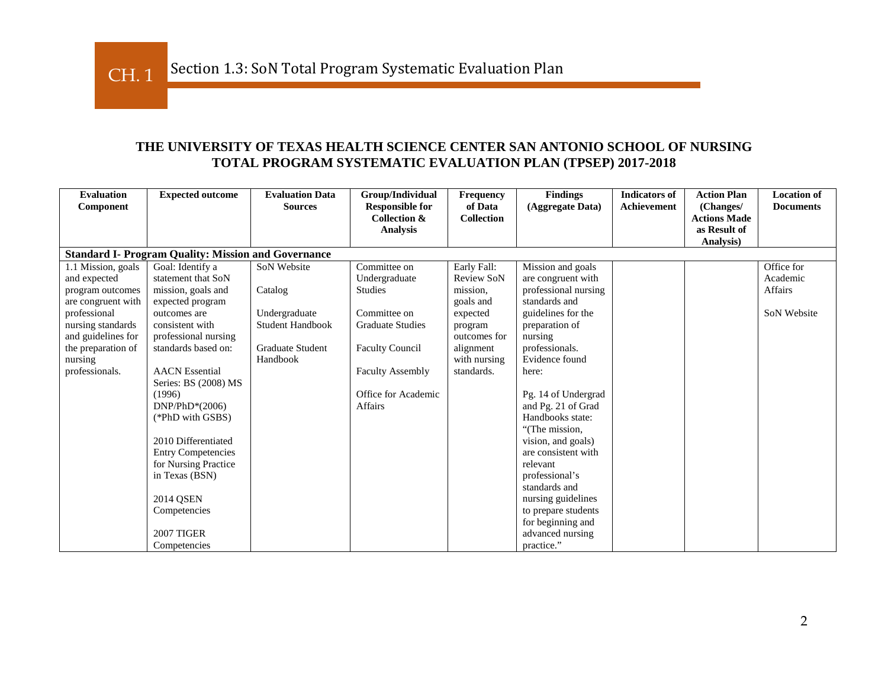## **THE UNIVERSITY OF TEXAS HEALTH SCIENCE CENTER SAN ANTONIO SCHOOL OF NURSING TOTAL PROGRAM SYSTEMATIC EVALUATION PLAN (TPSEP) 2017-2018**

| <b>Evaluation</b>  | <b>Expected outcome</b>                                    | <b>Evaluation Data</b>  | Group/Individual                                  | Frequency<br>of Data | <b>Findings</b>      | <b>Indicators of</b> | <b>Action Plan</b>               | <b>Location of</b> |
|--------------------|------------------------------------------------------------|-------------------------|---------------------------------------------------|----------------------|----------------------|----------------------|----------------------------------|--------------------|
| Component          |                                                            | <b>Sources</b>          | <b>Responsible for</b><br><b>Collection &amp;</b> | Collection           | (Aggregate Data)     | Achievement          | (Changes/<br><b>Actions Made</b> | <b>Documents</b>   |
|                    |                                                            |                         | <b>Analysis</b>                                   |                      |                      |                      | as Result of                     |                    |
|                    |                                                            |                         |                                                   |                      |                      |                      | Analysis)                        |                    |
|                    | <b>Standard I- Program Quality: Mission and Governance</b> |                         |                                                   |                      |                      |                      |                                  |                    |
| 1.1 Mission, goals | Goal: Identify a                                           | SoN Website             | Committee on                                      | Early Fall:          | Mission and goals    |                      |                                  | Office for         |
| and expected       | statement that SoN                                         |                         | Undergraduate                                     | <b>Review SoN</b>    | are congruent with   |                      |                                  | Academic           |
| program outcomes   | mission, goals and                                         | Catalog                 | <b>Studies</b>                                    | mission.             | professional nursing |                      |                                  | Affairs            |
| are congruent with | expected program                                           |                         |                                                   | goals and            | standards and        |                      |                                  |                    |
| professional       | outcomes are                                               | Undergraduate           | Committee on                                      | expected             | guidelines for the   |                      |                                  | SoN Website        |
| nursing standards  | consistent with                                            | <b>Student Handbook</b> | <b>Graduate Studies</b>                           | program              | preparation of       |                      |                                  |                    |
| and guidelines for | professional nursing                                       |                         |                                                   | outcomes for         | nursing              |                      |                                  |                    |
| the preparation of | standards based on:                                        | <b>Graduate Student</b> | <b>Faculty Council</b>                            | alignment            | professionals.       |                      |                                  |                    |
| nursing            |                                                            | Handbook                |                                                   | with nursing         | Evidence found       |                      |                                  |                    |
| professionals.     | <b>AACN</b> Essential                                      |                         | <b>Faculty Assembly</b>                           | standards.           | here:                |                      |                                  |                    |
|                    | Series: BS (2008) MS                                       |                         |                                                   |                      |                      |                      |                                  |                    |
|                    | (1996)                                                     |                         | Office for Academic                               |                      | Pg. 14 of Undergrad  |                      |                                  |                    |
|                    | $DNP/PhD*(2006)$                                           |                         | <b>Affairs</b>                                    |                      | and Pg. 21 of Grad   |                      |                                  |                    |
|                    | (*PhD with GSBS)                                           |                         |                                                   |                      | Handbooks state:     |                      |                                  |                    |
|                    |                                                            |                         |                                                   |                      | "(The mission,       |                      |                                  |                    |
|                    | 2010 Differentiated                                        |                         |                                                   |                      | vision, and goals)   |                      |                                  |                    |
|                    | <b>Entry Competencies</b>                                  |                         |                                                   |                      | are consistent with  |                      |                                  |                    |
|                    | for Nursing Practice                                       |                         |                                                   |                      | relevant             |                      |                                  |                    |
|                    | in Texas (BSN)                                             |                         |                                                   |                      | professional's       |                      |                                  |                    |
|                    |                                                            |                         |                                                   |                      | standards and        |                      |                                  |                    |
|                    | <b>2014 OSEN</b>                                           |                         |                                                   |                      | nursing guidelines   |                      |                                  |                    |
|                    | Competencies                                               |                         |                                                   |                      | to prepare students  |                      |                                  |                    |
|                    |                                                            |                         |                                                   |                      | for beginning and    |                      |                                  |                    |
|                    | <b>2007 TIGER</b>                                          |                         |                                                   |                      | advanced nursing     |                      |                                  |                    |
|                    | Competencies                                               |                         |                                                   |                      | practice."           |                      |                                  |                    |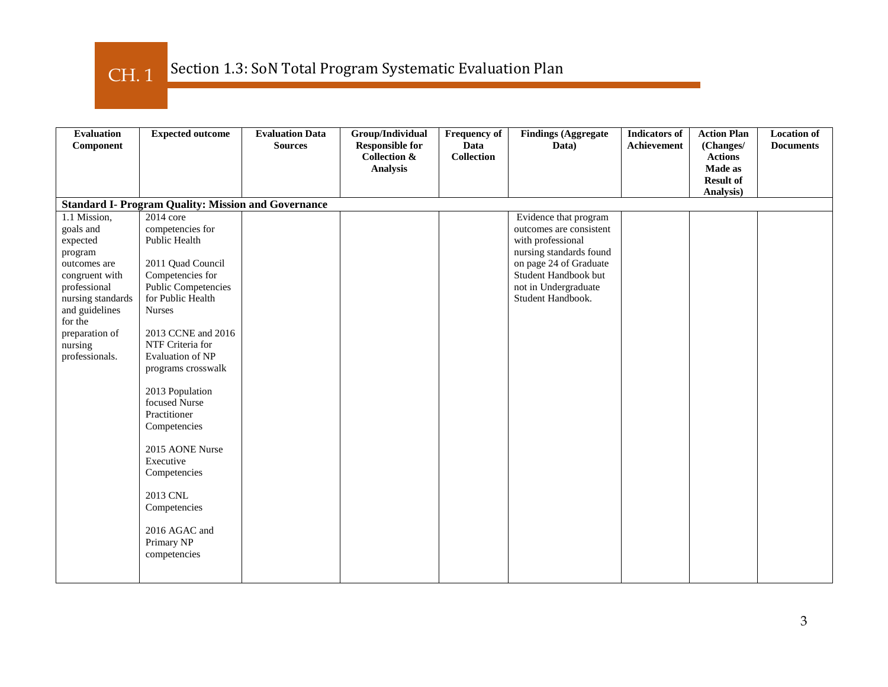CH. 1

| <b>Evaluation</b><br>Component                                                                                                                                                                      | <b>Expected outcome</b>                                                                                                                                                                                                                                                                                                                                                                                                                               | <b>Evaluation Data</b><br><b>Sources</b> | Group/Individual<br><b>Responsible for</b><br><b>Collection &amp;</b><br><b>Analysis</b> | <b>Frequency of</b><br>Data<br><b>Collection</b> | <b>Findings (Aggregate</b><br>Data)                                                                                                                                                             | <b>Indicators</b> of<br>Achievement | <b>Action Plan</b><br>(Changes/<br><b>Actions</b><br>Made as<br><b>Result of</b><br>Analysis) | <b>Location of</b><br><b>Documents</b> |
|-----------------------------------------------------------------------------------------------------------------------------------------------------------------------------------------------------|-------------------------------------------------------------------------------------------------------------------------------------------------------------------------------------------------------------------------------------------------------------------------------------------------------------------------------------------------------------------------------------------------------------------------------------------------------|------------------------------------------|------------------------------------------------------------------------------------------|--------------------------------------------------|-------------------------------------------------------------------------------------------------------------------------------------------------------------------------------------------------|-------------------------------------|-----------------------------------------------------------------------------------------------|----------------------------------------|
|                                                                                                                                                                                                     | <b>Standard I- Program Quality: Mission and Governance</b>                                                                                                                                                                                                                                                                                                                                                                                            |                                          |                                                                                          |                                                  |                                                                                                                                                                                                 |                                     |                                                                                               |                                        |
| 1.1 Mission,<br>goals and<br>expected<br>program<br>outcomes are<br>congruent with<br>professional<br>nursing standards<br>and guidelines<br>for the<br>preparation of<br>nursing<br>professionals. | 2014 core<br>competencies for<br>Public Health<br>2011 Quad Council<br>Competencies for<br><b>Public Competencies</b><br>for Public Health<br><b>Nurses</b><br>2013 CCNE and 2016<br>NTF Criteria for<br><b>Evaluation of NP</b><br>programs crosswalk<br>2013 Population<br>focused Nurse<br>Practitioner<br>Competencies<br>2015 AONE Nurse<br>Executive<br>Competencies<br>2013 CNL<br>Competencies<br>2016 AGAC and<br>Primary NP<br>competencies |                                          |                                                                                          |                                                  | Evidence that program<br>outcomes are consistent<br>with professional<br>nursing standards found<br>on page 24 of Graduate<br>Student Handbook but<br>not in Undergraduate<br>Student Handbook. |                                     |                                                                                               |                                        |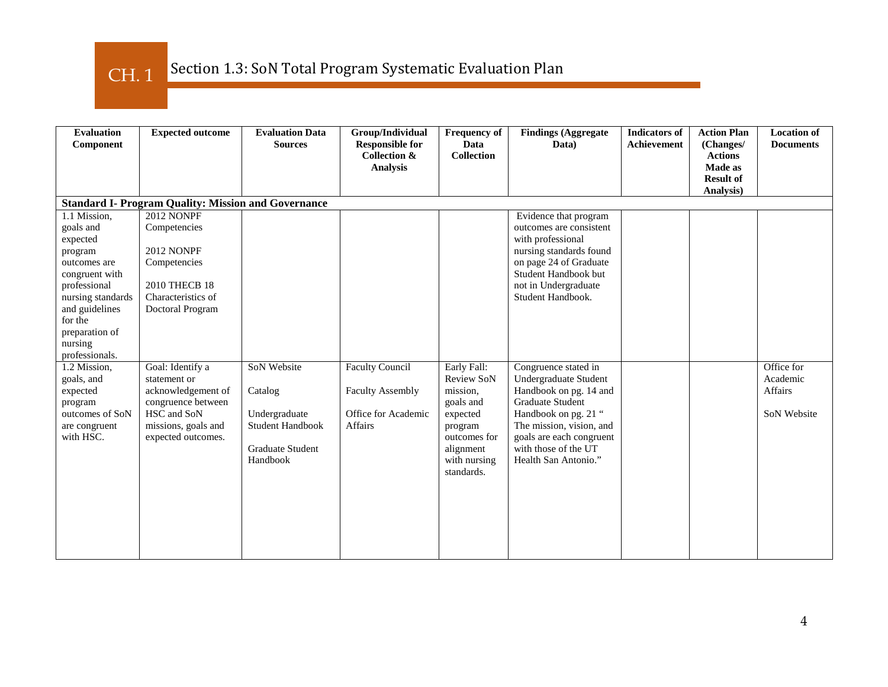Section 1.3: SoN Total Program Systematic Evaluation Plan CH. 1

| <b>Evaluation</b><br>Component                                                                                                                                                                      | <b>Expected outcome</b>                                                                                                                  | <b>Evaluation Data</b><br><b>Sources</b>                                                           | Group/Individual<br><b>Responsible for</b><br><b>Collection &amp;</b><br><b>Analysis</b> | <b>Frequency of</b><br><b>Data</b><br><b>Collection</b>                                                                              | <b>Findings (Aggregate</b><br>Data)                                                                                                                                                                                         | <b>Indicators of</b><br><b>Achievement</b> | <b>Action Plan</b><br>(Changes/<br><b>Actions</b><br><b>Made as</b><br><b>Result of</b><br>Analysis) | <b>Location of</b><br><b>Documents</b>                  |
|-----------------------------------------------------------------------------------------------------------------------------------------------------------------------------------------------------|------------------------------------------------------------------------------------------------------------------------------------------|----------------------------------------------------------------------------------------------------|------------------------------------------------------------------------------------------|--------------------------------------------------------------------------------------------------------------------------------------|-----------------------------------------------------------------------------------------------------------------------------------------------------------------------------------------------------------------------------|--------------------------------------------|------------------------------------------------------------------------------------------------------|---------------------------------------------------------|
|                                                                                                                                                                                                     | <b>Standard I- Program Quality: Mission and Governance</b>                                                                               |                                                                                                    |                                                                                          |                                                                                                                                      |                                                                                                                                                                                                                             |                                            |                                                                                                      |                                                         |
| 1.1 Mission,<br>goals and<br>expected<br>program<br>outcomes are<br>congruent with<br>professional<br>nursing standards<br>and guidelines<br>for the<br>preparation of<br>nursing<br>professionals. | <b>2012 NONPF</b><br>Competencies<br><b>2012 NONPF</b><br>Competencies<br>2010 THECB 18<br>Characteristics of<br>Doctoral Program        |                                                                                                    |                                                                                          |                                                                                                                                      | Evidence that program<br>outcomes are consistent<br>with professional<br>nursing standards found<br>on page 24 of Graduate<br>Student Handbook but<br>not in Undergraduate<br>Student Handbook.                             |                                            |                                                                                                      |                                                         |
| 1.2 Mission,<br>goals, and<br>expected<br>program<br>outcomes of SoN<br>are congruent<br>with HSC.                                                                                                  | Goal: Identify a<br>statement or<br>acknowledgement of<br>congruence between<br>HSC and SoN<br>missions, goals and<br>expected outcomes. | SoN Website<br>Catalog<br>Undergraduate<br>Student Handbook<br><b>Graduate Student</b><br>Handbook | <b>Faculty Council</b><br><b>Faculty Assembly</b><br>Office for Academic<br>Affairs      | Early Fall:<br>Review SoN<br>mission,<br>goals and<br>expected<br>program<br>outcomes for<br>alignment<br>with nursing<br>standards. | Congruence stated in<br>Undergraduate Student<br>Handbook on pg. 14 and<br>Graduate Student<br>Handbook on pg. 21 "<br>The mission, vision, and<br>goals are each congruent<br>with those of the UT<br>Health San Antonio." |                                            |                                                                                                      | Office for<br>Academic<br>Affairs<br><b>SoN Website</b> |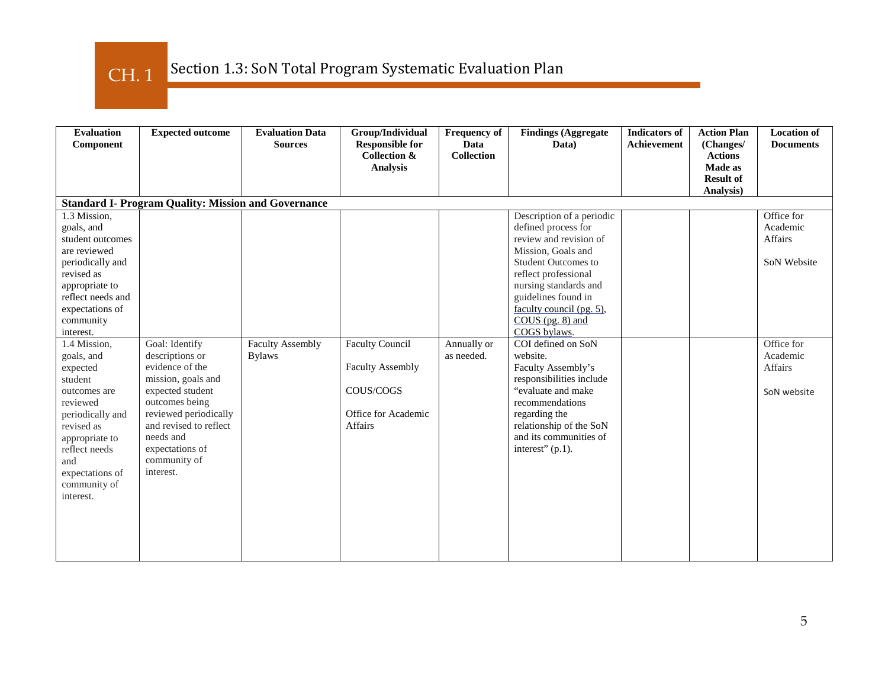Section 1.3: SoN Total Program Systematic Evaluation Plan CH. 1

| <b>Evaluation</b><br>Component                                                                                                                                                                                                                                                                                                                                                                    | <b>Expected outcome</b>                                                                                                                                                                                                          | <b>Evaluation Data</b><br><b>Sources</b> | Group/Individual<br><b>Responsible for</b><br><b>Collection &amp;</b><br><b>Analysis</b>                | <b>Frequency of</b><br>Data<br><b>Collection</b> | <b>Findings (Aggregate</b><br>Data)                                                                                                                                                                                                                                                                                                                                                                                                                                                                 | <b>Indicators of</b><br>Achievement | <b>Action Plan</b><br>(Changes/<br><b>Actions</b><br><b>Made as</b><br><b>Result of</b><br>Analysis) | <b>Location of</b><br><b>Documents</b>                                                                                    |
|---------------------------------------------------------------------------------------------------------------------------------------------------------------------------------------------------------------------------------------------------------------------------------------------------------------------------------------------------------------------------------------------------|----------------------------------------------------------------------------------------------------------------------------------------------------------------------------------------------------------------------------------|------------------------------------------|---------------------------------------------------------------------------------------------------------|--------------------------------------------------|-----------------------------------------------------------------------------------------------------------------------------------------------------------------------------------------------------------------------------------------------------------------------------------------------------------------------------------------------------------------------------------------------------------------------------------------------------------------------------------------------------|-------------------------------------|------------------------------------------------------------------------------------------------------|---------------------------------------------------------------------------------------------------------------------------|
|                                                                                                                                                                                                                                                                                                                                                                                                   | <b>Standard I- Program Quality: Mission and Governance</b>                                                                                                                                                                       |                                          |                                                                                                         |                                                  |                                                                                                                                                                                                                                                                                                                                                                                                                                                                                                     |                                     |                                                                                                      |                                                                                                                           |
| 1.3 Mission,<br>goals, and<br>student outcomes<br>are reviewed<br>periodically and<br>revised as<br>appropriate to<br>reflect needs and<br>expectations of<br>community<br>interest.<br>1.4 Mission,<br>goals, and<br>expected<br>student<br>outcomes are<br>reviewed<br>periodically and<br>revised as<br>appropriate to<br>reflect needs<br>and<br>expectations of<br>community of<br>interest. | Goal: Identify<br>descriptions or<br>evidence of the<br>mission, goals and<br>expected student<br>outcomes being<br>reviewed periodically<br>and revised to reflect<br>needs and<br>expectations of<br>community of<br>interest. | <b>Faculty Assembly</b><br><b>Bylaws</b> | <b>Faculty Council</b><br><b>Faculty Assembly</b><br>COUS/COGS<br>Office for Academic<br><b>Affairs</b> | Annually or<br>as needed.                        | Description of a periodic<br>defined process for<br>review and revision of<br>Mission, Goals and<br><b>Student Outcomes to</b><br>reflect professional<br>nursing standards and<br>guidelines found in<br>faculty council (pg. 5),<br>$COUS$ (pg. 8) and<br>COGS bylaws.<br>COI defined on SoN<br>website.<br>Faculty Assembly's<br>responsibilities include<br>"evaluate and make"<br>recommendations<br>regarding the<br>relationship of the SoN<br>and its communities of<br>interest" $(p.1)$ . |                                     |                                                                                                      | Office for<br>Academic<br><b>Affairs</b><br><b>SoN Website</b><br>Office for<br>Academic<br><b>Affairs</b><br>SoN website |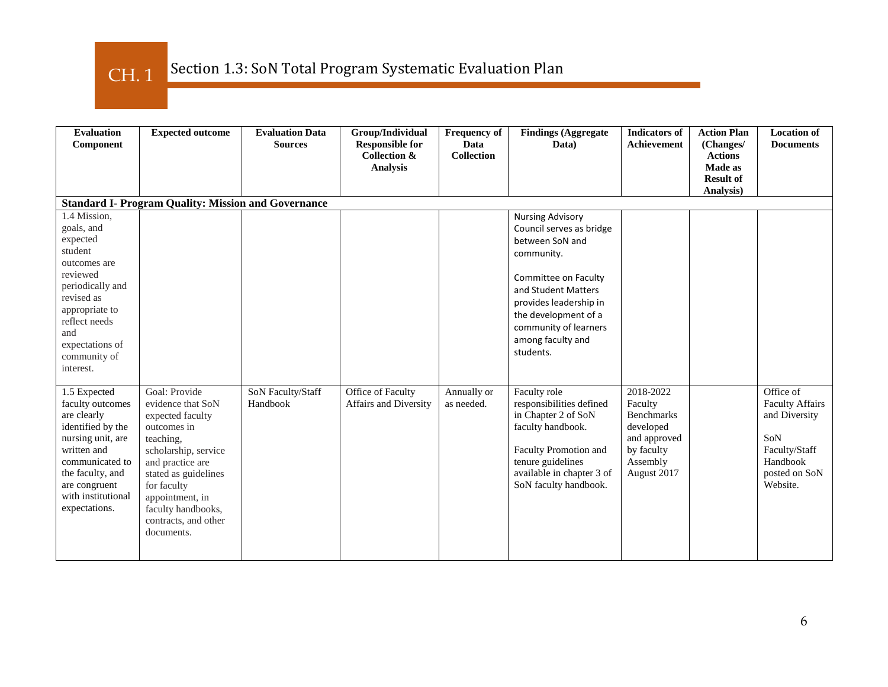### Section 1.3: SoN Total Program Systematic Evaluation Plan CH. 1

| <b>Evaluation</b><br>Component                                                                                                                                                                            | <b>Expected outcome</b>                                                                                                                                                                                                                              | <b>Evaluation Data</b><br><b>Sources</b> | Group/Individual<br><b>Responsible for</b><br><b>Collection &amp;</b><br><b>Analysis</b> | <b>Frequency of</b><br>Data<br>Collection | <b>Findings (Aggregate</b><br>Data)                                                                                                                                                                                                              | <b>Indicators of</b><br>Achievement                                                                             | <b>Action Plan</b><br>(Changes/<br><b>Actions</b><br>Made as<br><b>Result of</b><br>Analysis) | <b>Location of</b><br><b>Documents</b>                                                                                |
|-----------------------------------------------------------------------------------------------------------------------------------------------------------------------------------------------------------|------------------------------------------------------------------------------------------------------------------------------------------------------------------------------------------------------------------------------------------------------|------------------------------------------|------------------------------------------------------------------------------------------|-------------------------------------------|--------------------------------------------------------------------------------------------------------------------------------------------------------------------------------------------------------------------------------------------------|-----------------------------------------------------------------------------------------------------------------|-----------------------------------------------------------------------------------------------|-----------------------------------------------------------------------------------------------------------------------|
|                                                                                                                                                                                                           | <b>Standard I- Program Quality: Mission and Governance</b>                                                                                                                                                                                           |                                          |                                                                                          |                                           |                                                                                                                                                                                                                                                  |                                                                                                                 |                                                                                               |                                                                                                                       |
| 1.4 Mission,<br>goals, and<br>expected<br>student<br>outcomes are<br>reviewed<br>periodically and<br>revised as<br>appropriate to<br>reflect needs<br>and<br>expectations of<br>community of<br>interest. |                                                                                                                                                                                                                                                      |                                          |                                                                                          |                                           | <b>Nursing Advisory</b><br>Council serves as bridge<br>between SoN and<br>community.<br>Committee on Faculty<br>and Student Matters<br>provides leadership in<br>the development of a<br>community of learners<br>among faculty and<br>students. |                                                                                                                 |                                                                                               |                                                                                                                       |
| 1.5 Expected<br>faculty outcomes<br>are clearly<br>identified by the<br>nursing unit, are<br>written and<br>communicated to<br>the faculty, and<br>are congruent<br>with institutional<br>expectations.   | Goal: Provide<br>evidence that SoN<br>expected faculty<br>outcomes in<br>teaching.<br>scholarship, service<br>and practice are<br>stated as guidelines<br>for faculty<br>appointment, in<br>faculty handbooks,<br>contracts, and other<br>documents. | SoN Faculty/Staff<br>Handbook            | Office of Faculty<br>Affairs and Diversity                                               | Annually or<br>as needed.                 | Faculty role<br>responsibilities defined<br>in Chapter 2 of SoN<br>faculty handbook.<br>Faculty Promotion and<br>tenure guidelines<br>available in chapter 3 of<br>SoN faculty handbook.                                                         | 2018-2022<br>Faculty<br><b>Benchmarks</b><br>developed<br>and approved<br>by faculty<br>Assembly<br>August 2017 |                                                                                               | Office of<br><b>Faculty Affairs</b><br>and Diversity<br>SoN<br>Faculty/Staff<br>Handbook<br>posted on SoN<br>Website. |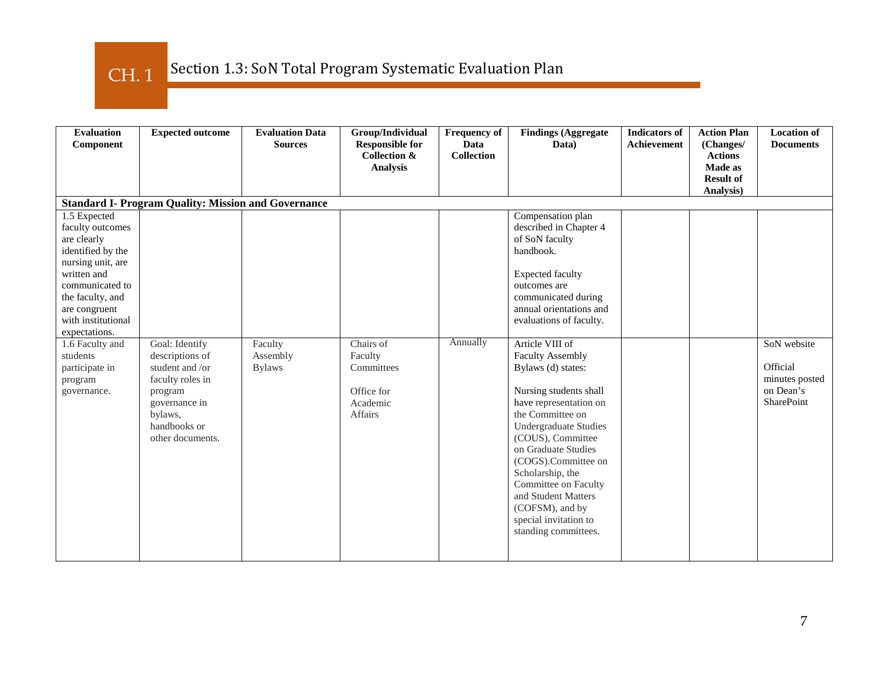### Section 1.3: SoN Total Program Systematic Evaluation Plan CH. 1

| <b>Evaluation</b><br>Component                                                                                                                                                                                                                                                     | <b>Expected outcome</b>                                                                                                                             | <b>Evaluation Data</b><br><b>Sources</b> | Group/Individual<br><b>Responsible for</b><br><b>Collection &amp;</b><br><b>Analysis</b> | <b>Frequency of</b><br>Data<br><b>Collection</b> | <b>Findings (Aggregate</b><br>Data)                                                                                                                                                                                                                                                                                                                                                                                                                                                                                                                                                      | <b>Indicators of</b><br><b>Achievement</b> | <b>Action Plan</b><br>(Changes/<br><b>Actions</b><br>Made as<br><b>Result of</b><br>Analysis) | <b>Location of</b><br><b>Documents</b>                               |
|------------------------------------------------------------------------------------------------------------------------------------------------------------------------------------------------------------------------------------------------------------------------------------|-----------------------------------------------------------------------------------------------------------------------------------------------------|------------------------------------------|------------------------------------------------------------------------------------------|--------------------------------------------------|------------------------------------------------------------------------------------------------------------------------------------------------------------------------------------------------------------------------------------------------------------------------------------------------------------------------------------------------------------------------------------------------------------------------------------------------------------------------------------------------------------------------------------------------------------------------------------------|--------------------------------------------|-----------------------------------------------------------------------------------------------|----------------------------------------------------------------------|
|                                                                                                                                                                                                                                                                                    | <b>Standard I- Program Quality: Mission and Governance</b>                                                                                          |                                          |                                                                                          |                                                  |                                                                                                                                                                                                                                                                                                                                                                                                                                                                                                                                                                                          |                                            |                                                                                               |                                                                      |
| 1.5 Expected<br>faculty outcomes<br>are clearly<br>identified by the<br>nursing unit, are<br>written and<br>communicated to<br>the faculty, and<br>are congruent<br>with institutional<br>expectations.<br>1.6 Faculty and<br>students<br>participate in<br>program<br>governance. | Goal: Identify<br>descriptions of<br>student and /or<br>faculty roles in<br>program<br>governance in<br>bylaws.<br>handbooks or<br>other documents. | Faculty<br>Assembly<br><b>Bylaws</b>     | Chairs of<br>Faculty<br>Committees<br>Office for<br>Academic<br><b>Affairs</b>           | Annually                                         | Compensation plan<br>described in Chapter 4<br>of SoN faculty<br>handbook.<br><b>Expected faculty</b><br>outcomes are<br>communicated during<br>annual orientations and<br>evaluations of faculty.<br>Article VIII of<br><b>Faculty Assembly</b><br>Bylaws (d) states:<br>Nursing students shall<br>have representation on<br>the Committee on<br><b>Undergraduate Studies</b><br>(COUS), Committee<br>on Graduate Studies<br>(COGS).Committee on<br>Scholarship, the<br>Committee on Faculty<br>and Student Matters<br>(COFSM), and by<br>special invitation to<br>standing committees. |                                            |                                                                                               | SoN website<br>Official<br>minutes posted<br>on Dean's<br>SharePoint |
|                                                                                                                                                                                                                                                                                    |                                                                                                                                                     |                                          |                                                                                          |                                                  |                                                                                                                                                                                                                                                                                                                                                                                                                                                                                                                                                                                          |                                            |                                                                                               |                                                                      |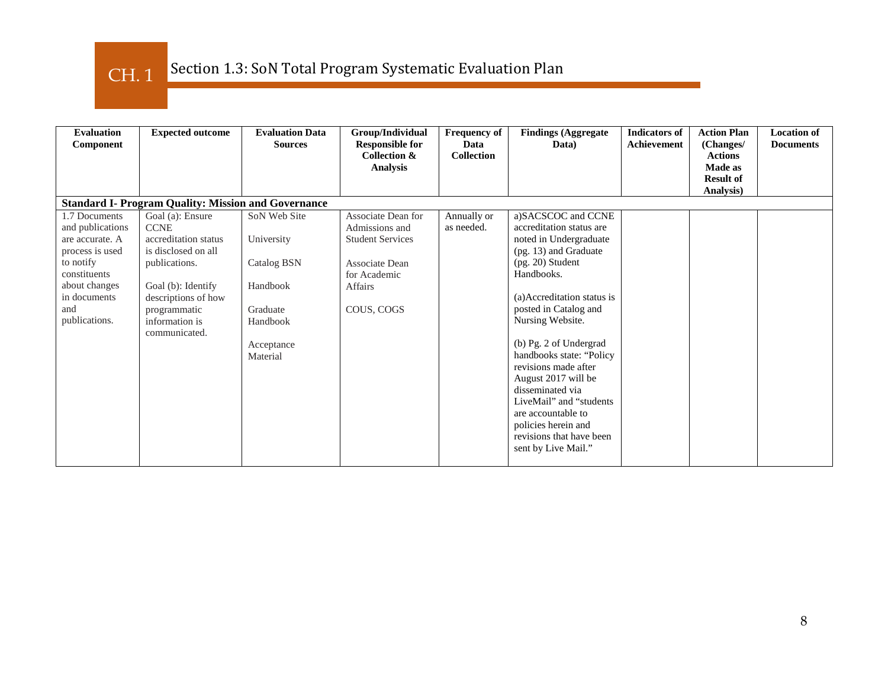CH. 1

| <b>Evaluation</b><br>Component                                                                                                                                | <b>Expected outcome</b>                                                                                                                                                                         | <b>Evaluation Data</b><br><b>Sources</b>                                                                | Group/Individual<br><b>Responsible for</b><br><b>Collection &amp;</b><br><b>Analysis</b>                                          | <b>Frequency of</b><br>Data<br><b>Collection</b> | <b>Findings (Aggregate</b><br>Data)                                                                                                                                                                                                                                                                                                                                                                                                                                  | <b>Indicators of</b><br>Achievement | <b>Action Plan</b><br>(Changes/<br><b>Actions</b><br>Made as | <b>Location of</b><br><b>Documents</b> |
|---------------------------------------------------------------------------------------------------------------------------------------------------------------|-------------------------------------------------------------------------------------------------------------------------------------------------------------------------------------------------|---------------------------------------------------------------------------------------------------------|-----------------------------------------------------------------------------------------------------------------------------------|--------------------------------------------------|----------------------------------------------------------------------------------------------------------------------------------------------------------------------------------------------------------------------------------------------------------------------------------------------------------------------------------------------------------------------------------------------------------------------------------------------------------------------|-------------------------------------|--------------------------------------------------------------|----------------------------------------|
|                                                                                                                                                               |                                                                                                                                                                                                 |                                                                                                         |                                                                                                                                   |                                                  |                                                                                                                                                                                                                                                                                                                                                                                                                                                                      |                                     | <b>Result of</b><br>Analysis)                                |                                        |
|                                                                                                                                                               | <b>Standard I- Program Quality: Mission and Governance</b>                                                                                                                                      |                                                                                                         |                                                                                                                                   |                                                  |                                                                                                                                                                                                                                                                                                                                                                                                                                                                      |                                     |                                                              |                                        |
| 1.7 Documents<br>and publications<br>are accurate. A<br>process is used<br>to notify<br>constituents<br>about changes<br>in documents<br>and<br>publications. | Goal (a): Ensure<br><b>CCNE</b><br>accreditation status<br>is disclosed on all<br>publications.<br>Goal (b): Identify<br>descriptions of how<br>programmatic<br>information is<br>communicated. | SoN Web Site<br>University<br>Catalog BSN<br>Handbook<br>Graduate<br>Handbook<br>Acceptance<br>Material | Associate Dean for<br>Admissions and<br><b>Student Services</b><br>Associate Dean<br>for Academic<br><b>Affairs</b><br>COUS, COGS | Annually or<br>as needed.                        | a)SACSCOC and CCNE<br>accreditation status are<br>noted in Undergraduate<br>(pg. 13) and Graduate<br>$(pg. 20)$ Student<br>Handbooks.<br>(a)Accreditation status is<br>posted in Catalog and<br>Nursing Website.<br>(b) Pg. 2 of Undergrad<br>handbooks state: "Policy<br>revisions made after<br>August 2017 will be<br>disseminated via<br>LiveMail" and "students<br>are accountable to<br>policies herein and<br>revisions that have been<br>sent by Live Mail." |                                     |                                                              |                                        |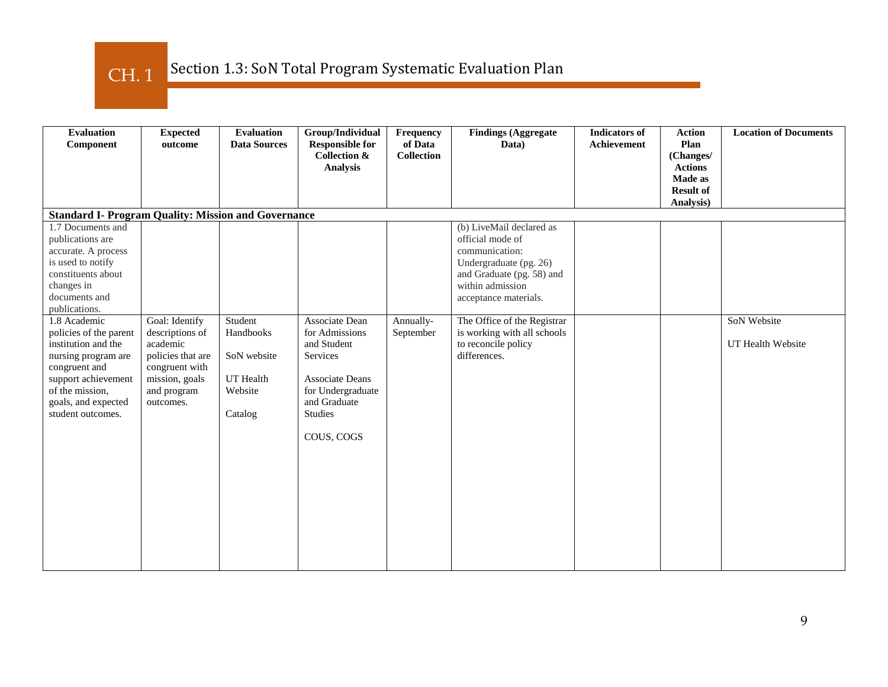CH. 1

| <b>Evaluation</b><br>Component                                                                                                                                                              | <b>Expected</b><br>outcome                                                                                                         | <b>Evaluation</b><br><b>Data Sources</b>                               | Group/Individual<br><b>Responsible for</b><br><b>Collection &amp;</b><br><b>Analysis</b>                                                            | Frequency<br>of Data<br><b>Collection</b> | <b>Findings (Aggregate</b><br>Data)                                                                                                                                | <b>Indicators</b> of<br><b>Achievement</b> | <b>Action</b><br>Plan<br>(Changes/<br><b>Actions</b><br>Made as<br><b>Result of</b> | <b>Location of Documents</b>     |
|---------------------------------------------------------------------------------------------------------------------------------------------------------------------------------------------|------------------------------------------------------------------------------------------------------------------------------------|------------------------------------------------------------------------|-----------------------------------------------------------------------------------------------------------------------------------------------------|-------------------------------------------|--------------------------------------------------------------------------------------------------------------------------------------------------------------------|--------------------------------------------|-------------------------------------------------------------------------------------|----------------------------------|
|                                                                                                                                                                                             |                                                                                                                                    |                                                                        |                                                                                                                                                     |                                           |                                                                                                                                                                    |                                            | Analysis)                                                                           |                                  |
| <b>Standard I- Program Quality: Mission and Governance</b>                                                                                                                                  |                                                                                                                                    |                                                                        |                                                                                                                                                     |                                           |                                                                                                                                                                    |                                            |                                                                                     |                                  |
| 1.7 Documents and<br>publications are<br>accurate. A process<br>is used to notify<br>constituents about<br>changes in<br>documents and<br>publications.                                     |                                                                                                                                    |                                                                        |                                                                                                                                                     |                                           | (b) LiveMail declared as<br>official mode of<br>communication:<br>Undergraduate (pg. 26)<br>and Graduate (pg. 58) and<br>within admission<br>acceptance materials. |                                            |                                                                                     |                                  |
| 1.8 Academic<br>policies of the parent<br>institution and the<br>nursing program are<br>congruent and<br>support achievement<br>of the mission,<br>goals, and expected<br>student outcomes. | Goal: Identify<br>descriptions of<br>academic<br>policies that are<br>congruent with<br>mission, goals<br>and program<br>outcomes. | Student<br>Handbooks<br>SoN website<br>UT Health<br>Website<br>Catalog | Associate Dean<br>for Admissions<br>and Student<br>Services<br><b>Associate Deans</b><br>for Undergraduate<br>and Graduate<br>Studies<br>COUS, COGS | Annually-<br>September                    | The Office of the Registrar<br>is working with all schools<br>to reconcile policy<br>differences.                                                                  |                                            |                                                                                     | SoN Website<br>UT Health Website |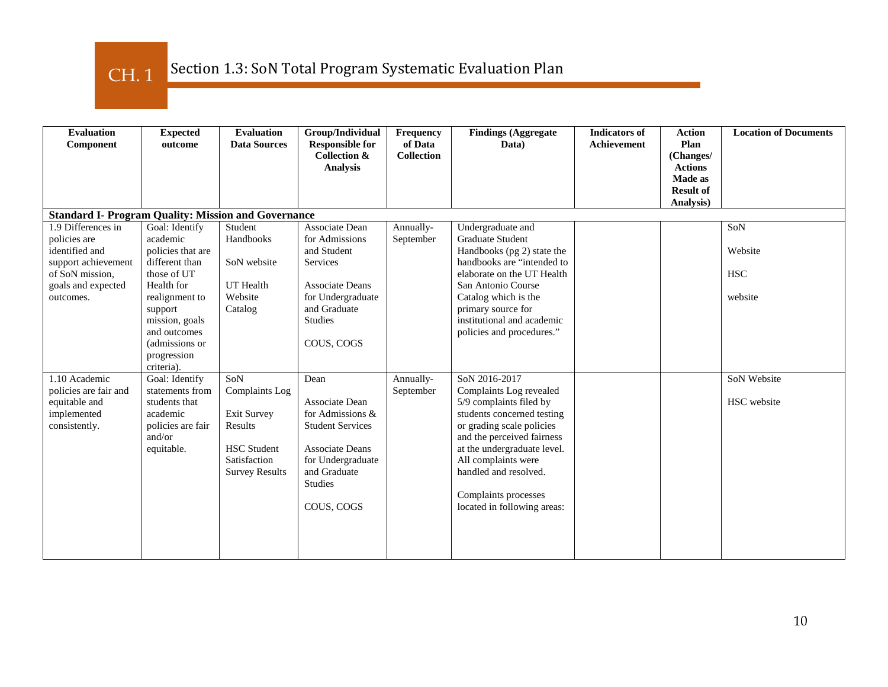CH. 1

| <b>Evaluation</b><br>Component                                                                                                    | <b>Expected</b><br>outcome                                                                                                                                                                                   | <b>Evaluation</b><br><b>Data Sources</b>                                                                              | Group/Individual<br><b>Responsible for</b><br><b>Collection &amp;</b><br><b>Analysis</b>                                                                               | Frequency<br>of Data<br><b>Collection</b> | <b>Findings (Aggregate</b><br>Data)                                                                                                                                                                                                                                                                | <b>Indicators of</b><br><b>Achievement</b> | <b>Action</b><br>Plan<br>(Changes/<br><b>Actions</b> | <b>Location of Documents</b>            |
|-----------------------------------------------------------------------------------------------------------------------------------|--------------------------------------------------------------------------------------------------------------------------------------------------------------------------------------------------------------|-----------------------------------------------------------------------------------------------------------------------|------------------------------------------------------------------------------------------------------------------------------------------------------------------------|-------------------------------------------|----------------------------------------------------------------------------------------------------------------------------------------------------------------------------------------------------------------------------------------------------------------------------------------------------|--------------------------------------------|------------------------------------------------------|-----------------------------------------|
|                                                                                                                                   |                                                                                                                                                                                                              |                                                                                                                       |                                                                                                                                                                        |                                           |                                                                                                                                                                                                                                                                                                    |                                            | Made as<br><b>Result of</b><br>Analysis)             |                                         |
| <b>Standard I- Program Quality: Mission and Governance</b>                                                                        |                                                                                                                                                                                                              |                                                                                                                       |                                                                                                                                                                        |                                           |                                                                                                                                                                                                                                                                                                    |                                            |                                                      |                                         |
| 1.9 Differences in<br>policies are<br>identified and<br>support achievement<br>of SoN mission,<br>goals and expected<br>outcomes. | Goal: Identify<br>academic<br>policies that are<br>different than<br>those of UT<br>Health for<br>realignment to<br>support<br>mission, goals<br>and outcomes<br>(admissions or<br>progression<br>criteria). | Student<br>Handbooks<br>SoN website<br><b>UT</b> Health<br>Website<br>Catalog                                         | Associate Dean<br>for Admissions<br>and Student<br>Services<br><b>Associate Deans</b><br>for Undergraduate<br>and Graduate<br><b>Studies</b><br>COUS, COGS             | Annually-<br>September                    | Undergraduate and<br>Graduate Student<br>Handbooks (pg 2) state the<br>handbooks are "intended to<br>elaborate on the UT Health<br>San Antonio Course<br>Catalog which is the<br>primary source for<br>institutional and academic<br>policies and procedures."                                     |                                            |                                                      | SoN<br>Website<br><b>HSC</b><br>website |
| 1.10 Academic<br>policies are fair and<br>equitable and<br>implemented<br>consistently.                                           | Goal: Identify<br>statements from<br>students that<br>academic<br>policies are fair<br>and/or<br>equitable.                                                                                                  | SoN<br><b>Complaints</b> Log<br>Exit Survey<br>Results<br><b>HSC</b> Student<br>Satisfaction<br><b>Survey Results</b> | Dean<br>Associate Dean<br>for Admissions $&$<br><b>Student Services</b><br><b>Associate Deans</b><br>for Undergraduate<br>and Graduate<br><b>Studies</b><br>COUS, COGS | Annually-<br>September                    | SoN 2016-2017<br>Complaints Log revealed<br>5/9 complaints filed by<br>students concerned testing<br>or grading scale policies<br>and the perceived fairness<br>at the undergraduate level.<br>All complaints were<br>handled and resolved.<br>Complaints processes<br>located in following areas: |                                            |                                                      | SoN Website<br>HSC website              |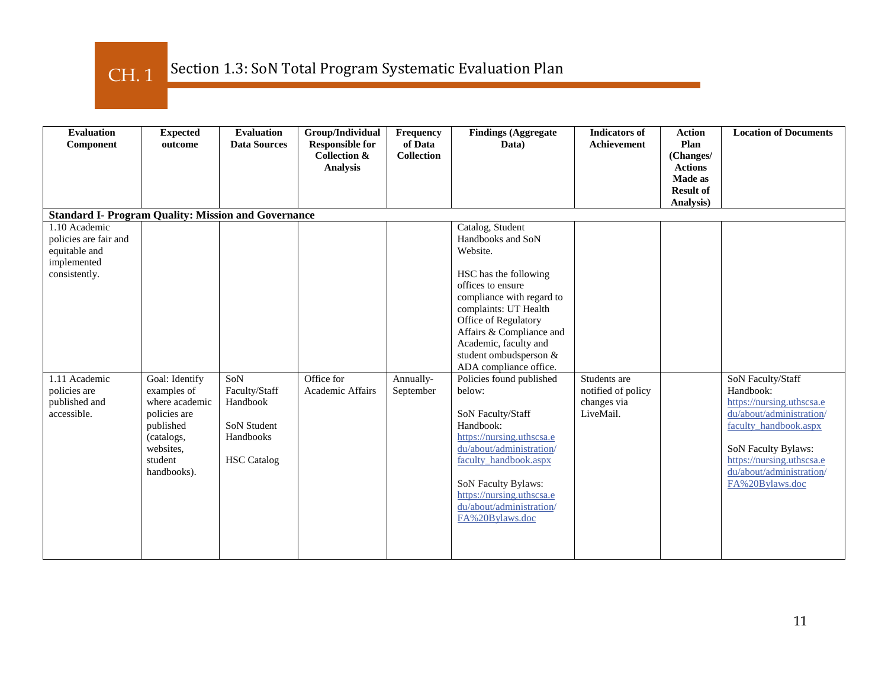CH. 1

| <b>Evaluation</b><br>Component                                                          | <b>Expected</b><br>outcome                                                                                                        | <b>Evaluation</b><br><b>Data Sources</b>                                                  | Group/Individual<br><b>Responsible for</b><br><b>Collection &amp;</b><br><b>Analysis</b> | Frequency<br>of Data<br><b>Collection</b> | <b>Findings (Aggregate</b><br>Data)                                                                                                                                                                                                                                                 | <b>Indicators of</b><br>Achievement                            | <b>Action</b><br>Plan<br>(Changes/<br><b>Actions</b><br>Made as<br><b>Result of</b><br>Analysis) | <b>Location of Documents</b>                                                                                                                                                                                        |
|-----------------------------------------------------------------------------------------|-----------------------------------------------------------------------------------------------------------------------------------|-------------------------------------------------------------------------------------------|------------------------------------------------------------------------------------------|-------------------------------------------|-------------------------------------------------------------------------------------------------------------------------------------------------------------------------------------------------------------------------------------------------------------------------------------|----------------------------------------------------------------|--------------------------------------------------------------------------------------------------|---------------------------------------------------------------------------------------------------------------------------------------------------------------------------------------------------------------------|
| <b>Standard I- Program Quality: Mission and Governance</b>                              |                                                                                                                                   |                                                                                           |                                                                                          |                                           |                                                                                                                                                                                                                                                                                     |                                                                |                                                                                                  |                                                                                                                                                                                                                     |
| 1.10 Academic<br>policies are fair and<br>equitable and<br>implemented<br>consistently. |                                                                                                                                   |                                                                                           |                                                                                          |                                           | Catalog, Student<br>Handbooks and SoN<br>Website.<br>HSC has the following<br>offices to ensure<br>compliance with regard to<br>complaints: UT Health<br>Office of Regulatory<br>Affairs & Compliance and<br>Academic, faculty and<br>student ombudsperson &                        |                                                                |                                                                                                  |                                                                                                                                                                                                                     |
| 1.11 Academic<br>policies are<br>published and<br>accessible.                           | Goal: Identify<br>examples of<br>where academic<br>policies are<br>published<br>(catalogs,<br>websites.<br>student<br>handbooks). | SoN<br>Faculty/Staff<br>Handbook<br><b>SoN Student</b><br>Handbooks<br><b>HSC</b> Catalog | Office for<br>Academic Affairs                                                           | Annually-<br>September                    | ADA compliance office.<br>Policies found published<br>below:<br>SoN Faculty/Staff<br>Handbook:<br>https://nursing.uthscsa.e<br>du/about/administration/<br>faculty_handbook.aspx<br>SoN Faculty Bylaws:<br>https://nursing.uthscsa.e<br>du/about/administration/<br>FA%20Bylaws.doc | Students are<br>notified of policy<br>changes via<br>LiveMail. |                                                                                                  | SoN Faculty/Staff<br>Handbook:<br>https://nursing.uthscsa.e<br>du/about/administration/<br>faculty_handbook.aspx<br>SoN Faculty Bylaws:<br>https://nursing.uthscsa.e<br>du/about/administration/<br>FA%20Bylaws.doc |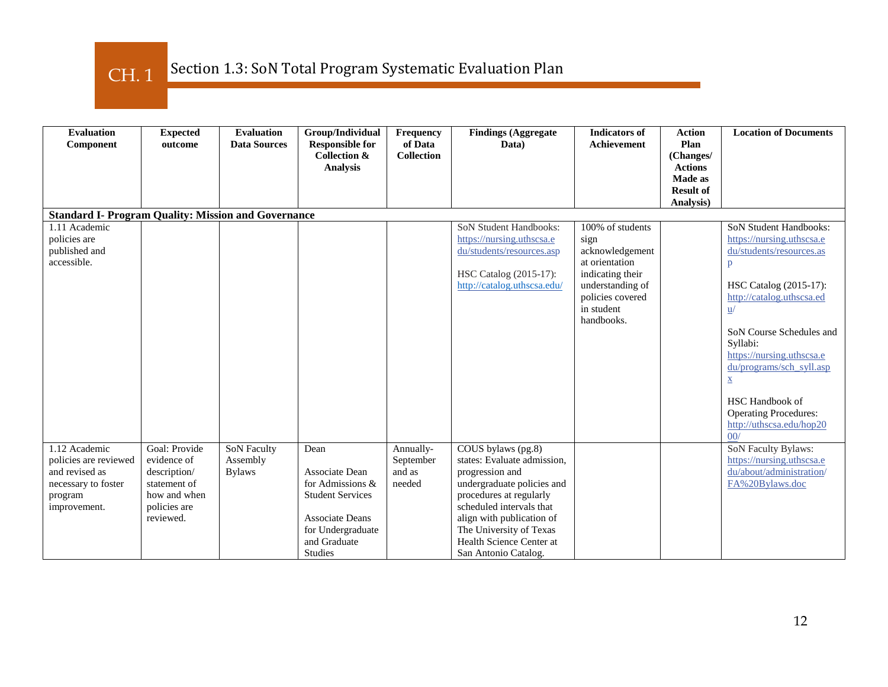CH. 1

| <b>Evaluation</b><br>Component                                                                             | <b>Expected</b><br>outcome                                                                                | <b>Evaluation</b><br><b>Data Sources</b>        | Group/Individual<br><b>Responsible for</b><br><b>Collection &amp;</b><br><b>Analysis</b>                                                                      | Frequency<br>of Data<br><b>Collection</b>  | <b>Findings (Aggregate</b><br>Data)                                                                                                                                                                                                                                                       | <b>Indicators of</b><br><b>Achievement</b>                                                                                                            | <b>Action</b><br>Plan<br>(Changes/<br><b>Actions</b><br><b>Made as</b><br><b>Result of</b><br>Analysis) | <b>Location of Documents</b>                                                                                                                                                                                                                                                                                                                                                                       |
|------------------------------------------------------------------------------------------------------------|-----------------------------------------------------------------------------------------------------------|-------------------------------------------------|---------------------------------------------------------------------------------------------------------------------------------------------------------------|--------------------------------------------|-------------------------------------------------------------------------------------------------------------------------------------------------------------------------------------------------------------------------------------------------------------------------------------------|-------------------------------------------------------------------------------------------------------------------------------------------------------|---------------------------------------------------------------------------------------------------------|----------------------------------------------------------------------------------------------------------------------------------------------------------------------------------------------------------------------------------------------------------------------------------------------------------------------------------------------------------------------------------------------------|
| <b>Standard I- Program Quality: Mission and Governance</b>                                                 |                                                                                                           |                                                 |                                                                                                                                                               |                                            |                                                                                                                                                                                                                                                                                           |                                                                                                                                                       |                                                                                                         |                                                                                                                                                                                                                                                                                                                                                                                                    |
| 1.11 Academic<br>policies are<br>published and<br>accessible.                                              |                                                                                                           |                                                 |                                                                                                                                                               |                                            | <b>SoN Student Handbooks:</b><br>https://nursing.uthscsa.e<br>du/students/resources.asp<br>HSC Catalog (2015-17):<br>http://catalog.uthscsa.edu/                                                                                                                                          | 100% of students<br>sign<br>acknowledgement<br>at orientation<br>indicating their<br>understanding of<br>policies covered<br>in student<br>handbooks. |                                                                                                         | <b>SoN Student Handbooks:</b><br>https://nursing.uthscsa.e<br>du/students/resources.as<br>p<br>HSC Catalog (2015-17):<br>http://catalog.uthscsa.ed<br>$\underline{\mathbf{u}}/$<br>SoN Course Schedules and<br>Syllabi:<br>https://nursing.uthscsa.e<br>du/programs/sch_syll.asp<br>$\underline{\mathbf{X}}$<br>HSC Handbook of<br><b>Operating Procedures:</b><br>http://uthscsa.edu/hop20<br>00/ |
| 1.12 Academic<br>policies are reviewed<br>and revised as<br>necessary to foster<br>program<br>improvement. | Goal: Provide<br>evidence of<br>description/<br>statement of<br>how and when<br>policies are<br>reviewed. | <b>SoN Faculty</b><br>Assembly<br><b>Bylaws</b> | Dean<br><b>Associate Dean</b><br>for Admissions &<br><b>Student Services</b><br><b>Associate Deans</b><br>for Undergraduate<br>and Graduate<br><b>Studies</b> | Annually-<br>September<br>and as<br>needed | $\overline{\text{COUS}}$ bylaws (pg.8)<br>states: Evaluate admission,<br>progression and<br>undergraduate policies and<br>procedures at regularly<br>scheduled intervals that<br>align with publication of<br>The University of Texas<br>Health Science Center at<br>San Antonio Catalog. |                                                                                                                                                       |                                                                                                         | SoN Faculty Bylaws:<br>https://nursing.uthscsa.e<br>du/about/administration/<br>FA%20Bylaws.doc                                                                                                                                                                                                                                                                                                    |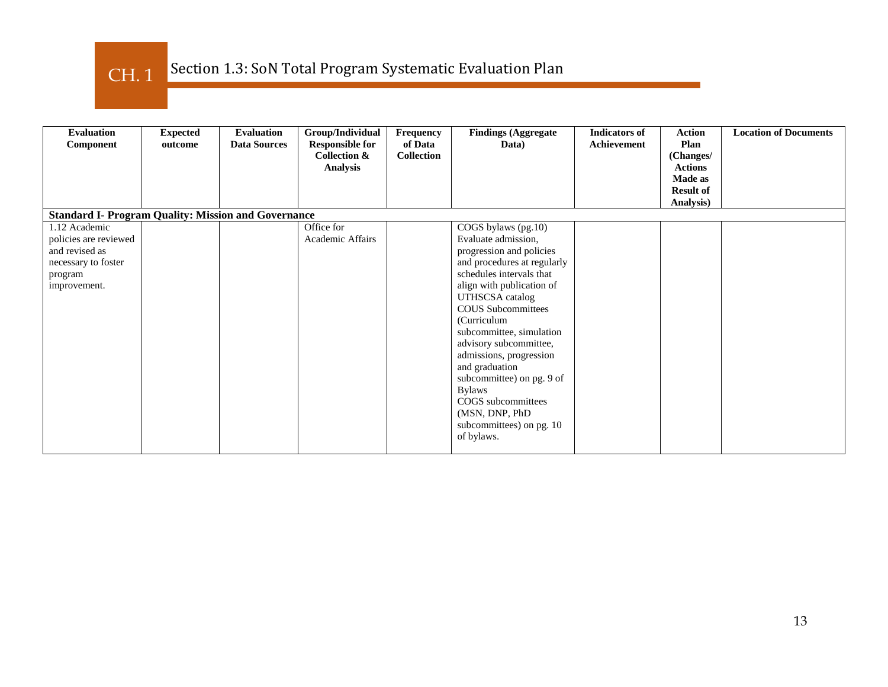CH. 1

| <b>Evaluation</b><br>Component                                                                             | <b>Expected</b><br>outcome | <b>Evaluation</b><br><b>Data Sources</b> | Group/Individual<br><b>Responsible for</b><br><b>Collection &amp;</b><br><b>Analysis</b> | <b>Frequency</b><br>of Data<br><b>Collection</b> | <b>Findings (Aggregate)</b><br>Data)                                                                                                                                                                                                                                                                                                                                                                                                                                    | <b>Indicators of</b><br>Achievement | <b>Action</b><br>Plan<br>(Changes/<br><b>Actions</b><br><b>Made as</b><br><b>Result of</b><br>Analysis) | <b>Location of Documents</b> |
|------------------------------------------------------------------------------------------------------------|----------------------------|------------------------------------------|------------------------------------------------------------------------------------------|--------------------------------------------------|-------------------------------------------------------------------------------------------------------------------------------------------------------------------------------------------------------------------------------------------------------------------------------------------------------------------------------------------------------------------------------------------------------------------------------------------------------------------------|-------------------------------------|---------------------------------------------------------------------------------------------------------|------------------------------|
| <b>Standard I- Program Quality: Mission and Governance</b>                                                 |                            |                                          |                                                                                          |                                                  |                                                                                                                                                                                                                                                                                                                                                                                                                                                                         |                                     |                                                                                                         |                              |
| 1.12 Academic<br>policies are reviewed<br>and revised as<br>necessary to foster<br>program<br>improvement. |                            |                                          | Office for<br>Academic Affairs                                                           |                                                  | COGS bylaws (pg.10)<br>Evaluate admission,<br>progression and policies<br>and procedures at regularly<br>schedules intervals that<br>align with publication of<br><b>UTHSCSA</b> catalog<br><b>COUS</b> Subcommittees<br>(Curriculum<br>subcommittee, simulation<br>advisory subcommittee,<br>admissions, progression<br>and graduation<br>subcommittee) on pg. 9 of<br><b>Bylaws</b><br>COGS subcommittees<br>(MSN, DNP, PhD<br>subcommittees) on pg. 10<br>of bylaws. |                                     |                                                                                                         |                              |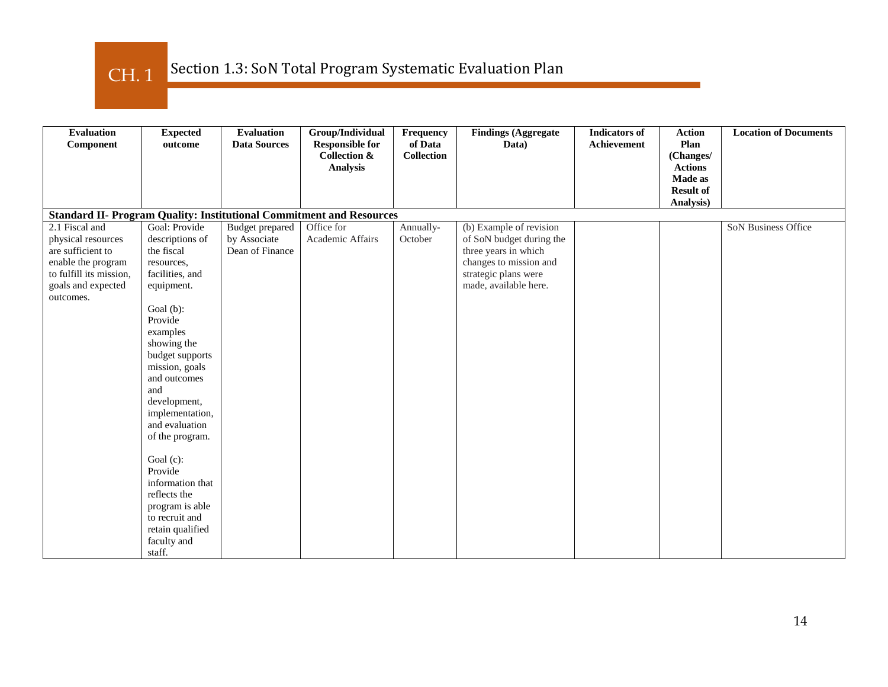CH. 1

| <b>Evaluation</b><br>Component                                              | <b>Expected</b><br>outcome | <b>Evaluation</b><br><b>Data Sources</b> | Group/Individual<br><b>Responsible for</b> | Frequency<br>of Data | <b>Findings (Aggregate</b><br>Data) | <b>Indicators</b> of<br>Achievement | <b>Action</b><br>Plan     | <b>Location of Documents</b> |
|-----------------------------------------------------------------------------|----------------------------|------------------------------------------|--------------------------------------------|----------------------|-------------------------------------|-------------------------------------|---------------------------|------------------------------|
|                                                                             |                            |                                          | <b>Collection &amp;</b>                    | <b>Collection</b>    |                                     |                                     | (Changes/                 |                              |
|                                                                             |                            |                                          | <b>Analysis</b>                            |                      |                                     |                                     | <b>Actions</b><br>Made as |                              |
|                                                                             |                            |                                          |                                            |                      |                                     |                                     | <b>Result of</b>          |                              |
|                                                                             |                            |                                          |                                            |                      |                                     |                                     | Analysis)                 |                              |
| <b>Standard II- Program Quality: Institutional Commitment and Resources</b> |                            |                                          |                                            |                      |                                     |                                     |                           |                              |
| 2.1 Fiscal and                                                              | Goal: Provide              | Budget prepared                          | Office for                                 | Annually-            | (b) Example of revision             |                                     |                           | SoN Business Office          |
| physical resources                                                          | descriptions of            | by Associate                             | Academic Affairs                           | October              | of SoN budget during the            |                                     |                           |                              |
| are sufficient to                                                           | the fiscal                 | Dean of Finance                          |                                            |                      | three years in which                |                                     |                           |                              |
| enable the program                                                          | resources,                 |                                          |                                            |                      | changes to mission and              |                                     |                           |                              |
| to fulfill its mission,                                                     | facilities, and            |                                          |                                            |                      | strategic plans were                |                                     |                           |                              |
| goals and expected                                                          | equipment.                 |                                          |                                            |                      | made, available here.               |                                     |                           |                              |
| outcomes.                                                                   |                            |                                          |                                            |                      |                                     |                                     |                           |                              |
|                                                                             | Goal (b):<br>Provide       |                                          |                                            |                      |                                     |                                     |                           |                              |
|                                                                             | examples                   |                                          |                                            |                      |                                     |                                     |                           |                              |
|                                                                             | showing the                |                                          |                                            |                      |                                     |                                     |                           |                              |
|                                                                             | budget supports            |                                          |                                            |                      |                                     |                                     |                           |                              |
|                                                                             | mission, goals             |                                          |                                            |                      |                                     |                                     |                           |                              |
|                                                                             | and outcomes               |                                          |                                            |                      |                                     |                                     |                           |                              |
|                                                                             | and                        |                                          |                                            |                      |                                     |                                     |                           |                              |
|                                                                             | development,               |                                          |                                            |                      |                                     |                                     |                           |                              |
|                                                                             | implementation,            |                                          |                                            |                      |                                     |                                     |                           |                              |
|                                                                             | and evaluation             |                                          |                                            |                      |                                     |                                     |                           |                              |
|                                                                             | of the program.            |                                          |                                            |                      |                                     |                                     |                           |                              |
|                                                                             |                            |                                          |                                            |                      |                                     |                                     |                           |                              |
|                                                                             | Goal (c):                  |                                          |                                            |                      |                                     |                                     |                           |                              |
|                                                                             | Provide                    |                                          |                                            |                      |                                     |                                     |                           |                              |
|                                                                             | information that           |                                          |                                            |                      |                                     |                                     |                           |                              |
|                                                                             | reflects the               |                                          |                                            |                      |                                     |                                     |                           |                              |
|                                                                             | program is able            |                                          |                                            |                      |                                     |                                     |                           |                              |
|                                                                             | to recruit and             |                                          |                                            |                      |                                     |                                     |                           |                              |
|                                                                             | retain qualified           |                                          |                                            |                      |                                     |                                     |                           |                              |
|                                                                             | faculty and                |                                          |                                            |                      |                                     |                                     |                           |                              |
|                                                                             | staff.                     |                                          |                                            |                      |                                     |                                     |                           |                              |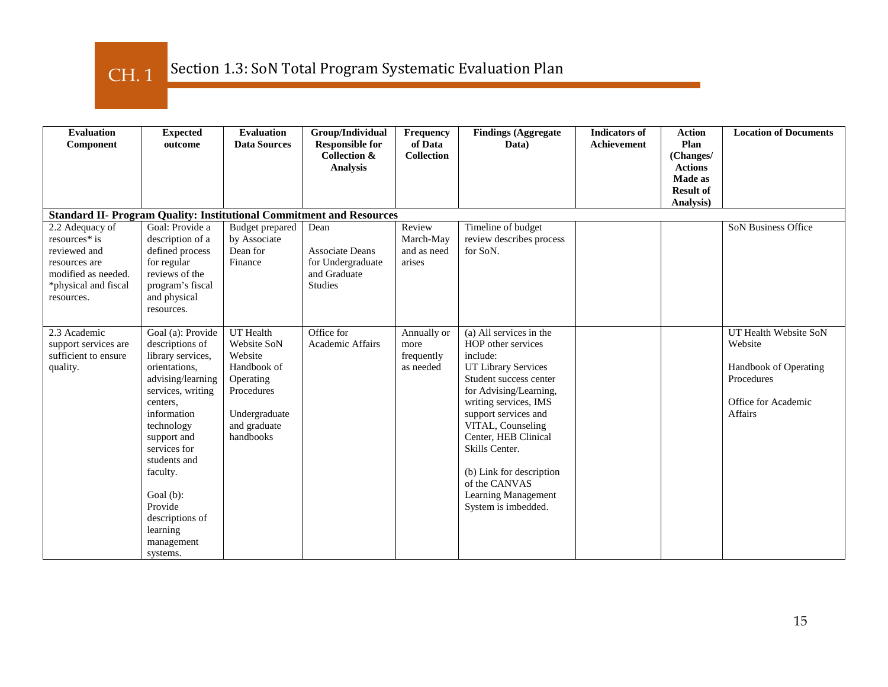CH. 1

| <b>Evaluation</b><br>Component                                                                                                 | <b>Expected</b><br>outcome                                                                                                                                                                                                                                                                                | <b>Evaluation</b><br><b>Data Sources</b>                                                                                           | Group/Individual<br><b>Responsible for</b><br>Collection &<br><b>Analysis</b>  | <b>Frequency</b><br>of Data<br><b>Collection</b> | <b>Findings (Aggregate</b><br>Data)                                                                                                                                                                                                                                                                                                             | <b>Indicators of</b><br><b>Achievement</b> | <b>Action</b><br>Plan<br>(Changes/<br><b>Actions</b> | <b>Location of Documents</b>                                                                                     |
|--------------------------------------------------------------------------------------------------------------------------------|-----------------------------------------------------------------------------------------------------------------------------------------------------------------------------------------------------------------------------------------------------------------------------------------------------------|------------------------------------------------------------------------------------------------------------------------------------|--------------------------------------------------------------------------------|--------------------------------------------------|-------------------------------------------------------------------------------------------------------------------------------------------------------------------------------------------------------------------------------------------------------------------------------------------------------------------------------------------------|--------------------------------------------|------------------------------------------------------|------------------------------------------------------------------------------------------------------------------|
|                                                                                                                                |                                                                                                                                                                                                                                                                                                           |                                                                                                                                    |                                                                                |                                                  |                                                                                                                                                                                                                                                                                                                                                 |                                            | Made as<br><b>Result of</b><br>Analysis)             |                                                                                                                  |
| <b>Standard II- Program Quality: Institutional Commitment and Resources</b>                                                    |                                                                                                                                                                                                                                                                                                           |                                                                                                                                    |                                                                                |                                                  |                                                                                                                                                                                                                                                                                                                                                 |                                            |                                                      |                                                                                                                  |
| 2.2 Adequacy of<br>resources* is<br>reviewed and<br>resources are<br>modified as needed.<br>*physical and fiscal<br>resources. | Goal: Provide a<br>description of a<br>defined process<br>for regular<br>reviews of the<br>program's fiscal<br>and physical<br>resources.                                                                                                                                                                 | Budget prepared<br>by Associate<br>Dean for<br>Finance                                                                             | Dean<br><b>Associate Deans</b><br>for Undergraduate<br>and Graduate<br>Studies | Review<br>March-May<br>and as need<br>arises     | Timeline of budget<br>review describes process<br>for SoN.                                                                                                                                                                                                                                                                                      |                                            |                                                      | SoN Business Office                                                                                              |
| 2.3 Academic<br>support services are<br>sufficient to ensure<br>quality.                                                       | Goal (a): Provide<br>descriptions of<br>library services,<br>orientations,<br>advising/learning<br>services, writing<br>centers,<br>information<br>technology<br>support and<br>services for<br>students and<br>faculty.<br>Goal (b):<br>Provide<br>descriptions of<br>learning<br>management<br>systems. | <b>UT</b> Health<br>Website SoN<br>Website<br>Handbook of<br>Operating<br>Procedures<br>Undergraduate<br>and graduate<br>handbooks | Office for<br><b>Academic Affairs</b>                                          | Annually or<br>more<br>frequently<br>as needed   | (a) All services in the<br>HOP other services<br>include:<br>UT Library Services<br>Student success center<br>for Advising/Learning,<br>writing services, IMS<br>support services and<br>VITAL, Counseling<br>Center, HEB Clinical<br>Skills Center.<br>(b) Link for description<br>of the CANVAS<br>Learning Management<br>System is imbedded. |                                            |                                                      | UT Health Website SoN<br>Website<br>Handbook of Operating<br>Procedures<br>Office for Academic<br><b>Affairs</b> |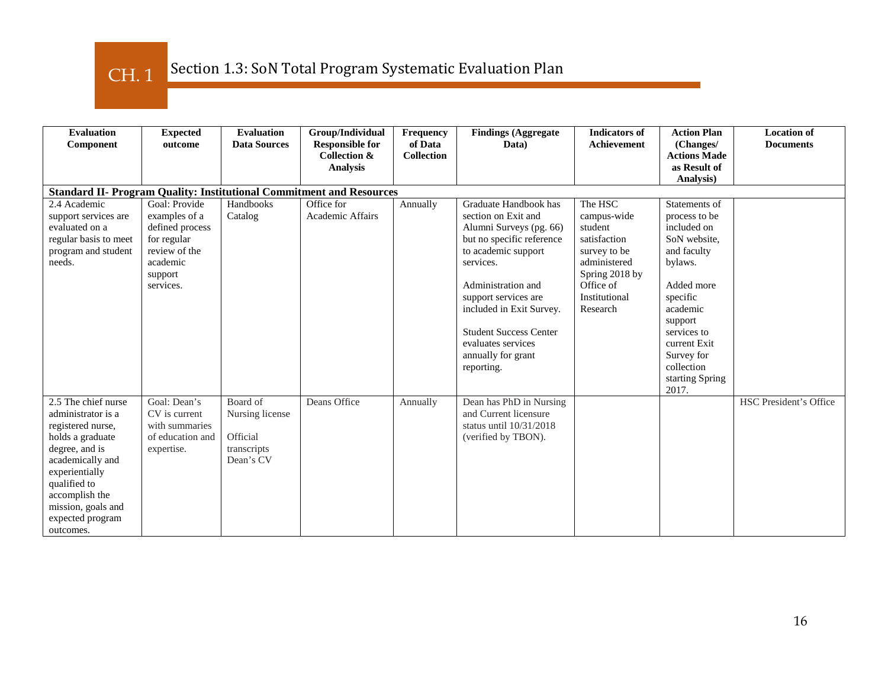# CH. 1

| <b>Evaluation</b><br>Component                                                                                                                                                                                                      | <b>Expected</b><br>outcome                                                                                            | <b>Evaluation</b><br><b>Data Sources</b>                            | Group/Individual<br><b>Responsible for</b><br><b>Collection &amp;</b><br><b>Analysis</b> | Frequency<br>of Data<br><b>Collection</b> | <b>Findings (Aggregate</b><br>Data)                                                                                                                                                                                                                                                                           | <b>Indicators of</b><br>Achievement                                                                                                           | <b>Action Plan</b><br>(Changes/<br><b>Actions Made</b><br>as Result of<br>Analysis)                                                                                                                                             | <b>Location of</b><br><b>Documents</b> |
|-------------------------------------------------------------------------------------------------------------------------------------------------------------------------------------------------------------------------------------|-----------------------------------------------------------------------------------------------------------------------|---------------------------------------------------------------------|------------------------------------------------------------------------------------------|-------------------------------------------|---------------------------------------------------------------------------------------------------------------------------------------------------------------------------------------------------------------------------------------------------------------------------------------------------------------|-----------------------------------------------------------------------------------------------------------------------------------------------|---------------------------------------------------------------------------------------------------------------------------------------------------------------------------------------------------------------------------------|----------------------------------------|
|                                                                                                                                                                                                                                     |                                                                                                                       |                                                                     | <b>Standard II- Program Quality: Institutional Commitment and Resources</b>              |                                           |                                                                                                                                                                                                                                                                                                               |                                                                                                                                               |                                                                                                                                                                                                                                 |                                        |
| 2.4 Academic<br>support services are<br>evaluated on a<br>regular basis to meet<br>program and student<br>needs.                                                                                                                    | Goal: Provide<br>examples of a<br>defined process<br>for regular<br>review of the<br>academic<br>support<br>services. | Handbooks<br>Catalog                                                | Office for<br>Academic Affairs                                                           | Annually                                  | Graduate Handbook has<br>section on Exit and<br>Alumni Surveys (pg. 66)<br>but no specific reference<br>to academic support<br>services.<br>Administration and<br>support services are<br>included in Exit Survey.<br><b>Student Success Center</b><br>evaluates services<br>annually for grant<br>reporting. | The HSC<br>campus-wide<br>student<br>satisfaction<br>survey to be<br>administered<br>Spring 2018 by<br>Office of<br>Institutional<br>Research | Statements of<br>process to be<br>included on<br>SoN website.<br>and faculty<br>bylaws.<br>Added more<br>specific<br>academic<br>support<br>services to<br>current Exit<br>Survey for<br>collection<br>starting Spring<br>2017. |                                        |
| 2.5 The chief nurse<br>administrator is a<br>registered nurse,<br>holds a graduate<br>degree, and is<br>academically and<br>experientially<br>qualified to<br>accomplish the<br>mission, goals and<br>expected program<br>outcomes. | Goal: Dean's<br>CV is current<br>with summaries<br>of education and<br>expertise.                                     | Board of<br>Nursing license<br>Official<br>transcripts<br>Dean's CV | Deans Office                                                                             | Annually                                  | Dean has PhD in Nursing<br>and Current licensure<br>status until $10/31/2018$<br>(verified by TBON).                                                                                                                                                                                                          |                                                                                                                                               |                                                                                                                                                                                                                                 | <b>HSC President's Office</b>          |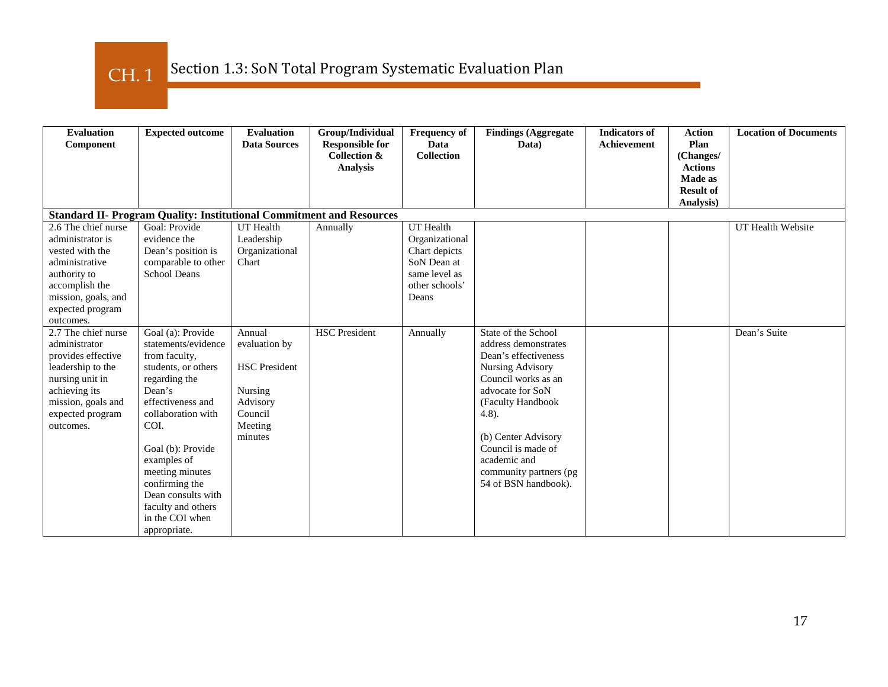CH. 1

| <b>Evaluation</b><br>Component                                                                                                                                             | <b>Expected outcome</b>                                                                                                                                                                                                                                                                                                | <b>Evaluation</b><br><b>Data Sources</b>                                                                | Group/Individual<br><b>Responsible for</b><br><b>Collection &amp;</b><br><b>Analysis</b> | <b>Frequency of</b><br>Data<br><b>Collection</b>                                                        | <b>Findings (Aggregate</b><br>Data)                                                                                                                                                                                                                                                 | <b>Indicators of</b><br>Achievement | <b>Action</b><br>Plan<br>(Changes/<br><b>Actions</b><br>Made as<br><b>Result of</b> | <b>Location of Documents</b> |
|----------------------------------------------------------------------------------------------------------------------------------------------------------------------------|------------------------------------------------------------------------------------------------------------------------------------------------------------------------------------------------------------------------------------------------------------------------------------------------------------------------|---------------------------------------------------------------------------------------------------------|------------------------------------------------------------------------------------------|---------------------------------------------------------------------------------------------------------|-------------------------------------------------------------------------------------------------------------------------------------------------------------------------------------------------------------------------------------------------------------------------------------|-------------------------------------|-------------------------------------------------------------------------------------|------------------------------|
|                                                                                                                                                                            |                                                                                                                                                                                                                                                                                                                        |                                                                                                         |                                                                                          |                                                                                                         |                                                                                                                                                                                                                                                                                     |                                     | Analysis)                                                                           |                              |
|                                                                                                                                                                            | <b>Standard II- Program Quality: Institutional Commitment and Resources</b>                                                                                                                                                                                                                                            |                                                                                                         |                                                                                          |                                                                                                         |                                                                                                                                                                                                                                                                                     |                                     |                                                                                     |                              |
| 2.6 The chief nurse<br>administrator is<br>vested with the<br>administrative<br>authority to<br>accomplish the<br>mission, goals, and<br>expected program<br>outcomes.     | Goal: Provide<br>evidence the<br>Dean's position is<br>comparable to other<br><b>School Deans</b>                                                                                                                                                                                                                      | <b>UT</b> Health<br>Leadership<br>Organizational<br>Chart                                               | Annually                                                                                 | UT Health<br>Organizational<br>Chart depicts<br>SoN Dean at<br>same level as<br>other schools'<br>Deans |                                                                                                                                                                                                                                                                                     |                                     |                                                                                     | UT Health Website            |
| 2.7 The chief nurse<br>administrator<br>provides effective<br>leadership to the<br>nursing unit in<br>achieving its<br>mission, goals and<br>expected program<br>outcomes. | Goal (a): Provide<br>statements/evidence<br>from faculty,<br>students, or others<br>regarding the<br>Dean's<br>effectiveness and<br>collaboration with<br>COI.<br>Goal (b): Provide<br>examples of<br>meeting minutes<br>confirming the<br>Dean consults with<br>faculty and others<br>in the COI when<br>appropriate. | Annual<br>evaluation by<br><b>HSC</b> President<br>Nursing<br>Advisory<br>Council<br>Meeting<br>minutes | <b>HSC</b> President                                                                     | Annually                                                                                                | State of the School<br>address demonstrates<br>Dean's effectiveness<br>Nursing Advisory<br>Council works as an<br>advocate for SoN<br>(Faculty Handbook<br>$4.8$ ).<br>(b) Center Advisory<br>Council is made of<br>academic and<br>community partners (pg)<br>54 of BSN handbook). |                                     |                                                                                     | Dean's Suite                 |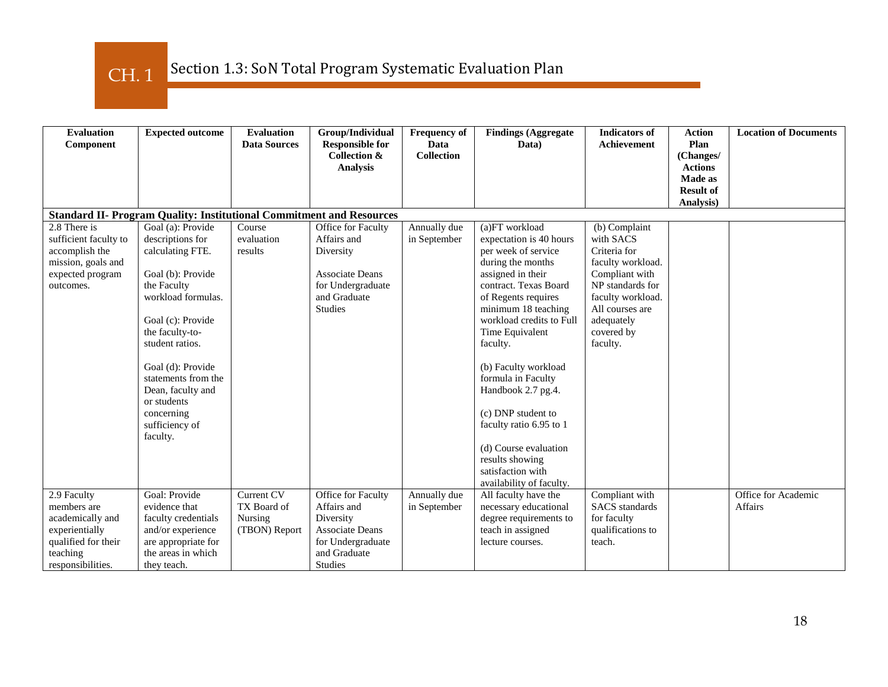CH. 1

| <b>Evaluation</b><br>Component                                                                                           | <b>Expected outcome</b>                                                                                                                                                                                                                                                                                    | <b>Evaluation</b><br><b>Data Sources</b>              | Group/Individual<br><b>Responsible for</b><br><b>Collection &amp;</b><br><b>Analysis</b>                                        | <b>Frequency of</b><br>Data<br><b>Collection</b> | <b>Findings (Aggregate</b><br>Data)                                                                                                                                                                                                                                                                                                                                                                           | <b>Indicators of</b><br><b>Achievement</b>                                                                                                                                            | <b>Action</b><br>Plan<br>(Changes/<br><b>Actions</b><br><b>Made as</b><br><b>Result of</b> | <b>Location of Documents</b>          |  |  |  |
|--------------------------------------------------------------------------------------------------------------------------|------------------------------------------------------------------------------------------------------------------------------------------------------------------------------------------------------------------------------------------------------------------------------------------------------------|-------------------------------------------------------|---------------------------------------------------------------------------------------------------------------------------------|--------------------------------------------------|---------------------------------------------------------------------------------------------------------------------------------------------------------------------------------------------------------------------------------------------------------------------------------------------------------------------------------------------------------------------------------------------------------------|---------------------------------------------------------------------------------------------------------------------------------------------------------------------------------------|--------------------------------------------------------------------------------------------|---------------------------------------|--|--|--|
|                                                                                                                          |                                                                                                                                                                                                                                                                                                            |                                                       |                                                                                                                                 |                                                  |                                                                                                                                                                                                                                                                                                                                                                                                               |                                                                                                                                                                                       | Analysis)                                                                                  |                                       |  |  |  |
|                                                                                                                          | <b>Standard II- Program Quality: Institutional Commitment and Resources</b>                                                                                                                                                                                                                                |                                                       |                                                                                                                                 |                                                  |                                                                                                                                                                                                                                                                                                                                                                                                               |                                                                                                                                                                                       |                                                                                            |                                       |  |  |  |
| 2.8 There is<br>sufficient faculty to<br>accomplish the<br>mission, goals and<br>expected program<br>outcomes.           | Goal (a): Provide<br>descriptions for<br>calculating FTE.<br>Goal (b): Provide<br>the Faculty<br>workload formulas.<br>Goal (c): Provide<br>the faculty-to-<br>student ratios.<br>Goal (d): Provide<br>statements from the<br>Dean, faculty and<br>or students<br>concerning<br>sufficiency of<br>faculty. | Course<br>evaluation<br>results                       | Office for Faculty<br>Affairs and<br>Diversity<br><b>Associate Deans</b><br>for Undergraduate<br>and Graduate<br><b>Studies</b> | Annually due<br>in September                     | (a)FT workload<br>expectation is 40 hours<br>per week of service<br>during the months<br>assigned in their<br>contract. Texas Board<br>of Regents requires<br>minimum 18 teaching<br>workload credits to Full<br>Time Equivalent<br>faculty.<br>(b) Faculty workload<br>formula in Faculty<br>Handbook 2.7 pg.4.<br>(c) DNP student to<br>faculty ratio 6.95 to 1<br>(d) Course evaluation<br>results showing | (b) Complaint<br>with SACS<br>Criteria for<br>faculty workload.<br>Compliant with<br>NP standards for<br>faculty workload.<br>All courses are<br>adequately<br>covered by<br>faculty. |                                                                                            |                                       |  |  |  |
|                                                                                                                          |                                                                                                                                                                                                                                                                                                            |                                                       |                                                                                                                                 |                                                  | satisfaction with<br>availability of faculty.                                                                                                                                                                                                                                                                                                                                                                 |                                                                                                                                                                                       |                                                                                            |                                       |  |  |  |
| 2.9 Faculty<br>members are<br>academically and<br>experientially<br>qualified for their<br>teaching<br>responsibilities. | Goal: Provide<br>evidence that<br>faculty credentials<br>and/or experience<br>are appropriate for<br>the areas in which<br>they teach.                                                                                                                                                                     | Current CV<br>TX Board of<br>Nursing<br>(TBON) Report | Office for Faculty<br>Affairs and<br>Diversity<br>Associate Deans<br>for Undergraduate<br>and Graduate<br><b>Studies</b>        | Annually due<br>in September                     | All faculty have the<br>necessary educational<br>degree requirements to<br>teach in assigned<br>lecture courses.                                                                                                                                                                                                                                                                                              | Compliant with<br><b>SACS</b> standards<br>for faculty<br>qualifications to<br>teach.                                                                                                 |                                                                                            | Office for Academic<br><b>Affairs</b> |  |  |  |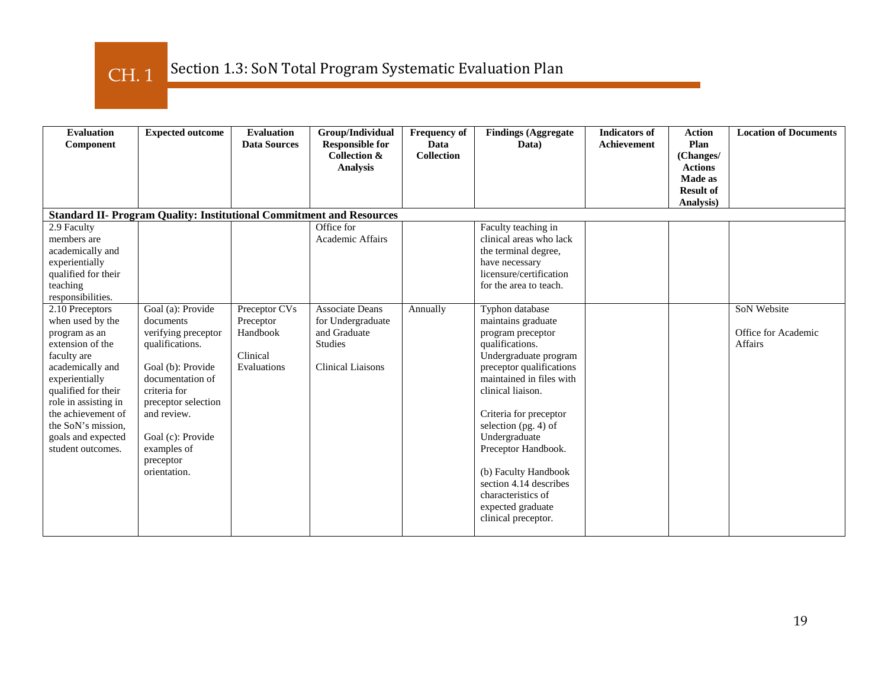CH. 1

| <b>Evaluation</b><br>Component                                                                                                                                                                                                                                      | <b>Expected outcome</b>                                                                                                                                                                                                                  | <b>Evaluation</b><br><b>Data Sources</b>                          | Group/Individual<br><b>Responsible for</b><br><b>Collection &amp;</b>                                     | <b>Frequency of</b><br>Data<br><b>Collection</b> | <b>Findings (Aggregate</b><br>Data)                                                                                                                                                                                                                                                                                                                                                               | <b>Indicators of</b><br><b>Achievement</b> | <b>Action</b><br>Plan<br>(Changes/                                | <b>Location of Documents</b>                         |
|---------------------------------------------------------------------------------------------------------------------------------------------------------------------------------------------------------------------------------------------------------------------|------------------------------------------------------------------------------------------------------------------------------------------------------------------------------------------------------------------------------------------|-------------------------------------------------------------------|-----------------------------------------------------------------------------------------------------------|--------------------------------------------------|---------------------------------------------------------------------------------------------------------------------------------------------------------------------------------------------------------------------------------------------------------------------------------------------------------------------------------------------------------------------------------------------------|--------------------------------------------|-------------------------------------------------------------------|------------------------------------------------------|
|                                                                                                                                                                                                                                                                     |                                                                                                                                                                                                                                          |                                                                   | <b>Analysis</b>                                                                                           |                                                  |                                                                                                                                                                                                                                                                                                                                                                                                   |                                            | <b>Actions</b><br><b>Made as</b><br><b>Result of</b><br>Analysis) |                                                      |
|                                                                                                                                                                                                                                                                     | <b>Standard II- Program Quality: Institutional Commitment and Resources</b>                                                                                                                                                              |                                                                   |                                                                                                           |                                                  |                                                                                                                                                                                                                                                                                                                                                                                                   |                                            |                                                                   |                                                      |
| 2.9 Faculty<br>members are<br>academically and<br>experientially<br>qualified for their<br>teaching<br>responsibilities.                                                                                                                                            |                                                                                                                                                                                                                                          |                                                                   | Office for<br>Academic Affairs                                                                            |                                                  | Faculty teaching in<br>clinical areas who lack<br>the terminal degree,<br>have necessary<br>licensure/certification<br>for the area to teach.                                                                                                                                                                                                                                                     |                                            |                                                                   |                                                      |
| 2.10 Preceptors<br>when used by the<br>program as an<br>extension of the<br>faculty are<br>academically and<br>experientially<br>qualified for their<br>role in assisting in<br>the achievement of<br>the SoN's mission.<br>goals and expected<br>student outcomes. | Goal (a): Provide<br>documents<br>verifying preceptor<br>qualifications.<br>Goal (b): Provide<br>documentation of<br>criteria for<br>preceptor selection<br>and review.<br>Goal (c): Provide<br>examples of<br>preceptor<br>orientation. | Preceptor CVs<br>Preceptor<br>Handbook<br>Clinical<br>Evaluations | <b>Associate Deans</b><br>for Undergraduate<br>and Graduate<br><b>Studies</b><br><b>Clinical Liaisons</b> | Annually                                         | Typhon database<br>maintains graduate<br>program preceptor<br>qualifications.<br>Undergraduate program<br>preceptor qualifications<br>maintained in files with<br>clinical liaison.<br>Criteria for preceptor<br>selection (pg. 4) of<br>Undergraduate<br>Preceptor Handbook.<br>(b) Faculty Handbook<br>section 4.14 describes<br>characteristics of<br>expected graduate<br>clinical preceptor. |                                            |                                                                   | SoN Website<br>Office for Academic<br><b>Affairs</b> |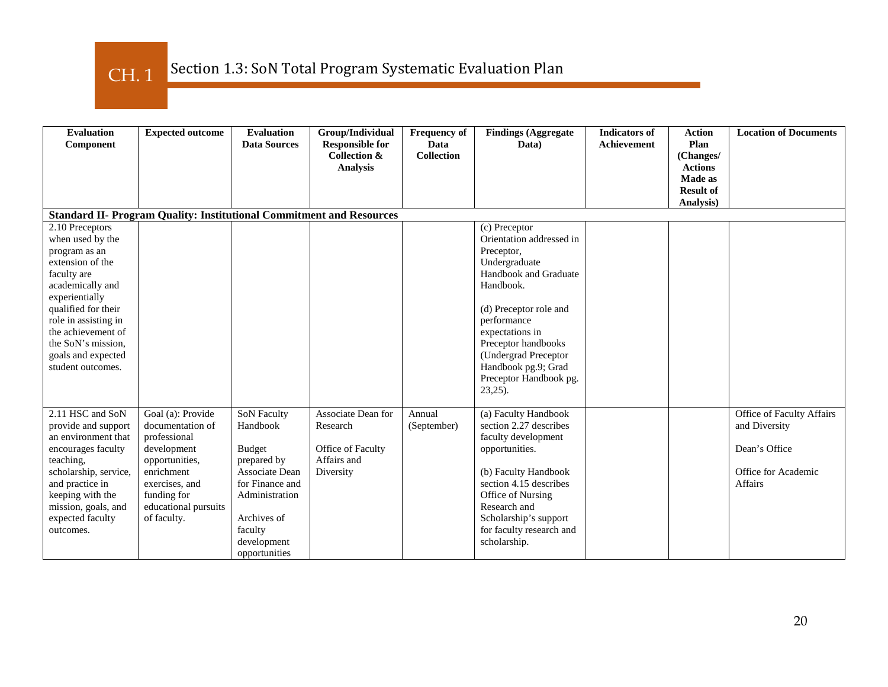CH. 1

| <b>Evaluation</b><br>Component                                                                                                                                                                                                                                      | <b>Expected outcome</b>                                                                                                                                                      | <b>Evaluation</b><br><b>Data Sources</b>                                                                                                                                               | Group/Individual<br><b>Responsible for</b><br><b>Collection &amp;</b><br><b>Analysis</b> | <b>Frequency of</b><br>Data<br><b>Collection</b> | <b>Findings (Aggregate</b><br>Data)                                                                                                                                                                                                                                                      | <b>Indicators of</b><br><b>Achievement</b> | <b>Action</b><br>Plan<br>(Changes/<br><b>Actions</b> | <b>Location of Documents</b>                                                                         |  |
|---------------------------------------------------------------------------------------------------------------------------------------------------------------------------------------------------------------------------------------------------------------------|------------------------------------------------------------------------------------------------------------------------------------------------------------------------------|----------------------------------------------------------------------------------------------------------------------------------------------------------------------------------------|------------------------------------------------------------------------------------------|--------------------------------------------------|------------------------------------------------------------------------------------------------------------------------------------------------------------------------------------------------------------------------------------------------------------------------------------------|--------------------------------------------|------------------------------------------------------|------------------------------------------------------------------------------------------------------|--|
|                                                                                                                                                                                                                                                                     |                                                                                                                                                                              |                                                                                                                                                                                        |                                                                                          |                                                  |                                                                                                                                                                                                                                                                                          |                                            | <b>Made as</b><br><b>Result of</b><br>Analysis)      |                                                                                                      |  |
| <b>Standard II- Program Quality: Institutional Commitment and Resources</b>                                                                                                                                                                                         |                                                                                                                                                                              |                                                                                                                                                                                        |                                                                                          |                                                  |                                                                                                                                                                                                                                                                                          |                                            |                                                      |                                                                                                      |  |
| 2.10 Preceptors<br>when used by the<br>program as an<br>extension of the<br>faculty are<br>academically and<br>experientially<br>qualified for their<br>role in assisting in<br>the achievement of<br>the SoN's mission,<br>goals and expected<br>student outcomes. |                                                                                                                                                                              |                                                                                                                                                                                        |                                                                                          |                                                  | (c) Preceptor<br>Orientation addressed in<br>Preceptor,<br>Undergraduate<br>Handbook and Graduate<br>Handbook.<br>(d) Preceptor role and<br>performance<br>expectations in<br>Preceptor handbooks<br>(Undergrad Preceptor<br>Handbook pg.9; Grad<br>Preceptor Handbook pg.<br>$23,25$ ). |                                            |                                                      |                                                                                                      |  |
| 2.11 HSC and SoN<br>provide and support<br>an environment that<br>encourages faculty<br>teaching,<br>scholarship, service,<br>and practice in<br>keeping with the<br>mission, goals, and<br>expected faculty<br>outcomes.                                           | Goal (a): Provide<br>documentation of<br>professional<br>development<br>opportunities,<br>enrichment<br>exercises, and<br>funding for<br>educational pursuits<br>of faculty. | <b>SoN Faculty</b><br>Handbook<br><b>Budget</b><br>prepared by<br><b>Associate Dean</b><br>for Finance and<br>Administration<br>Archives of<br>faculty<br>development<br>opportunities | Associate Dean for<br>Research<br>Office of Faculty<br>Affairs and<br>Diversity          | Annual<br>(September)                            | (a) Faculty Handbook<br>section 2.27 describes<br>faculty development<br>opportunities.<br>(b) Faculty Handbook<br>section 4.15 describes<br>Office of Nursing<br>Research and<br>Scholarship's support<br>for faculty research and<br>scholarship.                                      |                                            |                                                      | Office of Faculty Affairs<br>and Diversity<br>Dean's Office<br>Office for Academic<br><b>Affairs</b> |  |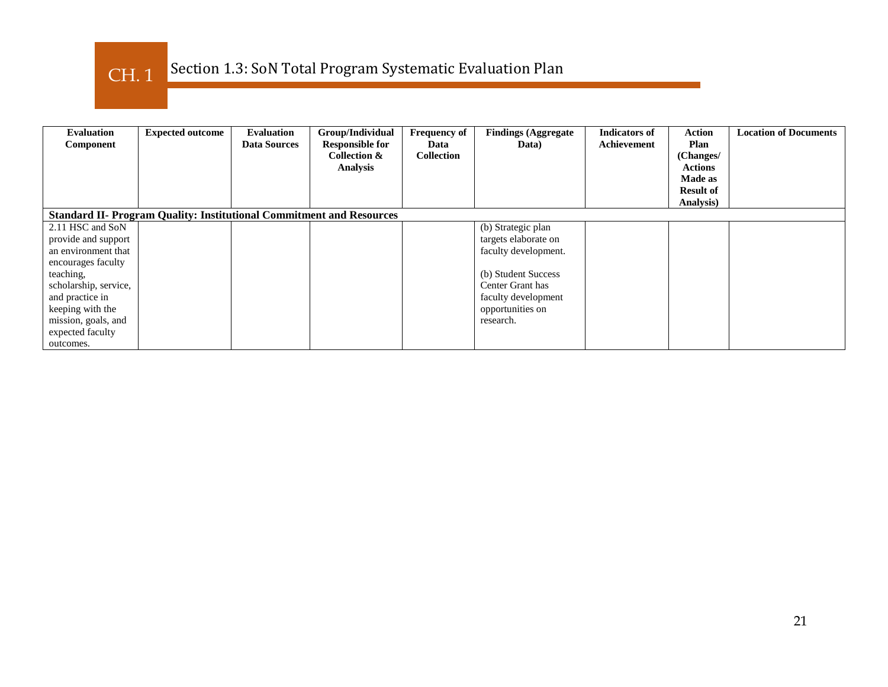

| <b>Evaluation</b><br>Component | <b>Expected outcome</b>                                                     | <b>Evaluation</b><br><b>Data Sources</b> | Group/Individual<br><b>Responsible for</b><br>Collection &<br><b>Analysis</b> | <b>Frequency of</b><br>Data<br><b>Collection</b> | <b>Findings (Aggregate</b><br>Data) | <b>Indicators of</b><br>Achievement | <b>Action</b><br>Plan<br>(Changes/<br><b>Actions</b><br><b>Made as</b><br><b>Result of</b><br>Analysis) | <b>Location of Documents</b> |
|--------------------------------|-----------------------------------------------------------------------------|------------------------------------------|-------------------------------------------------------------------------------|--------------------------------------------------|-------------------------------------|-------------------------------------|---------------------------------------------------------------------------------------------------------|------------------------------|
|                                | <b>Standard II- Program Quality: Institutional Commitment and Resources</b> |                                          |                                                                               |                                                  |                                     |                                     |                                                                                                         |                              |
| 2.11 HSC and SoN               |                                                                             |                                          |                                                                               |                                                  | (b) Strategic plan                  |                                     |                                                                                                         |                              |
| provide and support            |                                                                             |                                          |                                                                               |                                                  | targets elaborate on                |                                     |                                                                                                         |                              |
| an environment that            |                                                                             |                                          |                                                                               |                                                  | faculty development.                |                                     |                                                                                                         |                              |
| encourages faculty             |                                                                             |                                          |                                                                               |                                                  |                                     |                                     |                                                                                                         |                              |
| teaching,                      |                                                                             |                                          |                                                                               |                                                  | (b) Student Success                 |                                     |                                                                                                         |                              |
| scholarship, service,          |                                                                             |                                          |                                                                               |                                                  | Center Grant has                    |                                     |                                                                                                         |                              |
| and practice in                |                                                                             |                                          |                                                                               |                                                  | faculty development                 |                                     |                                                                                                         |                              |
| keeping with the               |                                                                             |                                          |                                                                               |                                                  | opportunities on                    |                                     |                                                                                                         |                              |
| mission, goals, and            |                                                                             |                                          |                                                                               |                                                  | research.                           |                                     |                                                                                                         |                              |
| expected faculty               |                                                                             |                                          |                                                                               |                                                  |                                     |                                     |                                                                                                         |                              |
| outcomes.                      |                                                                             |                                          |                                                                               |                                                  |                                     |                                     |                                                                                                         |                              |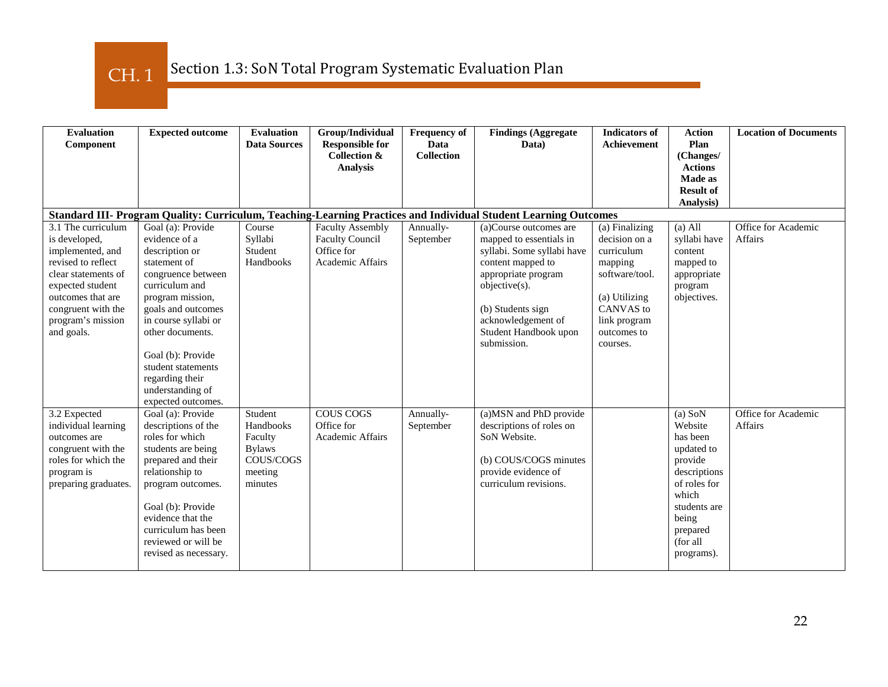CH. 1

| <b>Evaluation</b><br>Component                                                                                                                                                                         | <b>Expected outcome</b>                                                                                                                                                                                                                                                                                    | <b>Evaluation</b><br><b>Data Sources</b>                                            | Group/Individual<br><b>Responsible for</b><br>Collection &<br><b>Analysis</b>       | <b>Frequency of</b><br>Data<br><b>Collection</b> | <b>Findings (Aggregate</b><br>Data)                                                                                                                                                                                             | <b>Indicators of</b><br>Achievement                                                                                                                        | <b>Action</b><br>Plan<br>(Changes/<br><b>Actions</b><br>Made as                                                                                                   | <b>Location of Documents</b>          |  |
|--------------------------------------------------------------------------------------------------------------------------------------------------------------------------------------------------------|------------------------------------------------------------------------------------------------------------------------------------------------------------------------------------------------------------------------------------------------------------------------------------------------------------|-------------------------------------------------------------------------------------|-------------------------------------------------------------------------------------|--------------------------------------------------|---------------------------------------------------------------------------------------------------------------------------------------------------------------------------------------------------------------------------------|------------------------------------------------------------------------------------------------------------------------------------------------------------|-------------------------------------------------------------------------------------------------------------------------------------------------------------------|---------------------------------------|--|
|                                                                                                                                                                                                        |                                                                                                                                                                                                                                                                                                            |                                                                                     |                                                                                     |                                                  |                                                                                                                                                                                                                                 |                                                                                                                                                            | <b>Result of</b><br>Analysis)                                                                                                                                     |                                       |  |
| Standard III- Program Quality: Curriculum, Teaching-Learning Practices and Individual Student Learning Outcomes                                                                                        |                                                                                                                                                                                                                                                                                                            |                                                                                     |                                                                                     |                                                  |                                                                                                                                                                                                                                 |                                                                                                                                                            |                                                                                                                                                                   |                                       |  |
| 3.1 The curriculum<br>is developed,<br>implemented, and<br>revised to reflect<br>clear statements of<br>expected student<br>outcomes that are<br>congruent with the<br>program's mission<br>and goals. | Goal (a): Provide<br>evidence of a<br>description or<br>statement of<br>congruence between<br>curriculum and<br>program mission,<br>goals and outcomes<br>in course syllabi or<br>other documents.<br>Goal (b): Provide<br>student statements<br>regarding their<br>understanding of<br>expected outcomes. | Course<br>Syllabi<br>Student<br>Handbooks                                           | <b>Faculty Assembly</b><br><b>Faculty Council</b><br>Office for<br>Academic Affairs | Annually-<br>September                           | (a)Course outcomes are<br>mapped to essentials in<br>syllabi. Some syllabi have<br>content mapped to<br>appropriate program<br>objective(s).<br>(b) Students sign<br>acknowledgement of<br>Student Handbook upon<br>submission. | (a) Finalizing<br>decision on a<br>curriculum<br>mapping<br>software/tool.<br>(a) Utilizing<br><b>CANVAS</b> to<br>link program<br>outcomes to<br>courses. | $(a)$ All<br>syllabi have<br>content<br>mapped to<br>appropriate<br>program<br>objectives.                                                                        | Office for Academic<br><b>Affairs</b> |  |
| 3.2 Expected<br>individual learning<br>outcomes are<br>congruent with the<br>roles for which the<br>program is<br>preparing graduates.                                                                 | Goal (a): Provide<br>descriptions of the<br>roles for which<br>students are being<br>prepared and their<br>relationship to<br>program outcomes.<br>Goal (b): Provide<br>evidence that the<br>curriculum has been<br>reviewed or will be<br>revised as necessary.                                           | Student<br>Handbooks<br>Faculty<br><b>Bylaws</b><br>COUS/COGS<br>meeting<br>minutes | <b>COUS COGS</b><br>Office for<br><b>Academic Affairs</b>                           | Annually-<br>September                           | (a) MSN and PhD provide<br>descriptions of roles on<br>SoN Website.<br>(b) COUS/COGS minutes<br>provide evidence of<br>curriculum revisions.                                                                                    |                                                                                                                                                            | $(a)$ SoN<br>Website<br>has been<br>updated to<br>provide<br>descriptions<br>of roles for<br>which<br>students are<br>being<br>prepared<br>(for all<br>programs). | Office for Academic<br>Affairs        |  |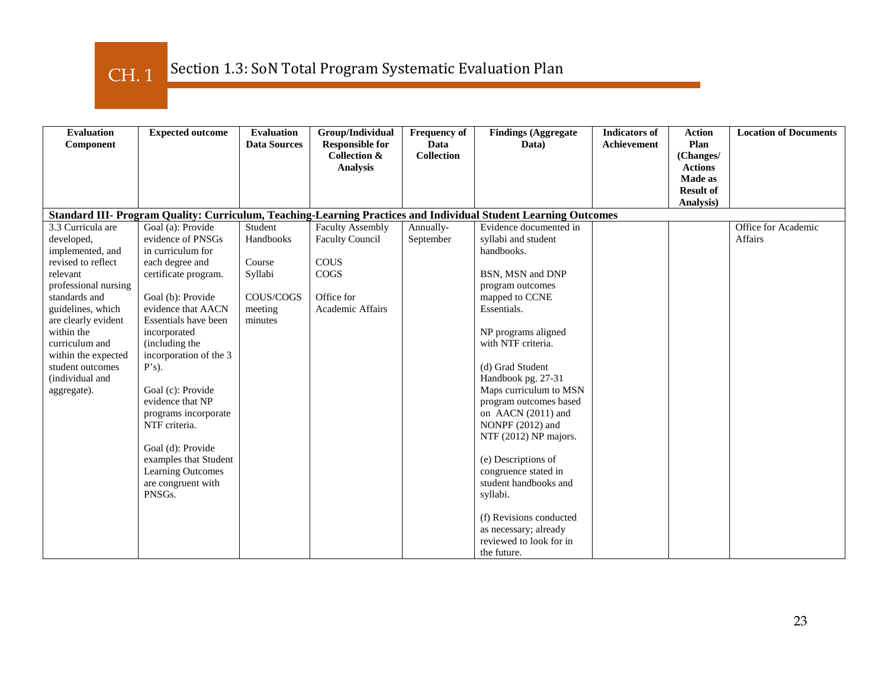CH. 1

| <b>Evaluation</b>    | <b>Expected outcome</b> | <b>Evaluation</b>   | Group/Individual                                  | <b>Frequency of</b>       | <b>Findings (Aggregate</b>                                                                                      | <b>Indicators of</b> | <b>Action</b>     | <b>Location of Documents</b> |
|----------------------|-------------------------|---------------------|---------------------------------------------------|---------------------------|-----------------------------------------------------------------------------------------------------------------|----------------------|-------------------|------------------------------|
| Component            |                         | <b>Data Sources</b> | <b>Responsible for</b><br><b>Collection &amp;</b> | Data<br><b>Collection</b> | Data)                                                                                                           | <b>Achievement</b>   | Plan<br>(Changes/ |                              |
|                      |                         |                     | <b>Analysis</b>                                   |                           |                                                                                                                 |                      | <b>Actions</b>    |                              |
|                      |                         |                     |                                                   |                           |                                                                                                                 |                      | <b>Made as</b>    |                              |
|                      |                         |                     |                                                   |                           |                                                                                                                 |                      | <b>Result of</b>  |                              |
|                      |                         |                     |                                                   |                           |                                                                                                                 |                      | Analysis)         |                              |
|                      |                         |                     |                                                   |                           | Standard III- Program Quality: Curriculum, Teaching-Learning Practices and Individual Student Learning Outcomes |                      |                   |                              |
| 3.3 Curricula are    | Goal (a): Provide       | Student             | <b>Faculty Assembly</b>                           | Annually-                 | Evidence documented in                                                                                          |                      |                   | Office for Academic          |
| developed,           | evidence of PNSGs       | Handbooks           | <b>Faculty Council</b>                            | September                 | syllabi and student                                                                                             |                      |                   | Affairs                      |
| implemented, and     | in curriculum for       |                     |                                                   |                           | handbooks.                                                                                                      |                      |                   |                              |
| revised to reflect   | each degree and         | Course              | <b>COUS</b>                                       |                           |                                                                                                                 |                      |                   |                              |
| relevant             | certificate program.    | Syllabi             | COGS                                              |                           | BSN, MSN and DNP                                                                                                |                      |                   |                              |
| professional nursing |                         |                     |                                                   |                           | program outcomes                                                                                                |                      |                   |                              |
| standards and        | Goal (b): Provide       | COUS/COGS           | Office for                                        |                           | mapped to CCNE                                                                                                  |                      |                   |                              |
| guidelines, which    | evidence that AACN      | meeting             | Academic Affairs                                  |                           | Essentials.                                                                                                     |                      |                   |                              |
| are clearly evident  | Essentials have been    | minutes             |                                                   |                           |                                                                                                                 |                      |                   |                              |
| within the           | incorporated            |                     |                                                   |                           | NP programs aligned                                                                                             |                      |                   |                              |
| curriculum and       | (including the          |                     |                                                   |                           | with NTF criteria.                                                                                              |                      |                   |                              |
| within the expected  | incorporation of the 3  |                     |                                                   |                           |                                                                                                                 |                      |                   |                              |
| student outcomes     | $P's$ ).                |                     |                                                   |                           | (d) Grad Student                                                                                                |                      |                   |                              |
| (individual and      | Goal (c): Provide       |                     |                                                   |                           | Handbook pg. 27-31                                                                                              |                      |                   |                              |
| aggregate).          | evidence that NP        |                     |                                                   |                           | Maps curriculum to MSN                                                                                          |                      |                   |                              |
|                      | programs incorporate    |                     |                                                   |                           | program outcomes based<br>on AACN (2011) and                                                                    |                      |                   |                              |
|                      | NTF criteria.           |                     |                                                   |                           | NONPF (2012) and                                                                                                |                      |                   |                              |
|                      |                         |                     |                                                   |                           | NTF (2012) NP majors.                                                                                           |                      |                   |                              |
|                      | Goal (d): Provide       |                     |                                                   |                           |                                                                                                                 |                      |                   |                              |
|                      | examples that Student   |                     |                                                   |                           | (e) Descriptions of                                                                                             |                      |                   |                              |
|                      | Learning Outcomes       |                     |                                                   |                           | congruence stated in                                                                                            |                      |                   |                              |
|                      | are congruent with      |                     |                                                   |                           | student handbooks and                                                                                           |                      |                   |                              |
|                      | PNSGs.                  |                     |                                                   |                           | syllabi.                                                                                                        |                      |                   |                              |
|                      |                         |                     |                                                   |                           |                                                                                                                 |                      |                   |                              |
|                      |                         |                     |                                                   |                           | (f) Revisions conducted                                                                                         |                      |                   |                              |
|                      |                         |                     |                                                   |                           | as necessary; already                                                                                           |                      |                   |                              |
|                      |                         |                     |                                                   |                           | reviewed to look for in                                                                                         |                      |                   |                              |
|                      |                         |                     |                                                   |                           | the future.                                                                                                     |                      |                   |                              |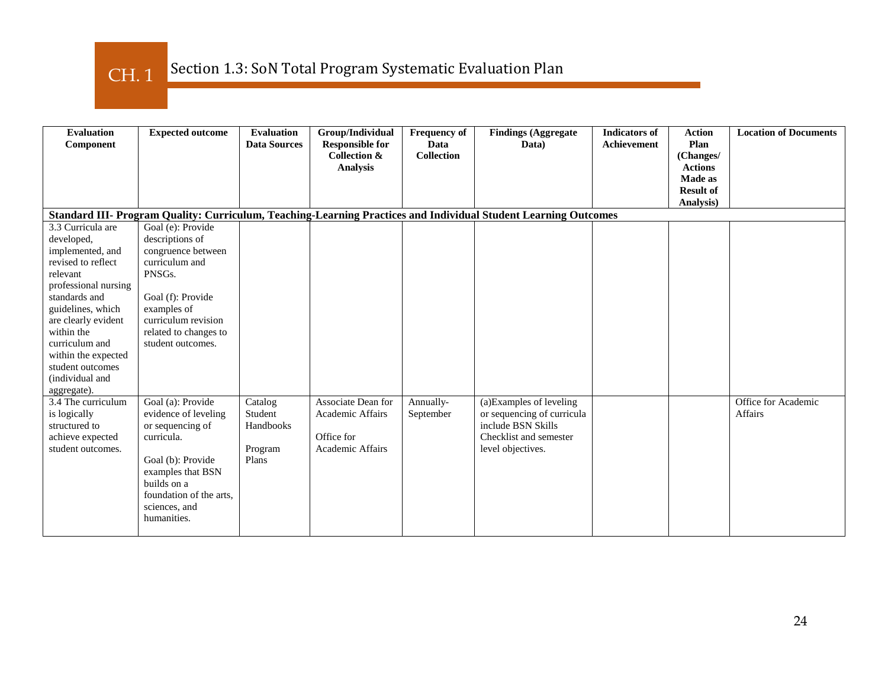CH. 1

| <b>Evaluation</b><br><b>Expected outcome</b><br>Component<br>Standard III- Program Quality: Curriculum, Teaching-Learning Practices and Individual Student Learning Outcomes | <b>Evaluation</b><br><b>Data Sources</b> | Group/Individual<br><b>Responsible for</b><br><b>Collection &amp;</b><br><b>Analysis</b> | <b>Frequency of</b><br>Data<br><b>Collection</b> | <b>Findings (Aggregate</b><br>Data)              | <b>Indicators of</b><br><b>Achievement</b> | <b>Action</b><br>Plan<br>(Changes/<br><b>Actions</b><br><b>Made as</b><br><b>Result of</b><br>Analysis) | <b>Location of Documents</b> |
|------------------------------------------------------------------------------------------------------------------------------------------------------------------------------|------------------------------------------|------------------------------------------------------------------------------------------|--------------------------------------------------|--------------------------------------------------|--------------------------------------------|---------------------------------------------------------------------------------------------------------|------------------------------|
| 3.3 Curricula are<br>Goal (e): Provide                                                                                                                                       |                                          |                                                                                          |                                                  |                                                  |                                            |                                                                                                         |                              |
| descriptions of<br>developed,                                                                                                                                                |                                          |                                                                                          |                                                  |                                                  |                                            |                                                                                                         |                              |
| congruence between<br>implemented, and                                                                                                                                       |                                          |                                                                                          |                                                  |                                                  |                                            |                                                                                                         |                              |
| curriculum and<br>revised to reflect                                                                                                                                         |                                          |                                                                                          |                                                  |                                                  |                                            |                                                                                                         |                              |
| PNSGs.<br>relevant                                                                                                                                                           |                                          |                                                                                          |                                                  |                                                  |                                            |                                                                                                         |                              |
| professional nursing                                                                                                                                                         |                                          |                                                                                          |                                                  |                                                  |                                            |                                                                                                         |                              |
| standards and<br>Goal (f): Provide                                                                                                                                           |                                          |                                                                                          |                                                  |                                                  |                                            |                                                                                                         |                              |
| guidelines, which<br>examples of<br>curriculum revision                                                                                                                      |                                          |                                                                                          |                                                  |                                                  |                                            |                                                                                                         |                              |
| are clearly evident<br>within the<br>related to changes to                                                                                                                   |                                          |                                                                                          |                                                  |                                                  |                                            |                                                                                                         |                              |
| curriculum and<br>student outcomes.                                                                                                                                          |                                          |                                                                                          |                                                  |                                                  |                                            |                                                                                                         |                              |
| within the expected                                                                                                                                                          |                                          |                                                                                          |                                                  |                                                  |                                            |                                                                                                         |                              |
| student outcomes                                                                                                                                                             |                                          |                                                                                          |                                                  |                                                  |                                            |                                                                                                         |                              |
| (individual and                                                                                                                                                              |                                          |                                                                                          |                                                  |                                                  |                                            |                                                                                                         |                              |
| aggregate).                                                                                                                                                                  |                                          |                                                                                          |                                                  |                                                  |                                            |                                                                                                         |                              |
| 3.4 The curriculum<br>Goal (a): Provide                                                                                                                                      | Catalog                                  | Associate Dean for                                                                       | Annually-                                        | (a)Examples of leveling                          |                                            |                                                                                                         | Office for Academic          |
| is logically<br>evidence of leveling<br>structured to<br>or sequencing of                                                                                                    | Student<br>Handbooks                     | Academic Affairs                                                                         | September                                        | or sequencing of curricula<br>include BSN Skills |                                            |                                                                                                         | <b>Affairs</b>               |
| curricula.<br>achieve expected                                                                                                                                               |                                          | Office for                                                                               |                                                  | Checklist and semester                           |                                            |                                                                                                         |                              |
| student outcomes.                                                                                                                                                            | Program                                  | Academic Affairs                                                                         |                                                  | level objectives.                                |                                            |                                                                                                         |                              |
| Goal (b): Provide                                                                                                                                                            | Plans                                    |                                                                                          |                                                  |                                                  |                                            |                                                                                                         |                              |
| examples that BSN                                                                                                                                                            |                                          |                                                                                          |                                                  |                                                  |                                            |                                                                                                         |                              |
| builds on a                                                                                                                                                                  |                                          |                                                                                          |                                                  |                                                  |                                            |                                                                                                         |                              |
| foundation of the arts,                                                                                                                                                      |                                          |                                                                                          |                                                  |                                                  |                                            |                                                                                                         |                              |
| sciences, and                                                                                                                                                                |                                          |                                                                                          |                                                  |                                                  |                                            |                                                                                                         |                              |
| humanities.                                                                                                                                                                  |                                          |                                                                                          |                                                  |                                                  |                                            |                                                                                                         |                              |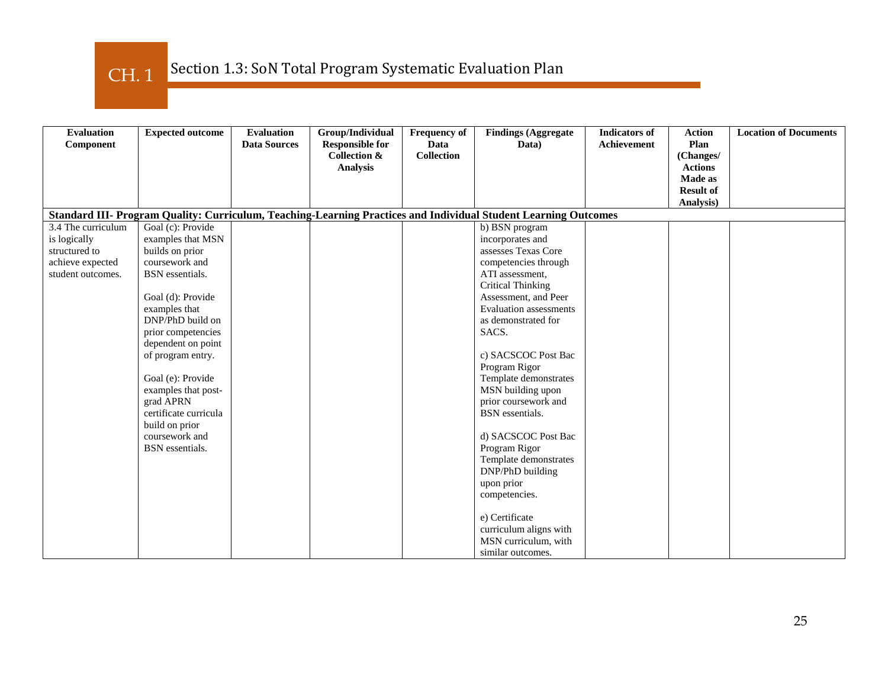CH. 1

| <b>Evaluation</b>  | <b>Expected outcome</b> | <b>Evaluation</b>   | Group/Individual        | <b>Frequency of</b> | <b>Findings (Aggregate</b>                                                                                      | <b>Indicators</b> of | <b>Action</b>    | <b>Location of Documents</b> |
|--------------------|-------------------------|---------------------|-------------------------|---------------------|-----------------------------------------------------------------------------------------------------------------|----------------------|------------------|------------------------------|
| Component          |                         | <b>Data Sources</b> | <b>Responsible for</b>  | Data                | Data)                                                                                                           | <b>Achievement</b>   | Plan             |                              |
|                    |                         |                     | <b>Collection &amp;</b> | <b>Collection</b>   |                                                                                                                 |                      | (Changes/        |                              |
|                    |                         |                     | <b>Analysis</b>         |                     |                                                                                                                 |                      | <b>Actions</b>   |                              |
|                    |                         |                     |                         |                     |                                                                                                                 |                      | <b>Made as</b>   |                              |
|                    |                         |                     |                         |                     |                                                                                                                 |                      | <b>Result of</b> |                              |
|                    |                         |                     |                         |                     | Standard III- Program Quality: Curriculum, Teaching-Learning Practices and Individual Student Learning Outcomes |                      | Analysis)        |                              |
| 3.4 The curriculum | Goal (c): Provide       |                     |                         |                     | b) BSN program                                                                                                  |                      |                  |                              |
| is logically       | examples that MSN       |                     |                         |                     | incorporates and                                                                                                |                      |                  |                              |
| structured to      | builds on prior         |                     |                         |                     | assesses Texas Core                                                                                             |                      |                  |                              |
| achieve expected   | coursework and          |                     |                         |                     | competencies through                                                                                            |                      |                  |                              |
| student outcomes.  | BSN essentials.         |                     |                         |                     | ATI assessment,                                                                                                 |                      |                  |                              |
|                    |                         |                     |                         |                     | <b>Critical Thinking</b>                                                                                        |                      |                  |                              |
|                    | Goal (d): Provide       |                     |                         |                     | Assessment, and Peer                                                                                            |                      |                  |                              |
|                    | examples that           |                     |                         |                     | <b>Evaluation</b> assessments                                                                                   |                      |                  |                              |
|                    | DNP/PhD build on        |                     |                         |                     | as demonstrated for                                                                                             |                      |                  |                              |
|                    | prior competencies      |                     |                         |                     | SACS.                                                                                                           |                      |                  |                              |
|                    | dependent on point      |                     |                         |                     |                                                                                                                 |                      |                  |                              |
|                    | of program entry.       |                     |                         |                     | c) SACSCOC Post Bac                                                                                             |                      |                  |                              |
|                    |                         |                     |                         |                     | Program Rigor                                                                                                   |                      |                  |                              |
|                    | Goal (e): Provide       |                     |                         |                     | Template demonstrates                                                                                           |                      |                  |                              |
|                    | examples that post-     |                     |                         |                     | MSN building upon                                                                                               |                      |                  |                              |
|                    | grad APRN               |                     |                         |                     | prior coursework and                                                                                            |                      |                  |                              |
|                    | certificate curricula   |                     |                         |                     | <b>BSN</b> essentials.                                                                                          |                      |                  |                              |
|                    | build on prior          |                     |                         |                     |                                                                                                                 |                      |                  |                              |
|                    | coursework and          |                     |                         |                     | d) SACSCOC Post Bac                                                                                             |                      |                  |                              |
|                    | <b>BSN</b> essentials.  |                     |                         |                     | Program Rigor                                                                                                   |                      |                  |                              |
|                    |                         |                     |                         |                     | Template demonstrates                                                                                           |                      |                  |                              |
|                    |                         |                     |                         |                     | DNP/PhD building                                                                                                |                      |                  |                              |
|                    |                         |                     |                         |                     | upon prior                                                                                                      |                      |                  |                              |
|                    |                         |                     |                         |                     | competencies.                                                                                                   |                      |                  |                              |
|                    |                         |                     |                         |                     | e) Certificate                                                                                                  |                      |                  |                              |
|                    |                         |                     |                         |                     | curriculum aligns with                                                                                          |                      |                  |                              |
|                    |                         |                     |                         |                     | MSN curriculum, with                                                                                            |                      |                  |                              |
|                    |                         |                     |                         |                     | similar outcomes.                                                                                               |                      |                  |                              |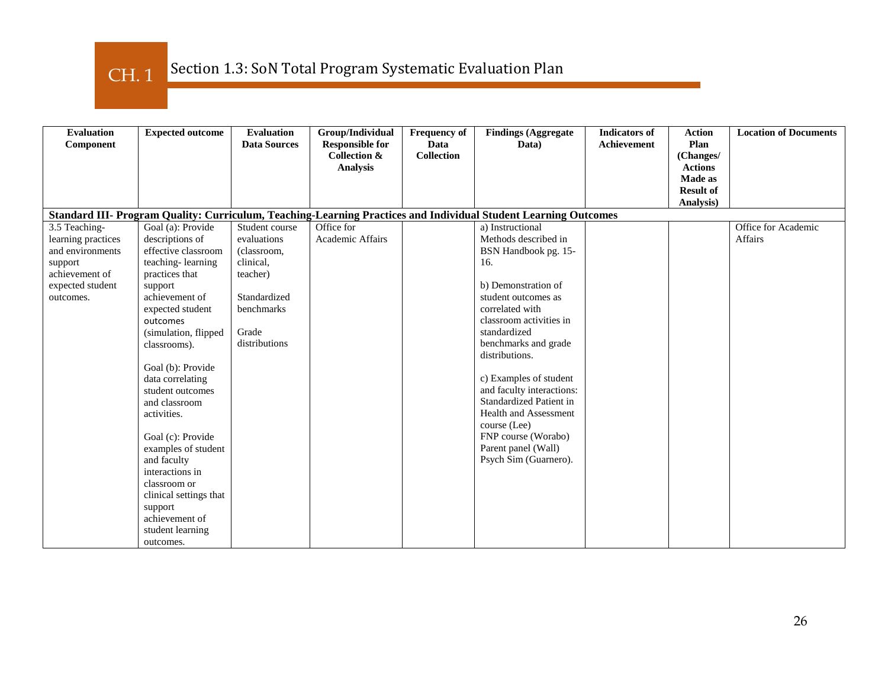CH. 1

| <b>Evaluation</b><br>Component | <b>Expected outcome</b>            | <b>Evaluation</b><br><b>Data Sources</b> | Group/Individual<br><b>Responsible for</b> | <b>Frequency of</b><br>Data | <b>Findings (Aggregate</b><br>Data)                                                                             | <b>Indicators of</b><br>Achievement | <b>Action</b><br>Plan     | <b>Location of Documents</b> |
|--------------------------------|------------------------------------|------------------------------------------|--------------------------------------------|-----------------------------|-----------------------------------------------------------------------------------------------------------------|-------------------------------------|---------------------------|------------------------------|
|                                |                                    |                                          | Collection &                               | <b>Collection</b>           |                                                                                                                 |                                     | (Changes/                 |                              |
|                                |                                    |                                          | <b>Analysis</b>                            |                             |                                                                                                                 |                                     | <b>Actions</b><br>Made as |                              |
|                                |                                    |                                          |                                            |                             |                                                                                                                 |                                     | <b>Result of</b>          |                              |
|                                |                                    |                                          |                                            |                             |                                                                                                                 |                                     | Analysis)                 |                              |
|                                |                                    |                                          |                                            |                             | Standard III- Program Quality: Curriculum, Teaching-Learning Practices and Individual Student Learning Outcomes |                                     |                           |                              |
| 3.5 Teaching-                  | Goal (a): Provide                  | Student course                           | Office for                                 |                             | a) Instructional                                                                                                |                                     |                           | Office for Academic          |
| learning practices             | descriptions of                    | evaluations                              | Academic Affairs                           |                             | Methods described in                                                                                            |                                     |                           | <b>Affairs</b>               |
| and environments               | effective classroom                | (classroom,                              |                                            |                             | BSN Handbook pg. 15-                                                                                            |                                     |                           |                              |
| support                        | teaching-learning                  | clinical,                                |                                            |                             | 16.                                                                                                             |                                     |                           |                              |
| achievement of                 | practices that                     | teacher)                                 |                                            |                             |                                                                                                                 |                                     |                           |                              |
| expected student               | support                            |                                          |                                            |                             | b) Demonstration of                                                                                             |                                     |                           |                              |
| outcomes.                      | achievement of                     | Standardized                             |                                            |                             | student outcomes as                                                                                             |                                     |                           |                              |
|                                | expected student                   | benchmarks                               |                                            |                             | correlated with                                                                                                 |                                     |                           |                              |
|                                | outcomes                           |                                          |                                            |                             | classroom activities in                                                                                         |                                     |                           |                              |
|                                | (simulation, flipped               | Grade                                    |                                            |                             | standardized                                                                                                    |                                     |                           |                              |
|                                | classrooms).                       | distributions                            |                                            |                             | benchmarks and grade                                                                                            |                                     |                           |                              |
|                                |                                    |                                          |                                            |                             | distributions.                                                                                                  |                                     |                           |                              |
|                                | Goal (b): Provide                  |                                          |                                            |                             |                                                                                                                 |                                     |                           |                              |
|                                | data correlating                   |                                          |                                            |                             | c) Examples of student                                                                                          |                                     |                           |                              |
|                                | student outcomes                   |                                          |                                            |                             | and faculty interactions:                                                                                       |                                     |                           |                              |
|                                | and classroom                      |                                          |                                            |                             | Standardized Patient in<br><b>Health and Assessment</b>                                                         |                                     |                           |                              |
|                                | activities.                        |                                          |                                            |                             | course (Lee)                                                                                                    |                                     |                           |                              |
|                                |                                    |                                          |                                            |                             | FNP course (Worabo)                                                                                             |                                     |                           |                              |
|                                | Goal (c): Provide                  |                                          |                                            |                             | Parent panel (Wall)                                                                                             |                                     |                           |                              |
|                                | examples of student<br>and faculty |                                          |                                            |                             | Psych Sim (Guarnero).                                                                                           |                                     |                           |                              |
|                                | interactions in                    |                                          |                                            |                             |                                                                                                                 |                                     |                           |                              |
|                                | classroom or                       |                                          |                                            |                             |                                                                                                                 |                                     |                           |                              |
|                                | clinical settings that             |                                          |                                            |                             |                                                                                                                 |                                     |                           |                              |
|                                | support                            |                                          |                                            |                             |                                                                                                                 |                                     |                           |                              |
|                                | achievement of                     |                                          |                                            |                             |                                                                                                                 |                                     |                           |                              |
|                                | student learning                   |                                          |                                            |                             |                                                                                                                 |                                     |                           |                              |
|                                | outcomes.                          |                                          |                                            |                             |                                                                                                                 |                                     |                           |                              |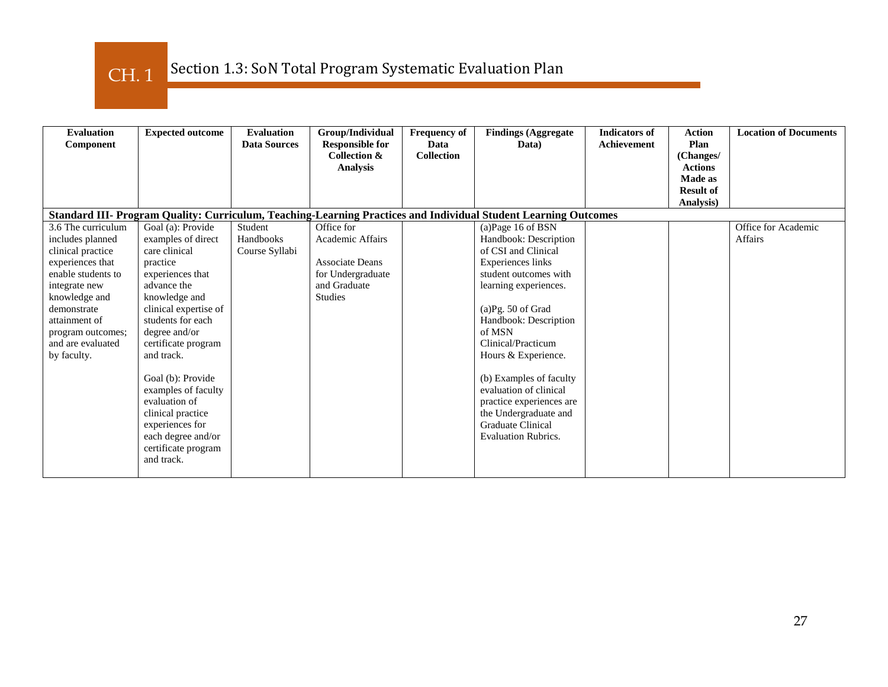CH. 1

| <b>Evaluation</b><br>Component                                                                                                                                                                                                   | <b>Expected outcome</b>                                                                                                                                                                                                                                                                                                                                                                      | <b>Evaluation</b><br><b>Data Sources</b> | Group/Individual<br><b>Responsible for</b><br>Collection &<br><b>Analysis</b>                                   | <b>Frequency of</b><br>Data<br><b>Collection</b> | <b>Findings (Aggregate)</b><br>Data)                                                                                                                                                                                                                                                                                                                                                                                  | <b>Indicators of</b><br><b>Achievement</b> | <b>Action</b><br>Plan<br>(Changes/<br><b>Actions</b><br>Made as | <b>Location of Documents</b>          |
|----------------------------------------------------------------------------------------------------------------------------------------------------------------------------------------------------------------------------------|----------------------------------------------------------------------------------------------------------------------------------------------------------------------------------------------------------------------------------------------------------------------------------------------------------------------------------------------------------------------------------------------|------------------------------------------|-----------------------------------------------------------------------------------------------------------------|--------------------------------------------------|-----------------------------------------------------------------------------------------------------------------------------------------------------------------------------------------------------------------------------------------------------------------------------------------------------------------------------------------------------------------------------------------------------------------------|--------------------------------------------|-----------------------------------------------------------------|---------------------------------------|
|                                                                                                                                                                                                                                  |                                                                                                                                                                                                                                                                                                                                                                                              |                                          |                                                                                                                 |                                                  |                                                                                                                                                                                                                                                                                                                                                                                                                       |                                            | <b>Result of</b><br><b>Analysis</b> )                           |                                       |
|                                                                                                                                                                                                                                  |                                                                                                                                                                                                                                                                                                                                                                                              |                                          |                                                                                                                 |                                                  | Standard III- Program Quality: Curriculum, Teaching-Learning Practices and Individual Student Learning Outcomes                                                                                                                                                                                                                                                                                                       |                                            |                                                                 |                                       |
| 3.6 The curriculum<br>includes planned<br>clinical practice<br>experiences that<br>enable students to<br>integrate new<br>knowledge and<br>demonstrate<br>attainment of<br>program outcomes;<br>and are evaluated<br>by faculty. | Goal (a): Provide<br>examples of direct<br>care clinical<br>practice<br>experiences that<br>advance the<br>knowledge and<br>clinical expertise of<br>students for each<br>degree and/or<br>certificate program<br>and track.<br>Goal (b): Provide<br>examples of faculty<br>evaluation of<br>clinical practice<br>experiences for<br>each degree and/or<br>certificate program<br>and track. | Student<br>Handbooks<br>Course Syllabi   | Office for<br>Academic Affairs<br><b>Associate Deans</b><br>for Undergraduate<br>and Graduate<br><b>Studies</b> |                                                  | (a) Page 16 of BSN<br>Handbook: Description<br>of CSI and Clinical<br>Experiences links<br>student outcomes with<br>learning experiences.<br>$(a)$ Pg. 50 of Grad<br>Handbook: Description<br>of MSN<br>Clinical/Practicum<br>Hours & Experience.<br>(b) Examples of faculty<br>evaluation of clinical<br>practice experiences are<br>the Undergraduate and<br><b>Graduate Clinical</b><br><b>Evaluation Rubrics.</b> |                                            |                                                                 | Office for Academic<br><b>Affairs</b> |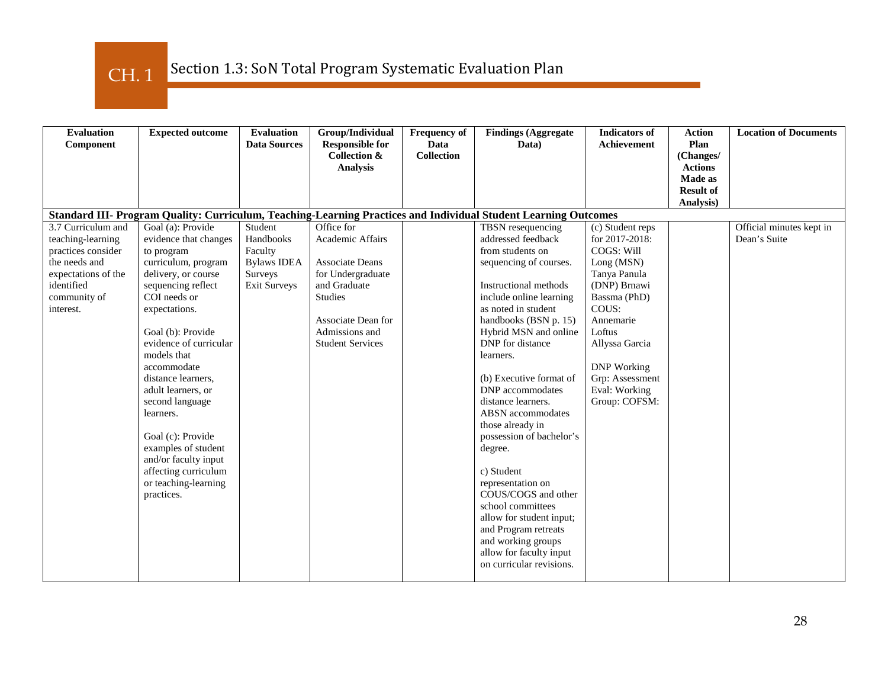CH. 1

| <b>Evaluation</b><br>Component                                                                                                                   | <b>Expected outcome</b>                                                                                                                                                                                                                                                                                                                                                                                                                                  | <b>Evaluation</b><br><b>Data Sources</b>                                                | Group/Individual<br><b>Responsible for</b><br><b>Collection &amp;</b><br><b>Analysis</b>                                                                             | <b>Frequency of</b><br><b>Data</b><br><b>Collection</b> | <b>Findings (Aggregate</b><br>Data)                                                                                                                                                                                                                                                                                                                                                                                                                                                                                                                                                                                             | <b>Indicators of</b><br><b>Achievement</b>                                                                                                                                                                                                  | <b>Action</b><br>Plan<br>(Changes/<br><b>Actions</b><br>Made as<br><b>Result of</b><br>Analysis) | <b>Location of Documents</b>             |
|--------------------------------------------------------------------------------------------------------------------------------------------------|----------------------------------------------------------------------------------------------------------------------------------------------------------------------------------------------------------------------------------------------------------------------------------------------------------------------------------------------------------------------------------------------------------------------------------------------------------|-----------------------------------------------------------------------------------------|----------------------------------------------------------------------------------------------------------------------------------------------------------------------|---------------------------------------------------------|---------------------------------------------------------------------------------------------------------------------------------------------------------------------------------------------------------------------------------------------------------------------------------------------------------------------------------------------------------------------------------------------------------------------------------------------------------------------------------------------------------------------------------------------------------------------------------------------------------------------------------|---------------------------------------------------------------------------------------------------------------------------------------------------------------------------------------------------------------------------------------------|--------------------------------------------------------------------------------------------------|------------------------------------------|
|                                                                                                                                                  |                                                                                                                                                                                                                                                                                                                                                                                                                                                          |                                                                                         |                                                                                                                                                                      |                                                         | Standard III- Program Quality: Curriculum, Teaching-Learning Practices and Individual Student Learning Outcomes                                                                                                                                                                                                                                                                                                                                                                                                                                                                                                                 |                                                                                                                                                                                                                                             |                                                                                                  |                                          |
| 3.7 Curriculum and<br>teaching-learning<br>practices consider<br>the needs and<br>expectations of the<br>identified<br>community of<br>interest. | Goal (a): Provide<br>evidence that changes<br>to program<br>curriculum, program<br>delivery, or course<br>sequencing reflect<br>COI needs or<br>expectations.<br>Goal (b): Provide<br>evidence of curricular<br>models that<br>accommodate<br>distance learners,<br>adult learners, or<br>second language<br>learners.<br>Goal (c): Provide<br>examples of student<br>and/or faculty input<br>affecting curriculum<br>or teaching-learning<br>practices. | Student<br>Handbooks<br>Faculty<br><b>Bylaws IDEA</b><br>Surveys<br><b>Exit Surveys</b> | Office for<br>Academic Affairs<br>Associate Deans<br>for Undergraduate<br>and Graduate<br>Studies<br>Associate Dean for<br>Admissions and<br><b>Student Services</b> |                                                         | TBSN resequencing<br>addressed feedback<br>from students on<br>sequencing of courses.<br>Instructional methods<br>include online learning<br>as noted in student<br>handbooks (BSN p. 15)<br>Hybrid MSN and online<br>DNP for distance<br>learners.<br>(b) Executive format of<br>DNP accommodates<br>distance learners.<br><b>ABSN</b> accommodates<br>those already in<br>possession of bachelor's<br>degree.<br>c) Student<br>representation on<br>COUS/COGS and other<br>school committees<br>allow for student input;<br>and Program retreats<br>and working groups<br>allow for faculty input<br>on curricular revisions. | (c) Student reps<br>for 2017-2018:<br>COGS: Will<br>Long (MSN)<br>Tanya Panula<br>(DNP) Brnawi<br>Bassma (PhD)<br>COUS:<br>Annemarie<br>Loftus<br>Allyssa Garcia<br><b>DNP</b> Working<br>Grp: Assessment<br>Eval: Working<br>Group: COFSM: |                                                                                                  | Official minutes kept in<br>Dean's Suite |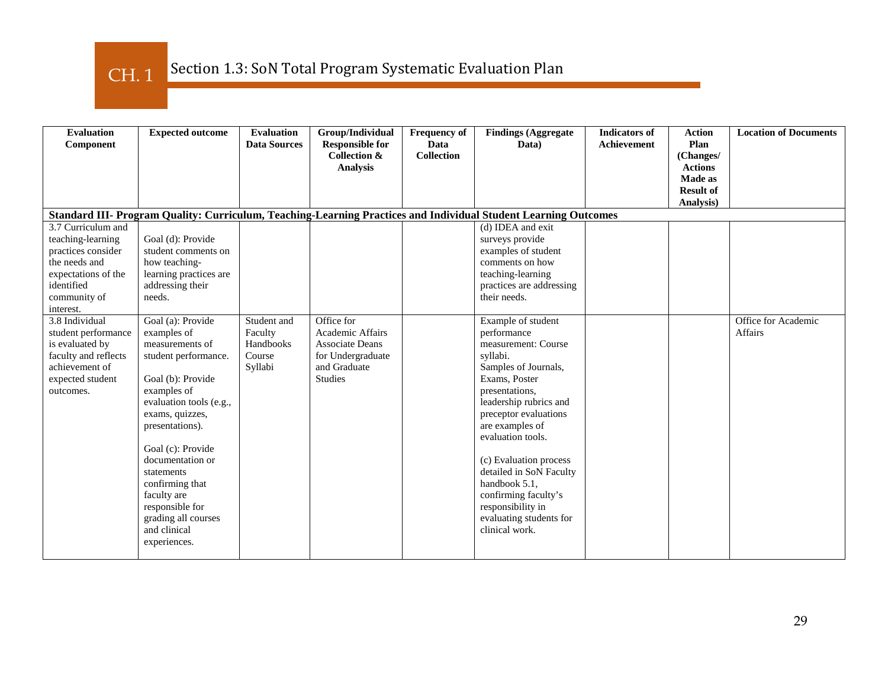CH. 1

| <b>Evaluation</b><br>Component                                                                                                                   | <b>Expected outcome</b>                                                                                                                                                                                                                                                                                                                             | <b>Evaluation</b><br><b>Data Sources</b>                 | Group/Individual<br><b>Responsible for</b><br><b>Collection &amp;</b><br><b>Analysis</b>                        | <b>Frequency of</b><br>Data<br><b>Collection</b> | <b>Findings (Aggregate</b><br>Data)                                                                                                                                                                                                                                                                                                                                                        | <b>Indicators of</b><br><b>Achievement</b> | <b>Action</b><br>Plan<br>(Changes/<br><b>Actions</b><br>Made as<br><b>Result of</b><br>Analysis) | <b>Location of Documents</b>          |
|--------------------------------------------------------------------------------------------------------------------------------------------------|-----------------------------------------------------------------------------------------------------------------------------------------------------------------------------------------------------------------------------------------------------------------------------------------------------------------------------------------------------|----------------------------------------------------------|-----------------------------------------------------------------------------------------------------------------|--------------------------------------------------|--------------------------------------------------------------------------------------------------------------------------------------------------------------------------------------------------------------------------------------------------------------------------------------------------------------------------------------------------------------------------------------------|--------------------------------------------|--------------------------------------------------------------------------------------------------|---------------------------------------|
|                                                                                                                                                  |                                                                                                                                                                                                                                                                                                                                                     |                                                          |                                                                                                                 |                                                  | Standard III- Program Quality: Curriculum, Teaching-Learning Practices and Individual Student Learning Outcomes                                                                                                                                                                                                                                                                            |                                            |                                                                                                  |                                       |
| 3.7 Curriculum and<br>teaching-learning<br>practices consider<br>the needs and<br>expectations of the<br>identified<br>community of<br>interest. | Goal (d): Provide<br>student comments on<br>how teaching-<br>learning practices are<br>addressing their<br>needs.                                                                                                                                                                                                                                   |                                                          |                                                                                                                 |                                                  | (d) IDEA and exit<br>surveys provide<br>examples of student<br>comments on how<br>teaching-learning<br>practices are addressing<br>their needs.                                                                                                                                                                                                                                            |                                            |                                                                                                  |                                       |
| 3.8 Individual<br>student performance<br>is evaluated by<br>faculty and reflects<br>achievement of<br>expected student<br>outcomes.              | Goal (a): Provide<br>examples of<br>measurements of<br>student performance.<br>Goal (b): Provide<br>examples of<br>evaluation tools (e.g.,<br>exams, quizzes,<br>presentations).<br>Goal (c): Provide<br>documentation or<br>statements<br>confirming that<br>faculty are<br>responsible for<br>grading all courses<br>and clinical<br>experiences. | Student and<br>Faculty<br>Handbooks<br>Course<br>Syllabi | Office for<br>Academic Affairs<br><b>Associate Deans</b><br>for Undergraduate<br>and Graduate<br><b>Studies</b> |                                                  | Example of student<br>performance<br>measurement: Course<br>syllabi.<br>Samples of Journals,<br>Exams, Poster<br>presentations,<br>leadership rubrics and<br>preceptor evaluations<br>are examples of<br>evaluation tools.<br>(c) Evaluation process<br>detailed in SoN Faculty<br>handbook 5.1.<br>confirming faculty's<br>responsibility in<br>evaluating students for<br>clinical work. |                                            |                                                                                                  | Office for Academic<br><b>Affairs</b> |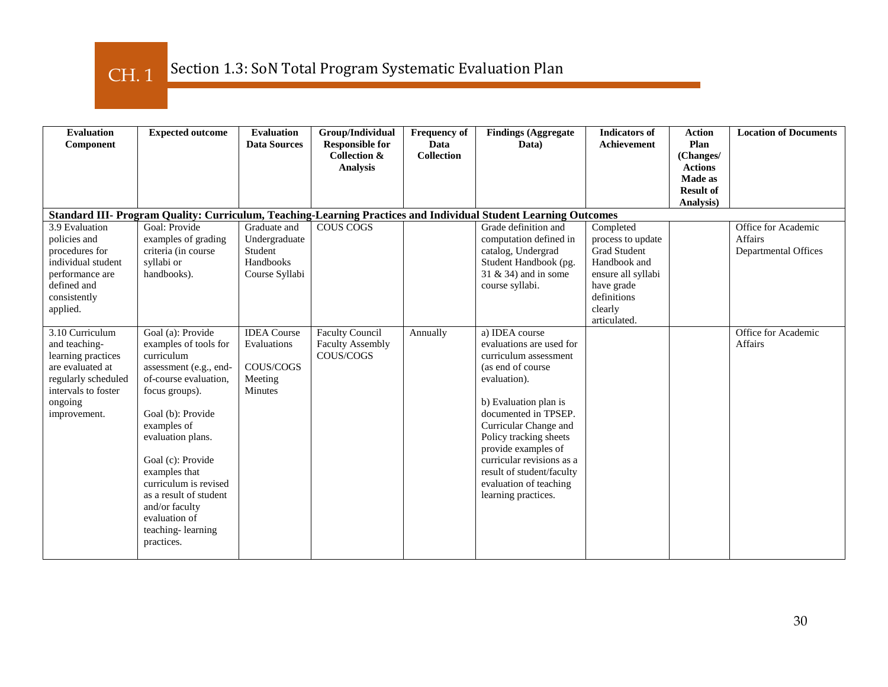CH. 1

| <b>Evaluation</b><br>Component                                                                                                                      | <b>Expected outcome</b>                                                                                                                                                                                                                                                                                                                               | <b>Evaluation</b><br><b>Data Sources</b>                                    | Group/Individual<br><b>Responsible for</b><br><b>Collection &amp;</b><br><b>Analysis</b> | <b>Frequency of</b><br>Data<br><b>Collection</b> | <b>Findings (Aggregate</b><br>Data)                                                                                                                                                                                                                                                                                                            | <b>Indicators of</b><br><b>Achievement</b>                                                                                                   | <b>Action</b><br>Plan<br>(Changes/<br><b>Actions</b><br>Made as<br><b>Result of</b><br>Analysis) | <b>Location of Documents</b>                                  |
|-----------------------------------------------------------------------------------------------------------------------------------------------------|-------------------------------------------------------------------------------------------------------------------------------------------------------------------------------------------------------------------------------------------------------------------------------------------------------------------------------------------------------|-----------------------------------------------------------------------------|------------------------------------------------------------------------------------------|--------------------------------------------------|------------------------------------------------------------------------------------------------------------------------------------------------------------------------------------------------------------------------------------------------------------------------------------------------------------------------------------------------|----------------------------------------------------------------------------------------------------------------------------------------------|--------------------------------------------------------------------------------------------------|---------------------------------------------------------------|
|                                                                                                                                                     |                                                                                                                                                                                                                                                                                                                                                       |                                                                             |                                                                                          |                                                  | Standard III- Program Quality: Curriculum, Teaching-Learning Practices and Individual Student Learning Outcomes                                                                                                                                                                                                                                |                                                                                                                                              |                                                                                                  |                                                               |
| 3.9 Evaluation<br>policies and<br>procedures for<br>individual student<br>performance are<br>defined and<br>consistently<br>applied.                | Goal: Provide<br>examples of grading<br>criteria (in course<br>syllabi or<br>handbooks).                                                                                                                                                                                                                                                              | Graduate and<br>Undergraduate<br>Student<br>Handbooks<br>Course Syllabi     | COUS COGS                                                                                |                                                  | Grade definition and<br>computation defined in<br>catalog, Undergrad<br>Student Handbook (pg.<br>31 & 34) and in some<br>course syllabi.                                                                                                                                                                                                       | Completed<br>process to update<br>Grad Student<br>Handbook and<br>ensure all syllabi<br>have grade<br>definitions<br>clearly<br>articulated. |                                                                                                  | Office for Academic<br><b>Affairs</b><br>Departmental Offices |
| 3.10 Curriculum<br>and teaching-<br>learning practices<br>are evaluated at<br>regularly scheduled<br>intervals to foster<br>ongoing<br>improvement. | Goal (a): Provide<br>examples of tools for<br>curriculum<br>assessment (e.g., end-<br>of-course evaluation.<br>focus groups).<br>Goal (b): Provide<br>examples of<br>evaluation plans.<br>Goal (c): Provide<br>examples that<br>curriculum is revised<br>as a result of student<br>and/or faculty<br>evaluation of<br>teaching-learning<br>practices. | <b>IDEA</b> Course<br>Evaluations<br>COUS/COGS<br>Meeting<br><b>Minutes</b> | <b>Faculty Council</b><br><b>Faculty Assembly</b><br>COUS/COGS                           | Annually                                         | a) IDEA course<br>evaluations are used for<br>curriculum assessment<br>(as end of course<br>evaluation).<br>b) Evaluation plan is<br>documented in TPSEP.<br>Curricular Change and<br>Policy tracking sheets<br>provide examples of<br>curricular revisions as a<br>result of student/faculty<br>evaluation of teaching<br>learning practices. |                                                                                                                                              |                                                                                                  | Office for Academic<br><b>Affairs</b>                         |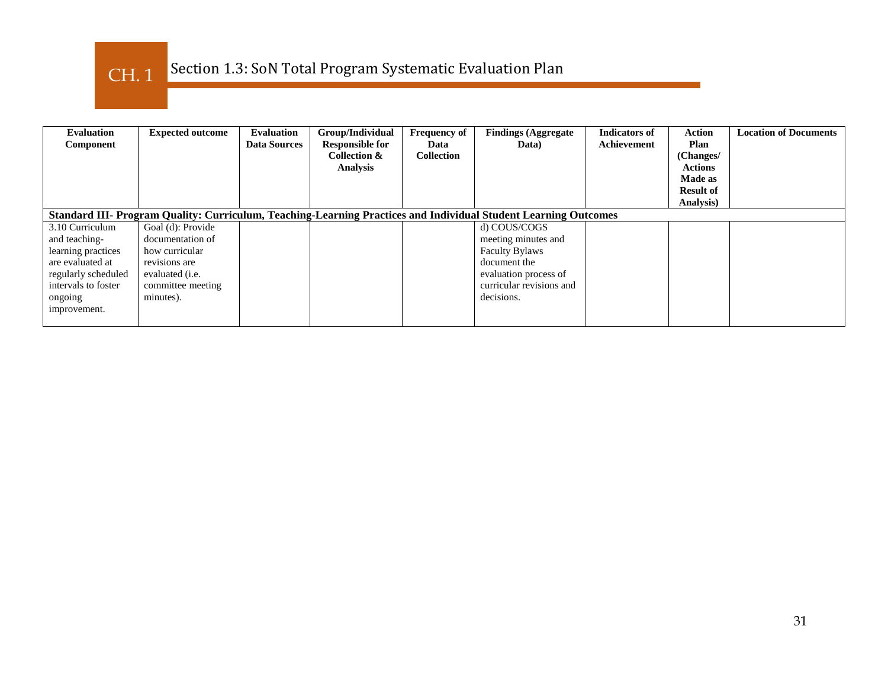

| <b>Evaluation</b><br>Component | <b>Expected outcome</b> | <b>Evaluation</b><br><b>Data Sources</b> | Group/Individual<br><b>Responsible for</b><br><b>Collection &amp;</b><br><b>Analysis</b> | <b>Frequency of</b><br>Data<br><b>Collection</b> | <b>Findings (Aggregate</b><br>Data)                                                                             | <b>Indicators of</b><br>Achievement | <b>Action</b><br>Plan<br>(Changes/<br><b>Actions</b><br>Made as<br><b>Result of</b> | <b>Location of Documents</b> |
|--------------------------------|-------------------------|------------------------------------------|------------------------------------------------------------------------------------------|--------------------------------------------------|-----------------------------------------------------------------------------------------------------------------|-------------------------------------|-------------------------------------------------------------------------------------|------------------------------|
|                                |                         |                                          |                                                                                          |                                                  |                                                                                                                 |                                     | Analysis)                                                                           |                              |
|                                |                         |                                          |                                                                                          |                                                  | Standard III- Program Quality: Curriculum, Teaching-Learning Practices and Individual Student Learning Outcomes |                                     |                                                                                     |                              |
| 3.10 Curriculum                | Goal (d): Provide       |                                          |                                                                                          |                                                  | d) COUS/COGS                                                                                                    |                                     |                                                                                     |                              |
| and teaching-                  | documentation of        |                                          |                                                                                          |                                                  | meeting minutes and                                                                                             |                                     |                                                                                     |                              |
| learning practices             | how curricular          |                                          |                                                                                          |                                                  | <b>Faculty Bylaws</b>                                                                                           |                                     |                                                                                     |                              |
| are evaluated at               | revisions are           |                                          |                                                                                          |                                                  | document the                                                                                                    |                                     |                                                                                     |                              |
| regularly scheduled            | evaluated ( <i>i.e.</i> |                                          |                                                                                          |                                                  | evaluation process of                                                                                           |                                     |                                                                                     |                              |
| intervals to foster            | committee meeting       |                                          |                                                                                          |                                                  | curricular revisions and                                                                                        |                                     |                                                                                     |                              |
| ongoing                        | minutes).               |                                          |                                                                                          |                                                  | decisions.                                                                                                      |                                     |                                                                                     |                              |
| improvement.                   |                         |                                          |                                                                                          |                                                  |                                                                                                                 |                                     |                                                                                     |                              |
|                                |                         |                                          |                                                                                          |                                                  |                                                                                                                 |                                     |                                                                                     |                              |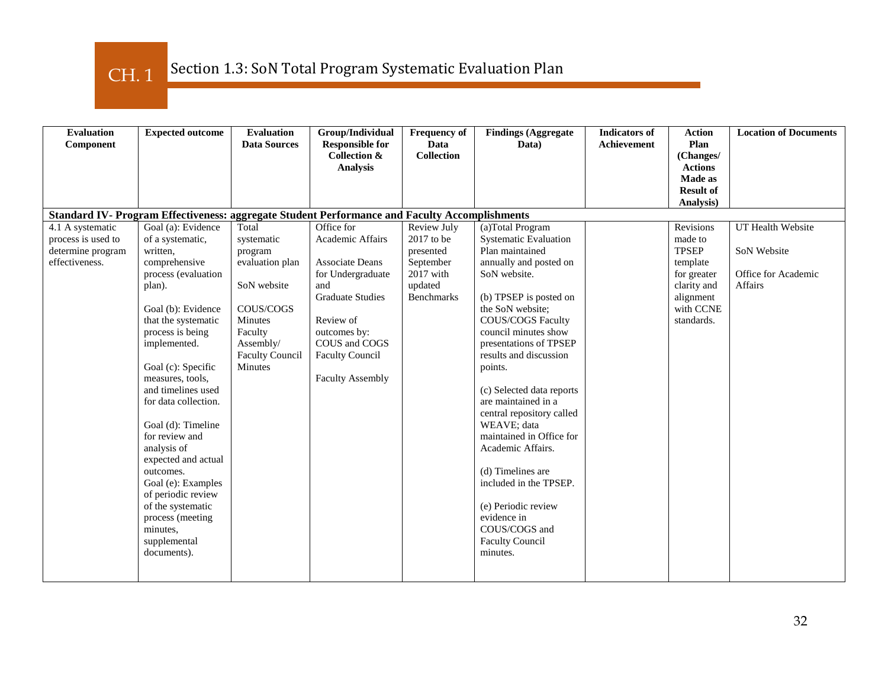CH. 1

| <b>Evaluation</b><br>Component                                                | <b>Expected outcome</b>                                                                                                                                                                                                                                                                                                                                                                                                                                                                                  | <b>Evaluation</b><br><b>Data Sources</b>                                                                                                              | Group/Individual<br><b>Responsible for</b><br><b>Collection &amp;</b><br><b>Analysis</b>                                                                                                                    | <b>Frequency of</b><br>Data<br><b>Collection</b>                                                     | <b>Findings (Aggregate</b><br>Data)                                                                                                                                                                                                                                                                                                                                                                                                                                                                                                                                  | <b>Indicators of</b><br><b>Achievement</b> | <b>Action</b><br>Plan<br>(Changes/<br><b>Actions</b><br>Made as<br><b>Result of</b>                                    | <b>Location of Documents</b>                                              |
|-------------------------------------------------------------------------------|----------------------------------------------------------------------------------------------------------------------------------------------------------------------------------------------------------------------------------------------------------------------------------------------------------------------------------------------------------------------------------------------------------------------------------------------------------------------------------------------------------|-------------------------------------------------------------------------------------------------------------------------------------------------------|-------------------------------------------------------------------------------------------------------------------------------------------------------------------------------------------------------------|------------------------------------------------------------------------------------------------------|----------------------------------------------------------------------------------------------------------------------------------------------------------------------------------------------------------------------------------------------------------------------------------------------------------------------------------------------------------------------------------------------------------------------------------------------------------------------------------------------------------------------------------------------------------------------|--------------------------------------------|------------------------------------------------------------------------------------------------------------------------|---------------------------------------------------------------------------|
|                                                                               | Standard IV- Program Effectiveness: aggregate Student Performance and Faculty Accomplishments                                                                                                                                                                                                                                                                                                                                                                                                            |                                                                                                                                                       |                                                                                                                                                                                                             |                                                                                                      |                                                                                                                                                                                                                                                                                                                                                                                                                                                                                                                                                                      |                                            | Analysis)                                                                                                              |                                                                           |
| 4.1 A systematic<br>process is used to<br>determine program<br>effectiveness. | Goal (a): Evidence<br>of a systematic,<br>written,<br>comprehensive<br>process (evaluation<br>plan).<br>Goal (b): Evidence<br>that the systematic<br>process is being<br>implemented.<br>Goal (c): Specific<br>measures, tools,<br>and timelines used<br>for data collection.<br>Goal (d): Timeline<br>for review and<br>analysis of<br>expected and actual<br>outcomes.<br>Goal (e): Examples<br>of periodic review<br>of the systematic<br>process (meeting<br>minutes.<br>supplemental<br>documents). | Total<br>systematic<br>program<br>evaluation plan<br>SoN website<br>COUS/COGS<br>Minutes<br>Faculty<br>Assembly/<br><b>Faculty Council</b><br>Minutes | Office for<br>Academic Affairs<br>Associate Deans<br>for Undergraduate<br>and<br><b>Graduate Studies</b><br>Review of<br>outcomes by:<br>COUS and COGS<br><b>Faculty Council</b><br><b>Faculty Assembly</b> | Review July<br>$2017$ to be<br>presented<br>September<br>$2017$ with<br>updated<br><b>Benchmarks</b> | (a)Total Program<br><b>Systematic Evaluation</b><br>Plan maintained<br>annually and posted on<br>SoN website.<br>(b) TPSEP is posted on<br>the SoN website;<br>COUS/COGS Faculty<br>council minutes show<br>presentations of TPSEP<br>results and discussion<br>points.<br>(c) Selected data reports<br>are maintained in a<br>central repository called<br>WEAVE: data<br>maintained in Office for<br>Academic Affairs.<br>(d) Timelines are<br>included in the TPSEP.<br>(e) Periodic review<br>evidence in<br>COUS/COGS and<br><b>Faculty Council</b><br>minutes. |                                            | Revisions<br>made to<br><b>TPSEP</b><br>template<br>for greater<br>clarity and<br>alignment<br>with CCNE<br>standards. | UT Health Website<br>SoN Website<br>Office for Academic<br><b>Affairs</b> |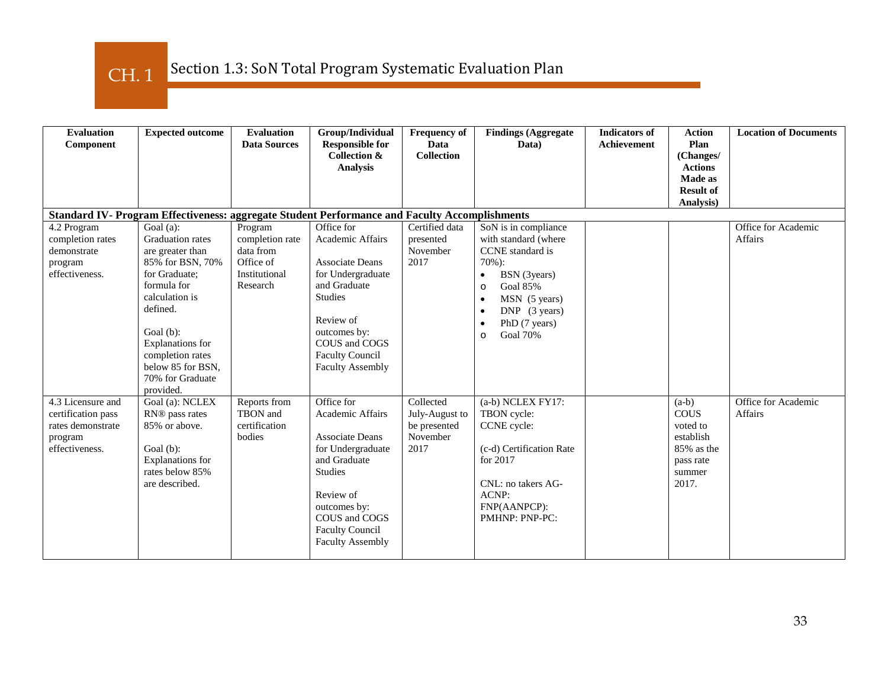CH. 1

| <b>Evaluation</b><br>Component                                                            | <b>Expected outcome</b>                                                                                                                                                                                                                               | <b>Evaluation</b><br><b>Data Sources</b>                                          | Group/Individual<br><b>Responsible for</b><br><b>Collection &amp;</b><br><b>Analysis</b>                                                                                                                           | <b>Frequency of</b><br>Data<br><b>Collection</b>                | <b>Findings (Aggregate</b><br>Data)                                                                                                                                                                                                                   | <b>Indicators of</b><br><b>Achievement</b> | <b>Action</b><br>Plan<br>(Changes/<br><b>Actions</b><br><b>Made as</b>                        | <b>Location of Documents</b>          |
|-------------------------------------------------------------------------------------------|-------------------------------------------------------------------------------------------------------------------------------------------------------------------------------------------------------------------------------------------------------|-----------------------------------------------------------------------------------|--------------------------------------------------------------------------------------------------------------------------------------------------------------------------------------------------------------------|-----------------------------------------------------------------|-------------------------------------------------------------------------------------------------------------------------------------------------------------------------------------------------------------------------------------------------------|--------------------------------------------|-----------------------------------------------------------------------------------------------|---------------------------------------|
|                                                                                           |                                                                                                                                                                                                                                                       |                                                                                   |                                                                                                                                                                                                                    |                                                                 |                                                                                                                                                                                                                                                       |                                            | <b>Result of</b><br>Analysis)                                                                 |                                       |
|                                                                                           | Standard IV- Program Effectiveness: aggregate Student Performance and Faculty Accomplishments                                                                                                                                                         |                                                                                   |                                                                                                                                                                                                                    |                                                                 |                                                                                                                                                                                                                                                       |                                            |                                                                                               |                                       |
| 4.2 Program<br>completion rates<br>demonstrate<br>program<br>effectiveness.               | Goal (a):<br><b>Graduation</b> rates<br>are greater than<br>85% for BSN, 70%<br>for Graduate;<br>formula for<br>calculation is<br>defined.<br>Goal (b):<br>Explanations for<br>completion rates<br>below 85 for BSN,<br>70% for Graduate<br>provided. | Program<br>completion rate<br>data from<br>Office of<br>Institutional<br>Research | Office for<br>Academic Affairs<br><b>Associate Deans</b><br>for Undergraduate<br>and Graduate<br><b>Studies</b><br>Review of<br>outcomes by:<br>COUS and COGS<br><b>Faculty Council</b><br><b>Faculty Assembly</b> | Certified data<br>presented<br>November<br>2017                 | SoN is in compliance<br>with standard (where<br>CCNE standard is<br>$70\%$ ):<br>BSN (3years)<br>$\bullet$<br><b>Goal 85%</b><br>$\circ$<br>MSN (5 years)<br>$DNP$ (3 years)<br>$\bullet$<br>PhD (7 years)<br>$\bullet$<br><b>Goal 70%</b><br>$\circ$ |                                            |                                                                                               | Office for Academic<br><b>Affairs</b> |
| 4.3 Licensure and<br>certification pass<br>rates demonstrate<br>program<br>effectiveness. | Goal (a): NCLEX<br>RN® pass rates<br>85% or above.<br>Goal (b):<br>Explanations for<br>rates below 85%<br>are described.                                                                                                                              | Reports from<br>TBON and<br>certification<br>bodies                               | Office for<br>Academic Affairs<br><b>Associate Deans</b><br>for Undergraduate<br>and Graduate<br><b>Studies</b><br>Review of<br>outcomes by:<br>COUS and COGS<br><b>Faculty Council</b><br><b>Faculty Assembly</b> | Collected<br>July-August to<br>be presented<br>November<br>2017 | (a-b) NCLEX FY17:<br>TBON cycle:<br>CCNE cycle:<br>(c-d) Certification Rate<br>for 2017<br>CNL: no takers AG-<br>ACNP:<br>FNP(AANPCP):<br>PMHNP: PNP-PC:                                                                                              |                                            | $(a-b)$<br><b>COUS</b><br>voted to<br>establish<br>85% as the<br>pass rate<br>summer<br>2017. | Office for Academic<br>Affairs        |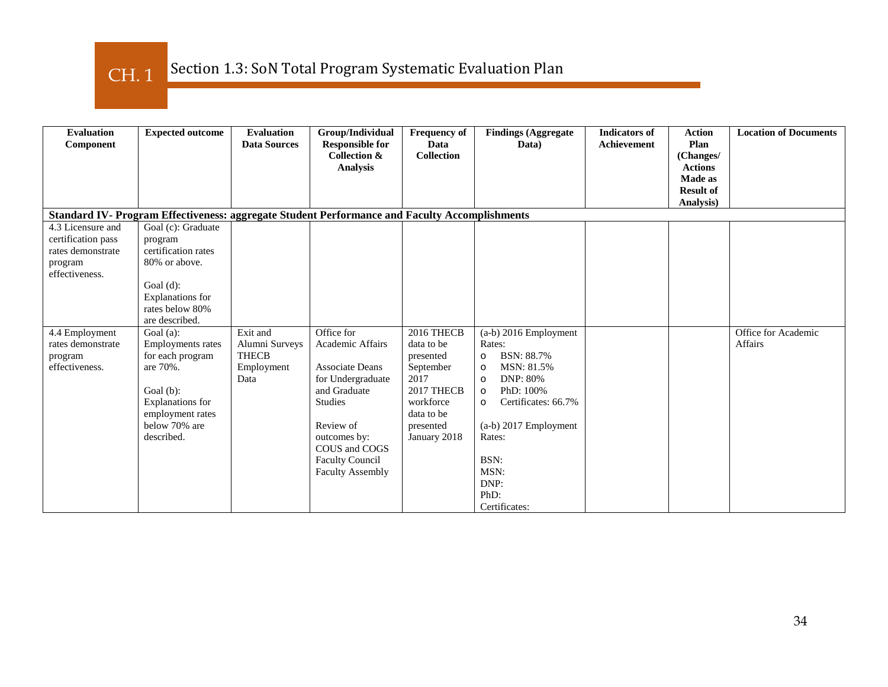| <b>Evaluation</b><br>Component                                                            | <b>Expected outcome</b>                                                                                                                                         | <b>Evaluation</b><br><b>Data Sources</b>                         | Group/Individual<br><b>Responsible for</b><br>Collection &<br><b>Analysis</b>                                                                                                                        | <b>Frequency of</b><br>Data<br><b>Collection</b>                                                                                 | <b>Findings (Aggregate</b><br>Data)                                                                                                                                                                                                                             | <b>Indicators of</b><br><b>Achievement</b> | <b>Action</b><br>Plan<br>(Changes/<br><b>Actions</b><br>Made as<br><b>Result of</b><br>Analysis) | <b>Location of Documents</b>          |
|-------------------------------------------------------------------------------------------|-----------------------------------------------------------------------------------------------------------------------------------------------------------------|------------------------------------------------------------------|------------------------------------------------------------------------------------------------------------------------------------------------------------------------------------------------------|----------------------------------------------------------------------------------------------------------------------------------|-----------------------------------------------------------------------------------------------------------------------------------------------------------------------------------------------------------------------------------------------------------------|--------------------------------------------|--------------------------------------------------------------------------------------------------|---------------------------------------|
|                                                                                           | Standard IV- Program Effectiveness: aggregate Student Performance and Faculty Accomplishments                                                                   |                                                                  |                                                                                                                                                                                                      |                                                                                                                                  |                                                                                                                                                                                                                                                                 |                                            |                                                                                                  |                                       |
| 4.3 Licensure and<br>certification pass<br>rates demonstrate<br>program<br>effectiveness. | Goal (c): Graduate<br>program<br>certification rates<br>80% or above.<br>Goal $(d)$ :<br>Explanations for<br>rates below 80%<br>are described.                  |                                                                  |                                                                                                                                                                                                      |                                                                                                                                  |                                                                                                                                                                                                                                                                 |                                            |                                                                                                  |                                       |
| 4.4 Employment<br>rates demonstrate<br>program<br>effectiveness.                          | Goal $(a)$ :<br><b>Employments</b> rates<br>for each program<br>are 70%.<br>Goal $(b)$ :<br>Explanations for<br>employment rates<br>below 70% are<br>described. | Exit and<br>Alumni Surveys<br><b>THECB</b><br>Employment<br>Data | Office for<br>Academic Affairs<br>Associate Deans<br>for Undergraduate<br>and Graduate<br>Studies<br>Review of<br>outcomes by:<br>COUS and COGS<br><b>Faculty Council</b><br><b>Faculty Assembly</b> | 2016 THECB<br>data to be<br>presented<br>September<br>2017<br>2017 THECB<br>workforce<br>data to be<br>presented<br>January 2018 | (a-b) 2016 Employment<br>Rates:<br>BSN: 88.7%<br>$\circ$<br>MSN: 81.5%<br>$\circ$<br><b>DNP: 80%</b><br>$\circ$<br>PhD: 100%<br>$\circ$<br>Certificates: 66.7%<br>$\circ$<br>$(a-b)$ 2017 Employment<br>Rates:<br>BSN:<br>MSN:<br>DNP:<br>PhD:<br>Certificates: |                                            |                                                                                                  | Office for Academic<br><b>Affairs</b> |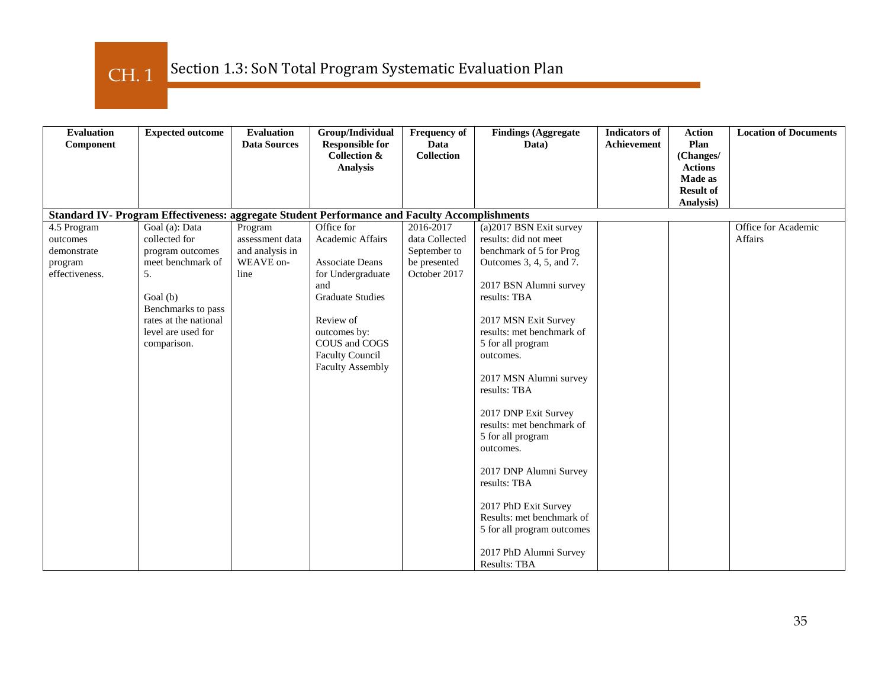CH. 1

| <b>Evaluation</b><br>Component | <b>Expected outcome</b>                                                                       | <b>Evaluation</b><br><b>Data Sources</b> | Group/Individual<br><b>Responsible for</b><br><b>Collection &amp;</b> | <b>Frequency of</b><br>Data<br><b>Collection</b> | <b>Findings (Aggregate</b><br>Data)                     | <b>Indicators of</b><br>Achievement | <b>Action</b><br>Plan<br>(Changes/ | <b>Location of Documents</b>   |
|--------------------------------|-----------------------------------------------------------------------------------------------|------------------------------------------|-----------------------------------------------------------------------|--------------------------------------------------|---------------------------------------------------------|-------------------------------------|------------------------------------|--------------------------------|
|                                |                                                                                               |                                          | <b>Analysis</b>                                                       |                                                  |                                                         |                                     | <b>Actions</b><br>Made as          |                                |
|                                |                                                                                               |                                          |                                                                       |                                                  |                                                         |                                     | <b>Result of</b><br>Analysis)      |                                |
|                                | Standard IV- Program Effectiveness: aggregate Student Performance and Faculty Accomplishments |                                          |                                                                       |                                                  |                                                         |                                     |                                    |                                |
| 4.5 Program<br>outcomes        | Goal (a): Data<br>collected for                                                               | Program<br>assessment data               | Office for<br>Academic Affairs                                        | 2016-2017<br>data Collected                      | (a)2017 BSN Exit survey<br>results: did not meet        |                                     |                                    | Office for Academic<br>Affairs |
| demonstrate                    | program outcomes                                                                              | and analysis in                          |                                                                       | September to                                     | benchmark of 5 for Prog                                 |                                     |                                    |                                |
| program                        | meet benchmark of                                                                             | WEAVE on-                                | <b>Associate Deans</b>                                                | be presented                                     | Outcomes 3, 4, 5, and 7.                                |                                     |                                    |                                |
| effectiveness.                 | .5.                                                                                           | line                                     | for Undergraduate                                                     | October 2017                                     |                                                         |                                     |                                    |                                |
|                                | Goal (b)                                                                                      |                                          | and<br><b>Graduate Studies</b>                                        |                                                  | 2017 BSN Alumni survey<br>results: TBA                  |                                     |                                    |                                |
|                                | Benchmarks to pass                                                                            |                                          |                                                                       |                                                  |                                                         |                                     |                                    |                                |
|                                | rates at the national                                                                         |                                          | Review of                                                             |                                                  | 2017 MSN Exit Survey                                    |                                     |                                    |                                |
|                                | level are used for<br>comparison.                                                             |                                          | outcomes by:<br>COUS and COGS                                         |                                                  | results: met benchmark of<br>5 for all program          |                                     |                                    |                                |
|                                |                                                                                               |                                          | <b>Faculty Council</b>                                                |                                                  | outcomes.                                               |                                     |                                    |                                |
|                                |                                                                                               |                                          | <b>Faculty Assembly</b>                                               |                                                  |                                                         |                                     |                                    |                                |
|                                |                                                                                               |                                          |                                                                       |                                                  | 2017 MSN Alumni survey<br>results: TBA                  |                                     |                                    |                                |
|                                |                                                                                               |                                          |                                                                       |                                                  | 2017 DNP Exit Survey                                    |                                     |                                    |                                |
|                                |                                                                                               |                                          |                                                                       |                                                  | results: met benchmark of                               |                                     |                                    |                                |
|                                |                                                                                               |                                          |                                                                       |                                                  | 5 for all program<br>outcomes.                          |                                     |                                    |                                |
|                                |                                                                                               |                                          |                                                                       |                                                  | 2017 DNP Alumni Survey                                  |                                     |                                    |                                |
|                                |                                                                                               |                                          |                                                                       |                                                  | results: TBA                                            |                                     |                                    |                                |
|                                |                                                                                               |                                          |                                                                       |                                                  | 2017 PhD Exit Survey                                    |                                     |                                    |                                |
|                                |                                                                                               |                                          |                                                                       |                                                  | Results: met benchmark of<br>5 for all program outcomes |                                     |                                    |                                |
|                                |                                                                                               |                                          |                                                                       |                                                  | 2017 PhD Alumni Survey<br><b>Results: TBA</b>           |                                     |                                    |                                |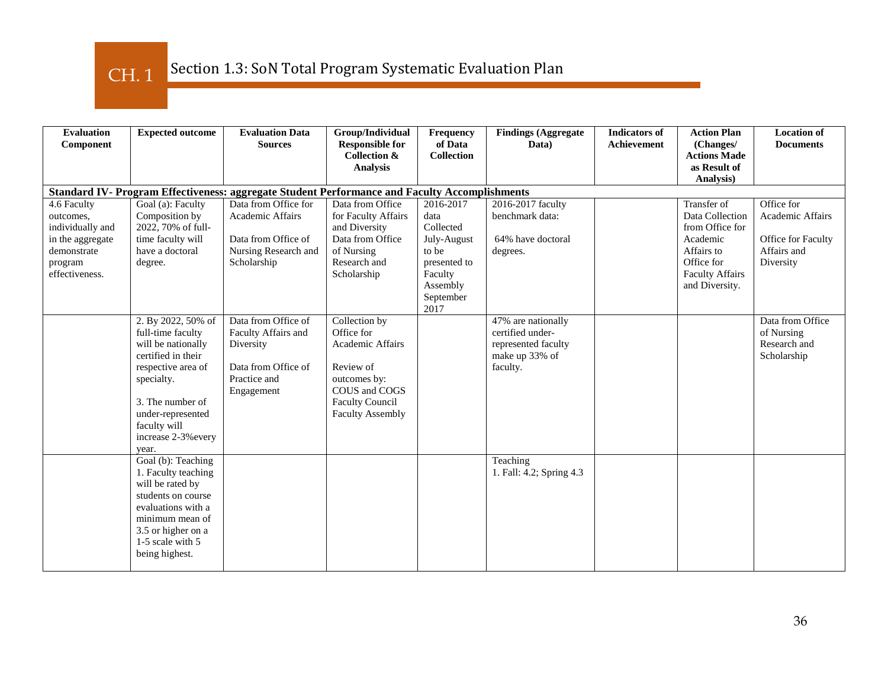CH. 1

| <b>Evaluation</b><br>Component                                                                               | <b>Expected outcome</b>                                                                                                                                                                                          | <b>Evaluation Data</b><br><b>Sources</b>                                                                     | Group/Individual<br><b>Responsible for</b><br><b>Collection &amp;</b><br><b>Analysis</b>                                                                  | Frequency<br>of Data<br><b>Collection</b>                                                                          | <b>Findings (Aggregate</b><br>Data)                                                         | <b>Indicators of</b><br>Achievement | <b>Action Plan</b><br>(Changes/<br><b>Actions Made</b><br>as Result of<br>Analysis)                                                   | <b>Location of</b><br><b>Documents</b>                                                  |
|--------------------------------------------------------------------------------------------------------------|------------------------------------------------------------------------------------------------------------------------------------------------------------------------------------------------------------------|--------------------------------------------------------------------------------------------------------------|-----------------------------------------------------------------------------------------------------------------------------------------------------------|--------------------------------------------------------------------------------------------------------------------|---------------------------------------------------------------------------------------------|-------------------------------------|---------------------------------------------------------------------------------------------------------------------------------------|-----------------------------------------------------------------------------------------|
|                                                                                                              |                                                                                                                                                                                                                  | Standard IV- Program Effectiveness: aggregate Student Performance and Faculty Accomplishments                |                                                                                                                                                           |                                                                                                                    |                                                                                             |                                     |                                                                                                                                       |                                                                                         |
| 4.6 Faculty<br>outcomes,<br>individually and<br>in the aggregate<br>demonstrate<br>program<br>effectiveness. | Goal (a): Faculty<br>Composition by<br>2022, 70% of full-<br>time faculty will<br>have a doctoral<br>degree.                                                                                                     | Data from Office for<br>Academic Affairs<br>Data from Office of<br>Nursing Research and<br>Scholarship       | Data from Office<br>for Faculty Affairs<br>and Diversity<br>Data from Office<br>of Nursing<br>Research and<br>Scholarship                                 | 2016-2017<br>data<br>Collected<br>July-August<br>to be<br>presented to<br>Faculty<br>Assembly<br>September<br>2017 | 2016-2017 faculty<br>benchmark data:<br>64% have doctoral<br>degrees.                       |                                     | Transfer of<br>Data Collection<br>from Office for<br>Academic<br>Affairs to<br>Office for<br><b>Faculty Affairs</b><br>and Diversity. | Office for<br><b>Academic Affairs</b><br>Office for Faculty<br>Affairs and<br>Diversity |
|                                                                                                              | 2. By 2022, 50% of<br>full-time faculty<br>will be nationally<br>certified in their<br>respective area of<br>specialty.<br>3. The number of<br>under-represented<br>faculty will<br>increase 2-3% every<br>year. | Data from Office of<br>Faculty Affairs and<br>Diversity<br>Data from Office of<br>Practice and<br>Engagement | Collection by<br>Office for<br><b>Academic Affairs</b><br>Review of<br>outcomes by:<br>COUS and COGS<br><b>Faculty Council</b><br><b>Faculty Assembly</b> |                                                                                                                    | 47% are nationally<br>certified under-<br>represented faculty<br>make up 33% of<br>faculty. |                                     |                                                                                                                                       | Data from Office<br>of Nursing<br>Research and<br>Scholarship                           |
|                                                                                                              | Goal (b): Teaching<br>1. Faculty teaching<br>will be rated by<br>students on course<br>evaluations with a<br>minimum mean of<br>3.5 or higher on a<br>1-5 scale with 5<br>being highest.                         |                                                                                                              |                                                                                                                                                           |                                                                                                                    | Teaching<br>1. Fall: 4.2; Spring 4.3                                                        |                                     |                                                                                                                                       |                                                                                         |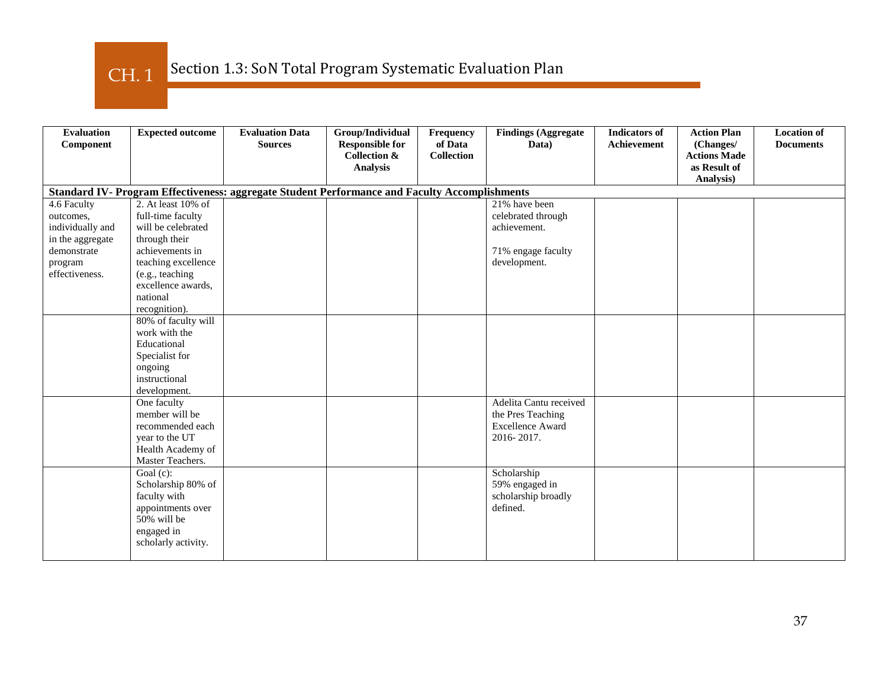Section 1.3: SoN Total Program Systematic Evaluation Plan CH. 1

| <b>Evaluation</b> | <b>Expected outcome</b> | <b>Evaluation Data</b>                                                                        | Group/Individual                                  | Frequency                    | <b>Findings (Aggregate</b> | <b>Indicators</b> of | <b>Action Plan</b>               | <b>Location of</b> |
|-------------------|-------------------------|-----------------------------------------------------------------------------------------------|---------------------------------------------------|------------------------------|----------------------------|----------------------|----------------------------------|--------------------|
| Component         |                         | <b>Sources</b>                                                                                | <b>Responsible for</b><br><b>Collection &amp;</b> | of Data<br><b>Collection</b> | Data)                      | Achievement          | (Changes/<br><b>Actions Made</b> | <b>Documents</b>   |
|                   |                         |                                                                                               | <b>Analysis</b>                                   |                              |                            |                      | as Result of                     |                    |
|                   |                         |                                                                                               |                                                   |                              |                            |                      | Analysis)                        |                    |
|                   |                         | Standard IV- Program Effectiveness: aggregate Student Performance and Faculty Accomplishments |                                                   |                              |                            |                      |                                  |                    |
| 4.6 Faculty       | 2. At least 10% of      |                                                                                               |                                                   |                              | 21% have been              |                      |                                  |                    |
| outcomes,         | full-time faculty       |                                                                                               |                                                   |                              | celebrated through         |                      |                                  |                    |
| individually and  | will be celebrated      |                                                                                               |                                                   |                              | achievement.               |                      |                                  |                    |
| in the aggregate  | through their           |                                                                                               |                                                   |                              |                            |                      |                                  |                    |
| demonstrate       | achievements in         |                                                                                               |                                                   |                              | 71% engage faculty         |                      |                                  |                    |
| program           | teaching excellence     |                                                                                               |                                                   |                              | development.               |                      |                                  |                    |
| effectiveness.    | (e.g., teaching         |                                                                                               |                                                   |                              |                            |                      |                                  |                    |
|                   | excellence awards,      |                                                                                               |                                                   |                              |                            |                      |                                  |                    |
|                   | national                |                                                                                               |                                                   |                              |                            |                      |                                  |                    |
|                   | recognition).           |                                                                                               |                                                   |                              |                            |                      |                                  |                    |
|                   | 80% of faculty will     |                                                                                               |                                                   |                              |                            |                      |                                  |                    |
|                   | work with the           |                                                                                               |                                                   |                              |                            |                      |                                  |                    |
|                   | Educational             |                                                                                               |                                                   |                              |                            |                      |                                  |                    |
|                   | Specialist for          |                                                                                               |                                                   |                              |                            |                      |                                  |                    |
|                   | ongoing                 |                                                                                               |                                                   |                              |                            |                      |                                  |                    |
|                   | instructional           |                                                                                               |                                                   |                              |                            |                      |                                  |                    |
|                   | development.            |                                                                                               |                                                   |                              |                            |                      |                                  |                    |
|                   | One faculty             |                                                                                               |                                                   |                              | Adelita Cantu received     |                      |                                  |                    |
|                   | member will be          |                                                                                               |                                                   |                              | the Pres Teaching          |                      |                                  |                    |
|                   | recommended each        |                                                                                               |                                                   |                              | <b>Excellence Award</b>    |                      |                                  |                    |
|                   | year to the UT          |                                                                                               |                                                   |                              | 2016-2017.                 |                      |                                  |                    |
|                   | Health Academy of       |                                                                                               |                                                   |                              |                            |                      |                                  |                    |
|                   | Master Teachers.        |                                                                                               |                                                   |                              |                            |                      |                                  |                    |
|                   | Goal $(c)$ :            |                                                                                               |                                                   |                              | Scholarship                |                      |                                  |                    |
|                   | Scholarship 80% of      |                                                                                               |                                                   |                              | 59% engaged in             |                      |                                  |                    |
|                   | faculty with            |                                                                                               |                                                   |                              | scholarship broadly        |                      |                                  |                    |
|                   | appointments over       |                                                                                               |                                                   |                              | defined.                   |                      |                                  |                    |
|                   | 50% will be             |                                                                                               |                                                   |                              |                            |                      |                                  |                    |
|                   | engaged in              |                                                                                               |                                                   |                              |                            |                      |                                  |                    |
|                   | scholarly activity.     |                                                                                               |                                                   |                              |                            |                      |                                  |                    |
|                   |                         |                                                                                               |                                                   |                              |                            |                      |                                  |                    |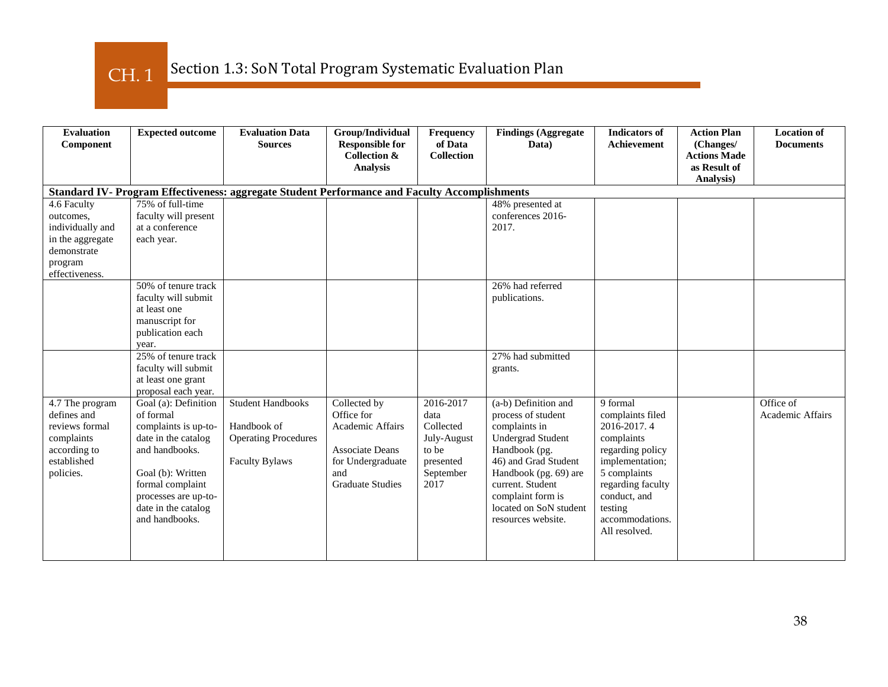CH. 1

| <b>Evaluation</b><br>Component                                                                             | <b>Expected outcome</b>                                                                                                                                                                                      | <b>Evaluation Data</b><br><b>Sources</b>                                                        | Group/Individual<br><b>Responsible for</b><br><b>Collection &amp;</b><br><b>Analysis</b>                                        | Frequency<br>of Data<br><b>Collection</b>                                                | <b>Findings (Aggregate)</b><br>Data)                                                                                                                                                                                                               | <b>Indicators of</b><br><b>Achievement</b>                                                                                                                                                           | <b>Action Plan</b><br>(Changes/<br><b>Actions Made</b><br>as Result of | <b>Location of</b><br><b>Documents</b> |
|------------------------------------------------------------------------------------------------------------|--------------------------------------------------------------------------------------------------------------------------------------------------------------------------------------------------------------|-------------------------------------------------------------------------------------------------|---------------------------------------------------------------------------------------------------------------------------------|------------------------------------------------------------------------------------------|----------------------------------------------------------------------------------------------------------------------------------------------------------------------------------------------------------------------------------------------------|------------------------------------------------------------------------------------------------------------------------------------------------------------------------------------------------------|------------------------------------------------------------------------|----------------------------------------|
|                                                                                                            |                                                                                                                                                                                                              |                                                                                                 |                                                                                                                                 |                                                                                          |                                                                                                                                                                                                                                                    |                                                                                                                                                                                                      | Analysis)                                                              |                                        |
| Standard IV- Program Effectiveness: aggregate Student Performance and Faculty Accomplishments              |                                                                                                                                                                                                              |                                                                                                 |                                                                                                                                 |                                                                                          |                                                                                                                                                                                                                                                    |                                                                                                                                                                                                      |                                                                        |                                        |
| 4.6 Faculty<br>outcomes,<br>individually and<br>in the aggregate<br>demonstrate<br>program                 | 75% of full-time<br>faculty will present<br>at a conference<br>each year.                                                                                                                                    |                                                                                                 |                                                                                                                                 |                                                                                          | 48% presented at<br>conferences 2016-<br>2017.                                                                                                                                                                                                     |                                                                                                                                                                                                      |                                                                        |                                        |
| effectiveness.                                                                                             |                                                                                                                                                                                                              |                                                                                                 |                                                                                                                                 |                                                                                          |                                                                                                                                                                                                                                                    |                                                                                                                                                                                                      |                                                                        |                                        |
|                                                                                                            | 50% of tenure track<br>faculty will submit<br>at least one<br>manuscript for<br>publication each<br>year.                                                                                                    |                                                                                                 |                                                                                                                                 |                                                                                          | 26% had referred<br>publications.                                                                                                                                                                                                                  |                                                                                                                                                                                                      |                                                                        |                                        |
|                                                                                                            | 25% of tenure track                                                                                                                                                                                          |                                                                                                 |                                                                                                                                 |                                                                                          | 27% had submitted                                                                                                                                                                                                                                  |                                                                                                                                                                                                      |                                                                        |                                        |
|                                                                                                            | faculty will submit<br>at least one grant<br>proposal each year.                                                                                                                                             |                                                                                                 |                                                                                                                                 |                                                                                          | grants.                                                                                                                                                                                                                                            |                                                                                                                                                                                                      |                                                                        |                                        |
| 4.7 The program<br>defines and<br>reviews formal<br>complaints<br>according to<br>established<br>policies. | Goal (a): Definition<br>of formal<br>complaints is up-to-<br>date in the catalog<br>and handbooks.<br>Goal (b): Written<br>formal complaint<br>processes are up-to-<br>date in the catalog<br>and handbooks. | <b>Student Handbooks</b><br>Handbook of<br><b>Operating Procedures</b><br><b>Faculty Bylaws</b> | Collected by<br>Office for<br>Academic Affairs<br><b>Associate Deans</b><br>for Undergraduate<br>and<br><b>Graduate Studies</b> | 2016-2017<br>data<br>Collected<br>July-August<br>to be<br>presented<br>September<br>2017 | (a-b) Definition and<br>process of student<br>complaints in<br><b>Undergrad Student</b><br>Handbook (pg.<br>46) and Grad Student<br>Handbook (pg. 69) are<br>current. Student<br>complaint form is<br>located on SoN student<br>resources website. | 9 formal<br>complaints filed<br>2016-2017.4<br>complaints<br>regarding policy<br>implementation;<br>5 complaints<br>regarding faculty<br>conduct, and<br>testing<br>accommodations.<br>All resolved. |                                                                        | Office of<br><b>Academic Affairs</b>   |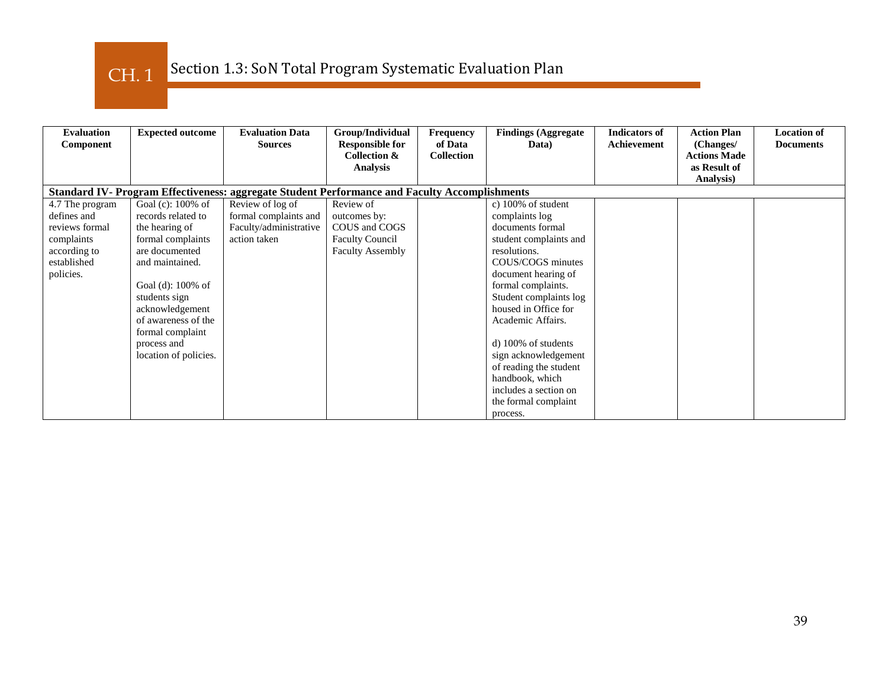CH. 1

| <b>Evaluation</b><br>Component | <b>Expected outcome</b> | <b>Evaluation Data</b><br><b>Sources</b>                                                      | Group/Individual<br><b>Responsible for</b> | Frequency<br>of Data | <b>Findings (Aggregate)</b><br>Data) | <b>Indicators of</b><br><b>Achievement</b> | <b>Action Plan</b><br>(Changes/ | <b>Location of</b><br><b>Documents</b> |
|--------------------------------|-------------------------|-----------------------------------------------------------------------------------------------|--------------------------------------------|----------------------|--------------------------------------|--------------------------------------------|---------------------------------|----------------------------------------|
|                                |                         |                                                                                               | Collection &                               | <b>Collection</b>    |                                      |                                            | <b>Actions Made</b>             |                                        |
|                                |                         |                                                                                               | <b>Analysis</b>                            |                      |                                      |                                            | as Result of<br>Analysis)       |                                        |
|                                |                         | Standard IV- Program Effectiveness: aggregate Student Performance and Faculty Accomplishments |                                            |                      |                                      |                                            |                                 |                                        |
| 4.7 The program                | Goal (c): 100% of       | Review of log of                                                                              | Review of                                  |                      | c) 100% of student                   |                                            |                                 |                                        |
| defines and                    | records related to      | formal complaints and                                                                         | outcomes by:                               |                      | complaints log                       |                                            |                                 |                                        |
| reviews formal                 | the hearing of          | Faculty/administrative                                                                        | COUS and COGS                              |                      | documents formal                     |                                            |                                 |                                        |
| complaints                     | formal complaints       | action taken                                                                                  | <b>Faculty Council</b>                     |                      | student complaints and               |                                            |                                 |                                        |
| according to                   | are documented          |                                                                                               | <b>Faculty Assembly</b>                    |                      | resolutions.                         |                                            |                                 |                                        |
| established                    | and maintained.         |                                                                                               |                                            |                      | COUS/COGS minutes                    |                                            |                                 |                                        |
| policies.                      |                         |                                                                                               |                                            |                      | document hearing of                  |                                            |                                 |                                        |
|                                | Goal (d): 100% of       |                                                                                               |                                            |                      | formal complaints.                   |                                            |                                 |                                        |
|                                | students sign           |                                                                                               |                                            |                      | Student complaints log               |                                            |                                 |                                        |
|                                | acknowledgement         |                                                                                               |                                            |                      | housed in Office for                 |                                            |                                 |                                        |
|                                | of awareness of the     |                                                                                               |                                            |                      | Academic Affairs.                    |                                            |                                 |                                        |
|                                | formal complaint        |                                                                                               |                                            |                      |                                      |                                            |                                 |                                        |
|                                | process and             |                                                                                               |                                            |                      | d) 100% of students                  |                                            |                                 |                                        |
|                                | location of policies.   |                                                                                               |                                            |                      | sign acknowledgement                 |                                            |                                 |                                        |
|                                |                         |                                                                                               |                                            |                      | of reading the student               |                                            |                                 |                                        |
|                                |                         |                                                                                               |                                            |                      | handbook, which                      |                                            |                                 |                                        |
|                                |                         |                                                                                               |                                            |                      | includes a section on                |                                            |                                 |                                        |
|                                |                         |                                                                                               |                                            |                      | the formal complaint                 |                                            |                                 |                                        |
|                                |                         |                                                                                               |                                            |                      | process.                             |                                            |                                 |                                        |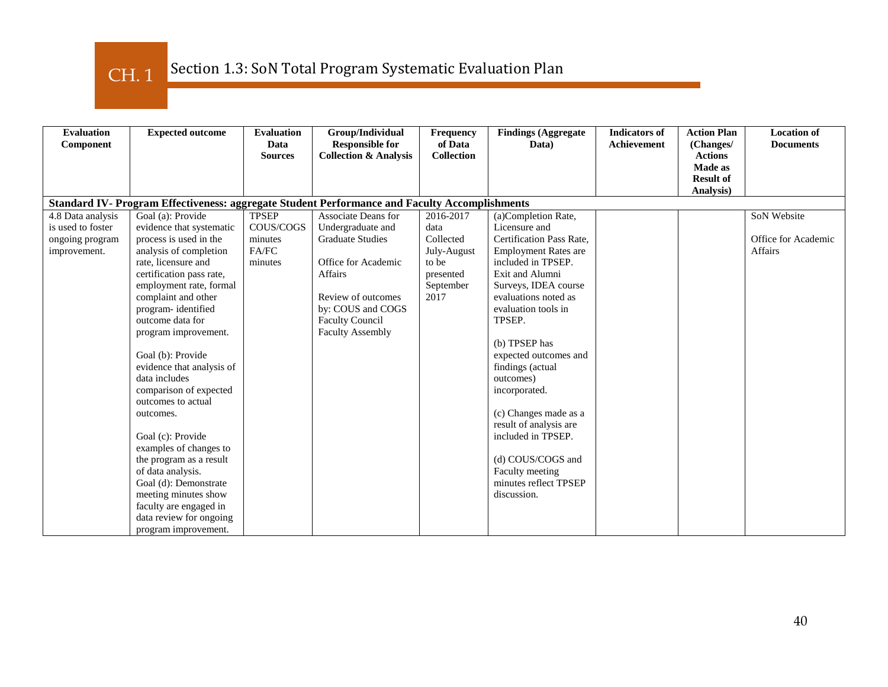CH. 1

| <b>Evaluation</b>                                                                             | <b>Expected outcome</b>   | <b>Evaluation</b>      | Group/Individual                                           | Frequency                    | <b>Findings (Aggregate</b>  | <b>Indicators</b> of | <b>Action Plan</b>          | <b>Location of</b>  |
|-----------------------------------------------------------------------------------------------|---------------------------|------------------------|------------------------------------------------------------|------------------------------|-----------------------------|----------------------|-----------------------------|---------------------|
| Component                                                                                     |                           | Data<br><b>Sources</b> | <b>Responsible for</b><br><b>Collection &amp; Analysis</b> | of Data<br><b>Collection</b> | Data)                       | <b>Achievement</b>   | (Changes/<br><b>Actions</b> | <b>Documents</b>    |
|                                                                                               |                           |                        |                                                            |                              |                             |                      | Made as                     |                     |
|                                                                                               |                           |                        |                                                            |                              |                             |                      | <b>Result of</b>            |                     |
|                                                                                               |                           |                        |                                                            |                              |                             |                      | Analysis)                   |                     |
| Standard IV- Program Effectiveness: aggregate Student Performance and Faculty Accomplishments |                           |                        |                                                            |                              |                             |                      |                             |                     |
| 4.8 Data analysis                                                                             | Goal (a): Provide         | <b>TPSEP</b>           | <b>Associate Deans for</b>                                 | 2016-2017                    | (a)Completion Rate,         |                      |                             | SoN Website         |
| is used to foster                                                                             | evidence that systematic  | COUS/COGS              | Undergraduate and                                          | data                         | Licensure and               |                      |                             |                     |
| ongoing program                                                                               | process is used in the    | minutes                | <b>Graduate Studies</b>                                    | Collected                    | Certification Pass Rate,    |                      |                             | Office for Academic |
| improvement.                                                                                  | analysis of completion    | FA/FC                  |                                                            | July-August                  | <b>Employment Rates are</b> |                      |                             | <b>Affairs</b>      |
|                                                                                               | rate, licensure and       | minutes                | Office for Academic                                        | to be                        | included in TPSEP.          |                      |                             |                     |
|                                                                                               | certification pass rate,  |                        | <b>Affairs</b>                                             | presented                    | Exit and Alumni             |                      |                             |                     |
|                                                                                               | employment rate, formal   |                        |                                                            | September                    | Surveys, IDEA course        |                      |                             |                     |
|                                                                                               | complaint and other       |                        | Review of outcomes                                         | 2017                         | evaluations noted as        |                      |                             |                     |
|                                                                                               | program-identified        |                        | by: COUS and COGS                                          |                              | evaluation tools in         |                      |                             |                     |
|                                                                                               | outcome data for          |                        | <b>Faculty Council</b>                                     |                              | TPSEP.                      |                      |                             |                     |
|                                                                                               | program improvement.      |                        | <b>Faculty Assembly</b>                                    |                              |                             |                      |                             |                     |
|                                                                                               |                           |                        |                                                            |                              | (b) TPSEP has               |                      |                             |                     |
|                                                                                               | Goal (b): Provide         |                        |                                                            |                              | expected outcomes and       |                      |                             |                     |
|                                                                                               | evidence that analysis of |                        |                                                            |                              | findings (actual            |                      |                             |                     |
|                                                                                               | data includes             |                        |                                                            |                              | outcomes)                   |                      |                             |                     |
|                                                                                               | comparison of expected    |                        |                                                            |                              | incorporated.               |                      |                             |                     |
|                                                                                               | outcomes to actual        |                        |                                                            |                              |                             |                      |                             |                     |
|                                                                                               | outcomes.                 |                        |                                                            |                              | (c) Changes made as a       |                      |                             |                     |
|                                                                                               |                           |                        |                                                            |                              | result of analysis are      |                      |                             |                     |
|                                                                                               | Goal (c): Provide         |                        |                                                            |                              | included in TPSEP.          |                      |                             |                     |
|                                                                                               | examples of changes to    |                        |                                                            |                              |                             |                      |                             |                     |
|                                                                                               | the program as a result   |                        |                                                            |                              | (d) COUS/COGS and           |                      |                             |                     |
|                                                                                               | of data analysis.         |                        |                                                            |                              | Faculty meeting             |                      |                             |                     |
|                                                                                               | Goal (d): Demonstrate     |                        |                                                            |                              | minutes reflect TPSEP       |                      |                             |                     |
|                                                                                               | meeting minutes show      |                        |                                                            |                              | discussion.                 |                      |                             |                     |
|                                                                                               | faculty are engaged in    |                        |                                                            |                              |                             |                      |                             |                     |
|                                                                                               | data review for ongoing   |                        |                                                            |                              |                             |                      |                             |                     |
|                                                                                               | program improvement.      |                        |                                                            |                              |                             |                      |                             |                     |